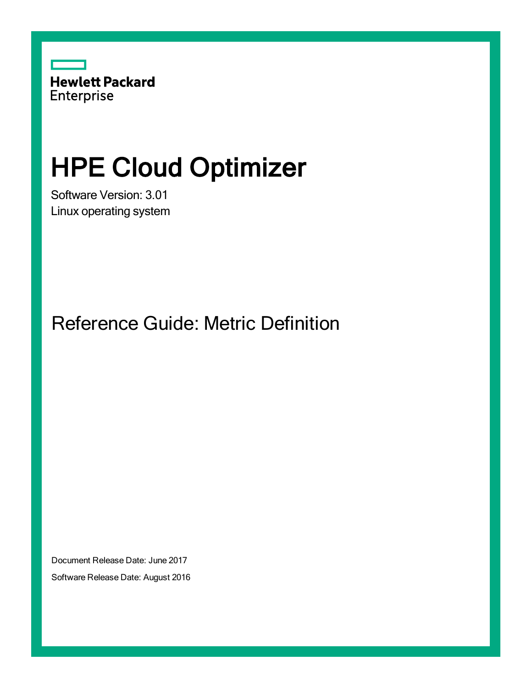

# HPE Cloud Optimizer

Software Version: 3.01 Linux operating system

Reference Guide: Metric Definition

Document Release Date: June 2017 Software Release Date: August 2016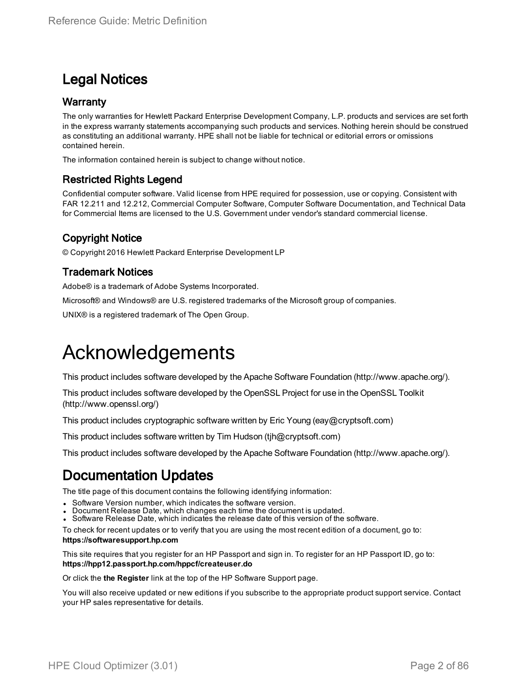### Legal Notices

#### **Warranty**

The only warranties for Hewlett Packard Enterprise Development Company, L.P. products and services are set forth in the express warranty statements accompanying such products and services. Nothing herein should be construed as constituting an additional warranty. HPE shall not be liable for technical or editorial errors or omissions contained herein.

The information contained herein is subject to change without notice.

#### Restricted Rights Legend

Confidential computer software. Valid license from HPE required for possession, use or copying. Consistent with FAR 12.211 and 12.212, Commercial Computer Software, Computer Software Documentation, and Technical Data for Commercial Items are licensed to the U.S. Government under vendor's standard commercial license.

#### Copyright Notice

© Copyright 2016 Hewlett Packard Enterprise Development LP

#### Trademark Notices

Adobe® is a trademark of Adobe Systems Incorporated.

Microsoft® and Windows® are U.S. registered trademarks of the Microsoft group of companies.

UNIX® is a registered trademark of The Open Group.

### Acknowledgements

This product includes software developed by the Apache Software Foundation (http://www.apache.org/).

This product includes software developed by the OpenSSL Project for use in the OpenSSL Toolkit (http://www.openssl.org/)

This product includes cryptographic software written by Eric Young (eay@cryptsoft.com)

This product includes software written by Tim Hudson (tjh@cryptsoft.com)

This product includes software developed by the Apache Software Foundation (http://www.apache.org/).

### Documentation Updates

The title page of this document contains the following identifying information:

- Software Version number, which indicates the software version.
- Document Release Date, which changes each time the document is updated.
- Software Release Date, which indicates the release date of this version of the software.

To check for recent updates or to verify that you are using the most recent edition of a document, go to: **https://softwaresupport.hp.com**

This site requires that you register for an HP Passport and sign in. To register for an HP Passport ID, go to: **https://hpp12.passport.hp.com/hppcf/createuser.do**

Or click the **the Register** link at the top of the HP Software Support page.

You will also receive updated or new editions if you subscribe to the appropriate product support service. Contact your HP sales representative for details.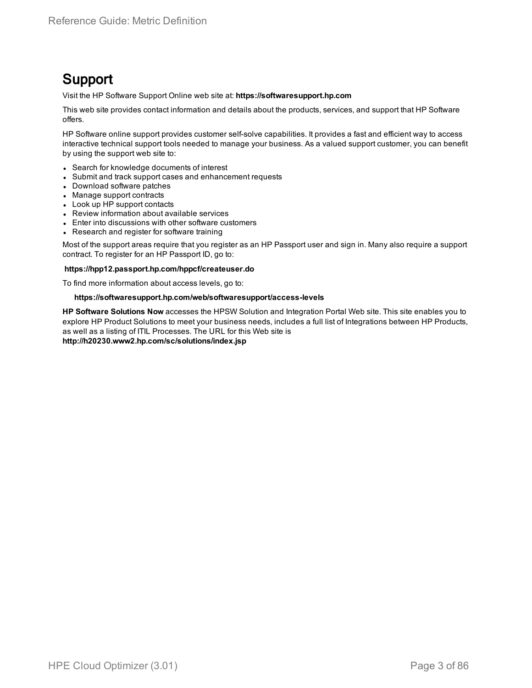### Support

Visit the HP Software Support Online web site at: **https://softwaresupport.hp.com**

This web site provides contact information and details about the products, services, and support that HP Software offers.

HP Software online support provides customer self-solve capabilities. It provides a fast and efficient way to access interactive technical support tools needed to manage your business. As a valued support customer, you can benefit by using the support web site to:

- Search for knowledge documents of interest
- Submit and track support cases and enhancement requests
- Download software patches
- Manage support contracts
- Look up HP support contacts
- Review information about available services
- Enter into discussions with other software customers
- Research and register for software training

Most of the support areas require that you register as an HP Passport user and sign in. Many also require a support contract. To register for an HP Passport ID, go to:

#### **https://hpp12.passport.hp.com/hppcf/createuser.do**

To find more information about access levels, go to:

#### **https://softwaresupport.hp.com/web/softwaresupport/access-levels**

**HP Software Solutions Now** accesses the HPSW Solution and Integration Portal Web site. This site enables you to explore HP Product Solutions to meet your business needs, includes a full list of Integrations between HP Products, as well as a listing of ITIL Processes. The URL for this Web site is **http://h20230.www2.hp.com/sc/solutions/index.jsp**

HPE Cloud Optimizer (3.01) **Page 3 of 86**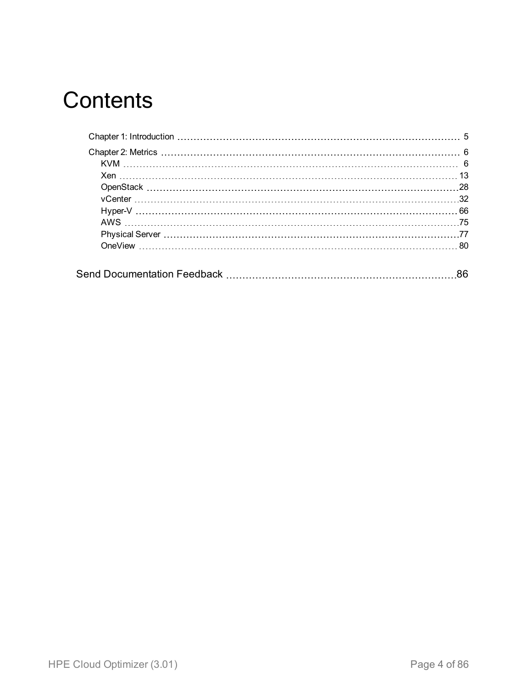## **Contents**

| 86 |
|----|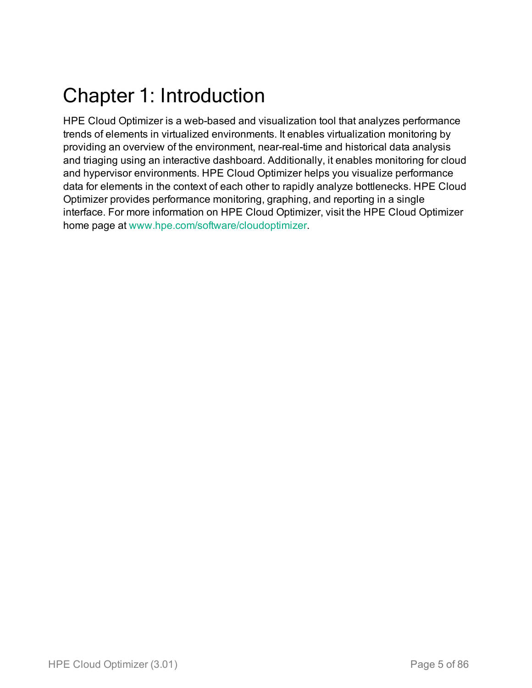## <span id="page-4-0"></span>Chapter 1: Introduction

HPE Cloud Optimizer is a web-based and visualization tool that analyzes performance trends of elements in virtualized environments. It enables virtualization monitoring by providing an overview of the environment, near-real-time and historical data analysis and triaging using an interactive dashboard. Additionally, it enables monitoring for cloud and hypervisor environments. HPE Cloud Optimizer helps you visualize performance data for elements in the context of each other to rapidly analyze bottlenecks. HPE Cloud Optimizer provides performance monitoring, graphing, and reporting in a single interface. For more information on HPE Cloud Optimizer, visit the HPE Cloud Optimizer home page at [www.hpe.com/software/cloudoptimizer](http://www.hp.com/go/vpv).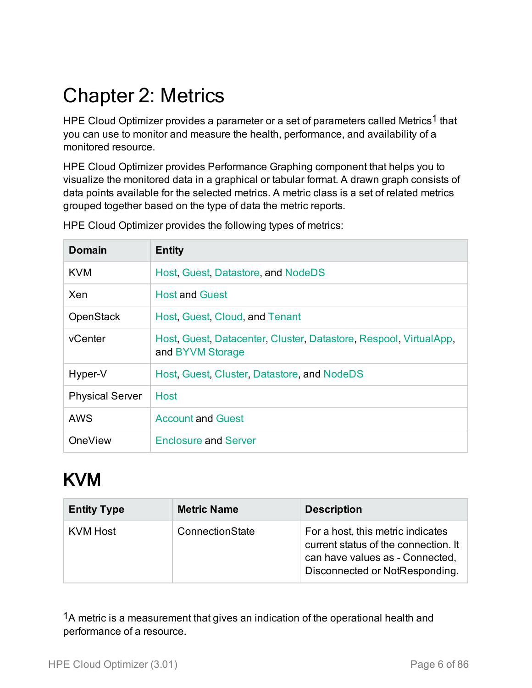## <span id="page-5-0"></span>Chapter 2: Metrics

HPE Cloud Optimizer provides a parameter or a set of parameters called Metrics<sup>1</sup> that you can use to monitor and measure the health, performance, and availability of a monitored resource.

HPE Cloud Optimizer provides Performance Graphing component that helps you to visualize the monitored data in a graphical or tabular format. A drawn graph consists of data points available for the selected metrics. A metric class is a set of related metrics grouped together based on the type of data the metric reports.

| Domain                 | <b>Entity</b>                                                                         |
|------------------------|---------------------------------------------------------------------------------------|
| KVM                    | Host, Guest, Datastore, and NodeDS                                                    |
| Xen                    | <b>Host and Guest</b>                                                                 |
| <b>OpenStack</b>       | <b>Host, Guest, Cloud, and Tenant</b>                                                 |
| vCenter                | Host, Guest, Datacenter, Cluster, Datastore, Respool, VirtualApp,<br>and BYVM Storage |
| Hyper-V                | Host, Guest, Cluster, Datastore, and NodeDS                                           |
| <b>Physical Server</b> | <b>Host</b>                                                                           |
| <b>AWS</b>             | <b>Account and Guest</b>                                                              |
| <b>OneView</b>         | <b>Enclosure and Server</b>                                                           |

HPE Cloud Optimizer provides the following types of metrics:

## <span id="page-5-1"></span>KVM

<span id="page-5-2"></span>

| <b>Entity Type</b> | <b>Metric Name</b> | <b>Description</b>                                                                                                                             |
|--------------------|--------------------|------------------------------------------------------------------------------------------------------------------------------------------------|
| KVM Host           | ConnectionState    | For a host, this metric indicates<br>current status of the connection. It<br>can have values as - Connected,<br>Disconnected or NotResponding. |

<sup>1</sup>A metric is a measurement that gives an indication of the operational health and performance of a resource.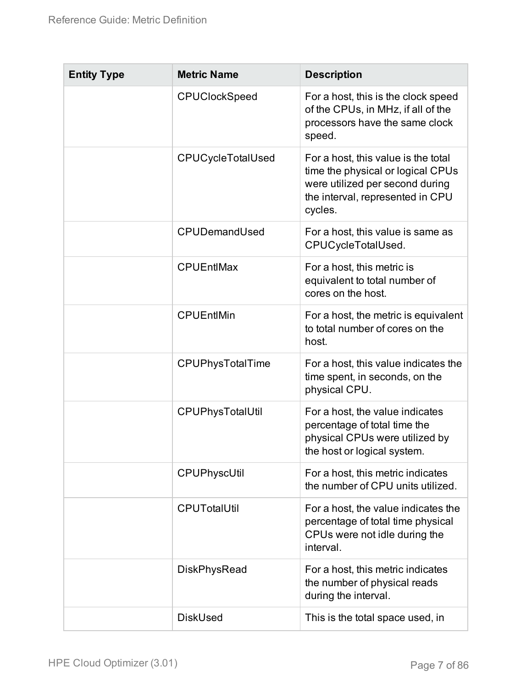| <b>Entity Type</b> | <b>Metric Name</b>   | <b>Description</b>                                                                                                                                         |
|--------------------|----------------------|------------------------------------------------------------------------------------------------------------------------------------------------------------|
|                    | <b>CPUClockSpeed</b> | For a host, this is the clock speed<br>of the CPUs, in MHz, if all of the<br>processors have the same clock<br>speed.                                      |
|                    | CPUCycleTotalUsed    | For a host, this value is the total<br>time the physical or logical CPUs<br>were utilized per second during<br>the interval, represented in CPU<br>cycles. |
|                    | CPUDemandUsed        | For a host, this value is same as<br>CPUCycleTotalUsed.                                                                                                    |
|                    | <b>CPUEntIMax</b>    | For a host, this metric is<br>equivalent to total number of<br>cores on the host.                                                                          |
|                    | <b>CPUEntIMin</b>    | For a host, the metric is equivalent<br>to total number of cores on the<br>host.                                                                           |
|                    | CPUPhysTotalTime     | For a host, this value indicates the<br>time spent, in seconds, on the<br>physical CPU.                                                                    |
|                    | CPUPhysTotalUtil     | For a host, the value indicates<br>percentage of total time the<br>physical CPUs were utilized by<br>the host or logical system.                           |
|                    | CPUPhyscUtil         | For a host, this metric indicates<br>the number of CPU units utilized.                                                                                     |
|                    | <b>CPUTotalUtil</b>  | For a host, the value indicates the<br>percentage of total time physical<br>CPUs were not idle during the<br>interval.                                     |
|                    | <b>DiskPhysRead</b>  | For a host, this metric indicates<br>the number of physical reads<br>during the interval.                                                                  |
|                    | <b>DiskUsed</b>      | This is the total space used, in                                                                                                                           |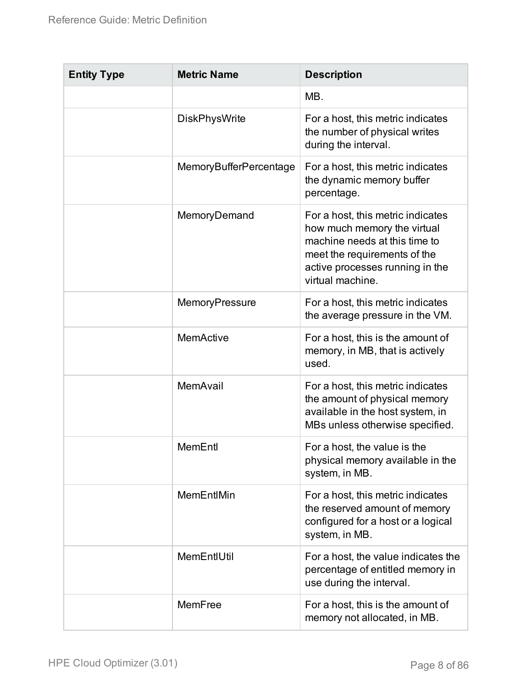| <b>Entity Type</b> | <b>Metric Name</b>     | <b>Description</b>                                                                                                                                                                       |
|--------------------|------------------------|------------------------------------------------------------------------------------------------------------------------------------------------------------------------------------------|
|                    |                        | MB.                                                                                                                                                                                      |
|                    | <b>DiskPhysWrite</b>   | For a host, this metric indicates<br>the number of physical writes<br>during the interval.                                                                                               |
|                    | MemoryBufferPercentage | For a host, this metric indicates<br>the dynamic memory buffer<br>percentage.                                                                                                            |
|                    | MemoryDemand           | For a host, this metric indicates<br>how much memory the virtual<br>machine needs at this time to<br>meet the requirements of the<br>active processes running in the<br>virtual machine. |
|                    | MemoryPressure         | For a host, this metric indicates<br>the average pressure in the VM.                                                                                                                     |
|                    | <b>MemActive</b>       | For a host, this is the amount of<br>memory, in MB, that is actively<br>used.                                                                                                            |
|                    | MemAvail               | For a host, this metric indicates<br>the amount of physical memory<br>available in the host system, in<br>MBs unless otherwise specified.                                                |
|                    | MemEntl                | For a host, the value is the<br>physical memory available in the<br>system, in MB.                                                                                                       |
|                    | MemEntIMin             | For a host, this metric indicates<br>the reserved amount of memory<br>configured for a host or a logical<br>system, in MB.                                                               |
|                    | MemEntIUtil            | For a host, the value indicates the<br>percentage of entitled memory in<br>use during the interval.                                                                                      |
|                    | MemFree                | For a host, this is the amount of<br>memory not allocated, in MB.                                                                                                                        |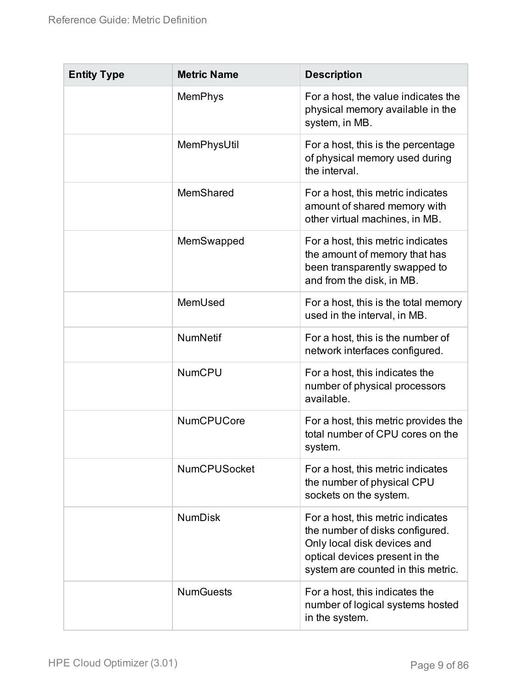| <b>Entity Type</b> | <b>Metric Name</b>  | <b>Description</b>                                                                                                                                                          |
|--------------------|---------------------|-----------------------------------------------------------------------------------------------------------------------------------------------------------------------------|
|                    | <b>MemPhys</b>      | For a host, the value indicates the<br>physical memory available in the<br>system, in MB.                                                                                   |
|                    | MemPhysUtil         | For a host, this is the percentage<br>of physical memory used during<br>the interval.                                                                                       |
|                    | MemShared           | For a host, this metric indicates<br>amount of shared memory with<br>other virtual machines, in MB.                                                                         |
|                    | MemSwapped          | For a host, this metric indicates<br>the amount of memory that has<br>been transparently swapped to<br>and from the disk, in MB.                                            |
|                    | MemUsed             | For a host, this is the total memory<br>used in the interval, in MB.                                                                                                        |
|                    | <b>NumNetif</b>     | For a host, this is the number of<br>network interfaces configured.                                                                                                         |
|                    | <b>NumCPU</b>       | For a host, this indicates the<br>number of physical processors<br>available.                                                                                               |
|                    | <b>NumCPUCore</b>   | For a host, this metric provides the<br>total number of CPU cores on the<br>system.                                                                                         |
|                    | <b>NumCPUSocket</b> | For a host, this metric indicates<br>the number of physical CPU<br>sockets on the system.                                                                                   |
|                    | <b>NumDisk</b>      | For a host, this metric indicates<br>the number of disks configured.<br>Only local disk devices and<br>optical devices present in the<br>system are counted in this metric. |
|                    | <b>NumGuests</b>    | For a host, this indicates the<br>number of logical systems hosted<br>in the system.                                                                                        |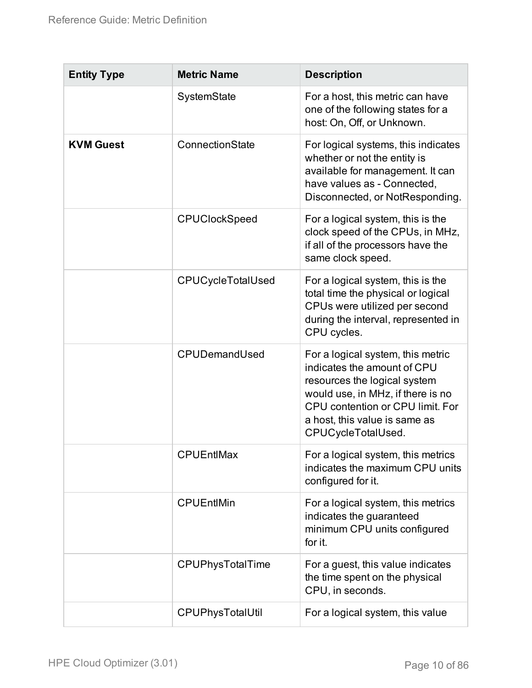<span id="page-9-0"></span>

| <b>Entity Type</b> | <b>Metric Name</b>   | <b>Description</b>                                                                                                                                                                                                               |
|--------------------|----------------------|----------------------------------------------------------------------------------------------------------------------------------------------------------------------------------------------------------------------------------|
|                    | SystemState          | For a host, this metric can have<br>one of the following states for a<br>host: On, Off, or Unknown.                                                                                                                              |
| <b>KVM Guest</b>   | ConnectionState      | For logical systems, this indicates<br>whether or not the entity is<br>available for management. It can<br>have values as - Connected,<br>Disconnected, or NotResponding.                                                        |
|                    | <b>CPUClockSpeed</b> | For a logical system, this is the<br>clock speed of the CPUs, in MHz,<br>if all of the processors have the<br>same clock speed.                                                                                                  |
|                    | CPUCycleTotalUsed    | For a logical system, this is the<br>total time the physical or logical<br>CPUs were utilized per second<br>during the interval, represented in<br>CPU cycles.                                                                   |
|                    | CPUDemandUsed        | For a logical system, this metric<br>indicates the amount of CPU<br>resources the logical system<br>would use, in MHz, if there is no<br>CPU contention or CPU limit. For<br>a host, this value is same as<br>CPUCycleTotalUsed. |
|                    | <b>CPUEntIMax</b>    | For a logical system, this metrics<br>indicates the maximum CPU units<br>configured for it.                                                                                                                                      |
|                    | <b>CPUEntIMin</b>    | For a logical system, this metrics<br>indicates the guaranteed<br>minimum CPU units configured<br>for it.                                                                                                                        |
|                    | CPUPhysTotalTime     | For a guest, this value indicates<br>the time spent on the physical<br>CPU, in seconds.                                                                                                                                          |
|                    | CPUPhysTotalUtil     | For a logical system, this value                                                                                                                                                                                                 |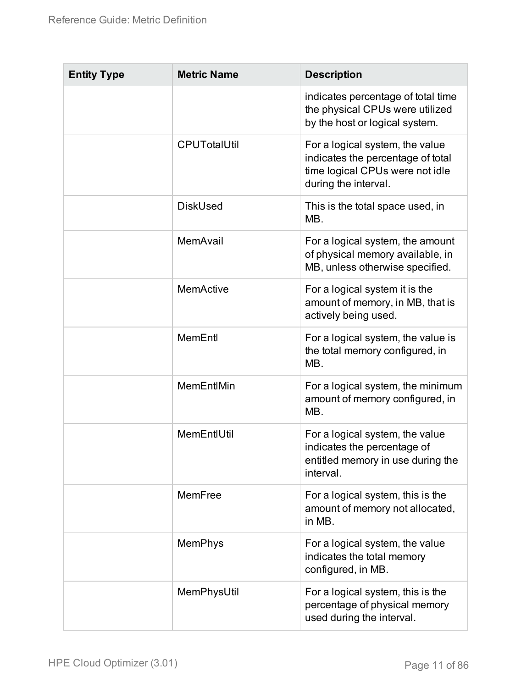| <b>Entity Type</b> | <b>Metric Name</b>  | <b>Description</b>                                                                                                              |
|--------------------|---------------------|---------------------------------------------------------------------------------------------------------------------------------|
|                    |                     | indicates percentage of total time<br>the physical CPUs were utilized<br>by the host or logical system.                         |
|                    | <b>CPUTotalUtil</b> | For a logical system, the value<br>indicates the percentage of total<br>time logical CPUs were not idle<br>during the interval. |
|                    | <b>DiskUsed</b>     | This is the total space used, in<br>MB.                                                                                         |
|                    | MemAvail            | For a logical system, the amount<br>of physical memory available, in<br>MB, unless otherwise specified.                         |
|                    | <b>MemActive</b>    | For a logical system it is the<br>amount of memory, in MB, that is<br>actively being used.                                      |
|                    | MemEntl             | For a logical system, the value is<br>the total memory configured, in<br>MB.                                                    |
|                    | MemEntIMin          | For a logical system, the minimum<br>amount of memory configured, in<br>MB.                                                     |
|                    | MemEntIUtil         | For a logical system, the value<br>indicates the percentage of<br>entitled memory in use during the<br>interval.                |
|                    | MemFree             | For a logical system, this is the<br>amount of memory not allocated,<br>in MB.                                                  |
|                    | <b>MemPhys</b>      | For a logical system, the value<br>indicates the total memory<br>configured, in MB.                                             |
|                    | MemPhysUtil         | For a logical system, this is the<br>percentage of physical memory<br>used during the interval.                                 |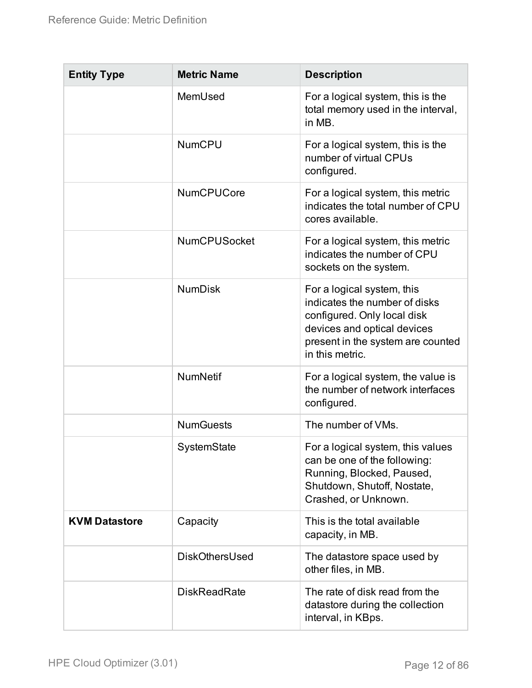<span id="page-11-0"></span>

| <b>Entity Type</b>   | <b>Metric Name</b>  | <b>Description</b>                                                                                                                                                                |
|----------------------|---------------------|-----------------------------------------------------------------------------------------------------------------------------------------------------------------------------------|
|                      | MemUsed             | For a logical system, this is the<br>total memory used in the interval,<br>in MB.                                                                                                 |
|                      | <b>NumCPU</b>       | For a logical system, this is the<br>number of virtual CPUs<br>configured.                                                                                                        |
|                      | <b>NumCPUCore</b>   | For a logical system, this metric<br>indicates the total number of CPU<br>cores available.                                                                                        |
|                      | <b>NumCPUSocket</b> | For a logical system, this metric<br>indicates the number of CPU<br>sockets on the system.                                                                                        |
|                      | <b>NumDisk</b>      | For a logical system, this<br>indicates the number of disks<br>configured. Only local disk<br>devices and optical devices<br>present in the system are counted<br>in this metric. |
|                      | <b>NumNetif</b>     | For a logical system, the value is<br>the number of network interfaces<br>configured.                                                                                             |
|                      | <b>NumGuests</b>    | The number of VMs.                                                                                                                                                                |
|                      | SystemState         | For a logical system, this values<br>can be one of the following:<br>Running, Blocked, Paused,<br>Shutdown, Shutoff, Nostate,<br>Crashed, or Unknown.                             |
| <b>KVM Datastore</b> | Capacity            | This is the total available<br>capacity, in MB.                                                                                                                                   |
|                      | DiskOthersUsed      | The datastore space used by<br>other files, in MB.                                                                                                                                |
|                      | <b>DiskReadRate</b> | The rate of disk read from the<br>datastore during the collection<br>interval, in KBps.                                                                                           |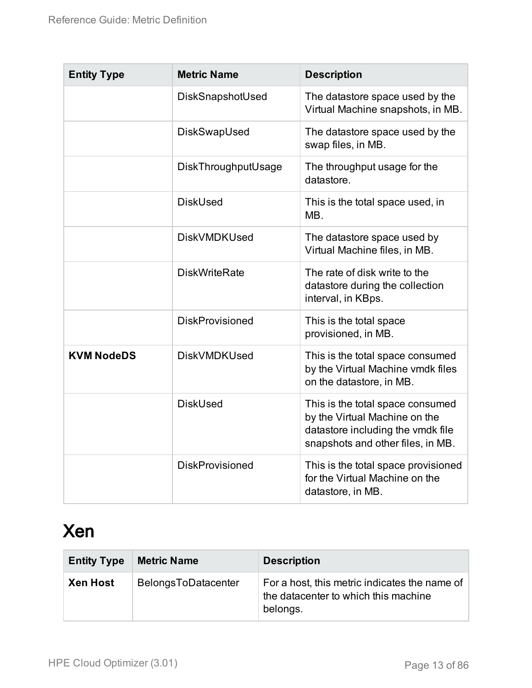| <b>Entity Type</b> | <b>Metric Name</b>     | <b>Description</b>                                                                                                                          |
|--------------------|------------------------|---------------------------------------------------------------------------------------------------------------------------------------------|
|                    | DiskSnapshotUsed       | The datastore space used by the<br>Virtual Machine snapshots, in MB.                                                                        |
|                    | DiskSwapUsed           | The datastore space used by the<br>swap files, in MB.                                                                                       |
|                    | DiskThroughputUsage    | The throughput usage for the<br>datastore.                                                                                                  |
|                    | <b>DiskUsed</b>        | This is the total space used, in<br>MB.                                                                                                     |
|                    | <b>DiskVMDKUsed</b>    | The datastore space used by<br>Virtual Machine files, in MB.                                                                                |
|                    | <b>DiskWriteRate</b>   | The rate of disk write to the<br>datastore during the collection<br>interval, in KBps.                                                      |
|                    | <b>DiskProvisioned</b> | This is the total space<br>provisioned, in MB.                                                                                              |
| <b>KVM NodeDS</b>  | <b>DiskVMDKUsed</b>    | This is the total space consumed<br>by the Virtual Machine vmdk files<br>on the datastore, in MB.                                           |
|                    | <b>DiskUsed</b>        | This is the total space consumed<br>by the Virtual Machine on the<br>datastore including the vmdk file<br>snapshots and other files, in MB. |
|                    | <b>DiskProvisioned</b> | This is the total space provisioned<br>for the Virtual Machine on the<br>datastore, in MB.                                                  |

## <span id="page-12-1"></span><span id="page-12-0"></span>Xen

<span id="page-12-2"></span>

| <b>Entity Type</b> | <b>Metric Name</b>  | <b>Description</b>                                                                                |
|--------------------|---------------------|---------------------------------------------------------------------------------------------------|
| <b>Xen Host</b>    | BelongsToDatacenter | For a host, this metric indicates the name of<br>the datacenter to which this machine<br>belongs. |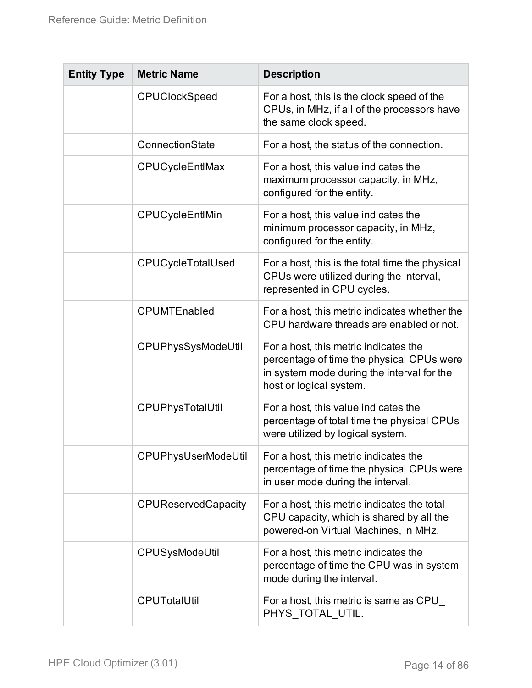| <b>Entity Type</b> | <b>Metric Name</b>         | <b>Description</b>                                                                                                                                          |
|--------------------|----------------------------|-------------------------------------------------------------------------------------------------------------------------------------------------------------|
|                    | <b>CPUClockSpeed</b>       | For a host, this is the clock speed of the<br>CPUs, in MHz, if all of the processors have<br>the same clock speed.                                          |
|                    | ConnectionState            | For a host, the status of the connection.                                                                                                                   |
|                    | CPUCycleEntIMax            | For a host, this value indicates the<br>maximum processor capacity, in MHz,<br>configured for the entity.                                                   |
|                    | CPUCycleEntlMin            | For a host, this value indicates the<br>minimum processor capacity, in MHz,<br>configured for the entity.                                                   |
|                    | <b>CPUCycleTotalUsed</b>   | For a host, this is the total time the physical<br>CPUs were utilized during the interval,<br>represented in CPU cycles.                                    |
|                    | CPUMTEnabled               | For a host, this metric indicates whether the<br>CPU hardware threads are enabled or not.                                                                   |
|                    | <b>CPUPhysSysModeUtil</b>  | For a host, this metric indicates the<br>percentage of time the physical CPUs were<br>in system mode during the interval for the<br>host or logical system. |
|                    | CPUPhysTotalUtil           | For a host, this value indicates the<br>percentage of total time the physical CPUs<br>were utilized by logical system.                                      |
|                    | <b>CPUPhysUserModeUtil</b> | For a host, this metric indicates the<br>percentage of time the physical CPUs were<br>in user mode during the interval.                                     |
|                    | <b>CPUReservedCapacity</b> | For a host, this metric indicates the total<br>CPU capacity, which is shared by all the<br>powered-on Virtual Machines, in MHz.                             |
|                    | CPUSysModeUtil             | For a host, this metric indicates the<br>percentage of time the CPU was in system<br>mode during the interval.                                              |
|                    | CPUTotalUtil               | For a host, this metric is same as CPU<br>PHYS TOTAL UTIL.                                                                                                  |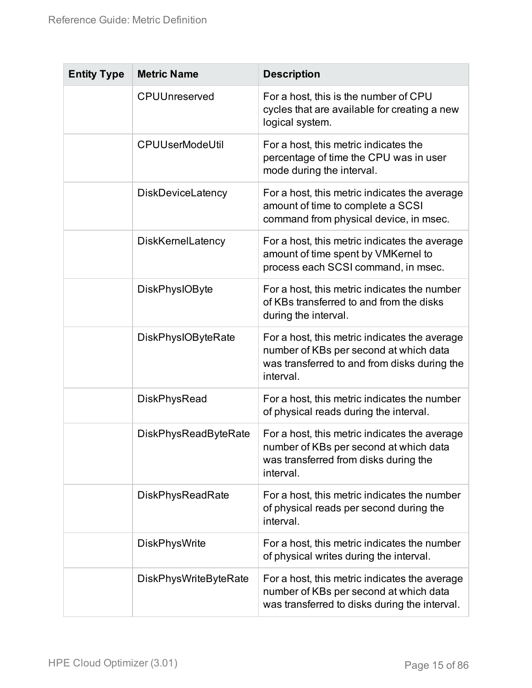| <b>Entity Type</b> | <b>Metric Name</b>           | <b>Description</b>                                                                                                                                   |
|--------------------|------------------------------|------------------------------------------------------------------------------------------------------------------------------------------------------|
|                    | CPUUnreserved                | For a host, this is the number of CPU<br>cycles that are available for creating a new<br>logical system.                                             |
|                    | <b>CPUUserModeUtil</b>       | For a host, this metric indicates the<br>percentage of time the CPU was in user<br>mode during the interval.                                         |
|                    | <b>DiskDeviceLatency</b>     | For a host, this metric indicates the average<br>amount of time to complete a SCSI<br>command from physical device, in msec.                         |
|                    | <b>DiskKernelLatency</b>     | For a host, this metric indicates the average<br>amount of time spent by VMKernel to<br>process each SCSI command, in msec.                          |
|                    | <b>DiskPhysIOByte</b>        | For a host, this metric indicates the number<br>of KBs transferred to and from the disks<br>during the interval.                                     |
|                    | <b>DiskPhysIOByteRate</b>    | For a host, this metric indicates the average<br>number of KBs per second at which data<br>was transferred to and from disks during the<br>interval. |
|                    | <b>DiskPhysRead</b>          | For a host, this metric indicates the number<br>of physical reads during the interval.                                                               |
|                    | <b>DiskPhysReadByteRate</b>  | For a host, this metric indicates the average<br>number of KBs per second at which data<br>was transferred from disks during the<br>interval.        |
|                    | <b>DiskPhysReadRate</b>      | For a host, this metric indicates the number<br>of physical reads per second during the<br>interval.                                                 |
|                    | <b>DiskPhysWrite</b>         | For a host, this metric indicates the number<br>of physical writes during the interval.                                                              |
|                    | <b>DiskPhysWriteByteRate</b> | For a host, this metric indicates the average<br>number of KBs per second at which data<br>was transferred to disks during the interval.             |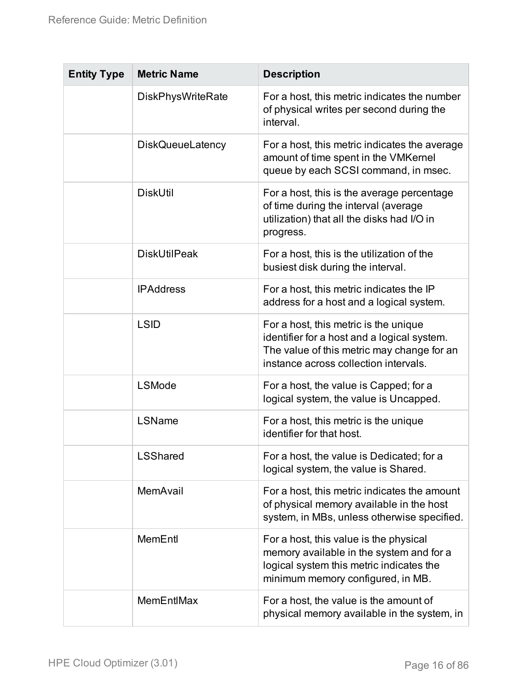| <b>Entity Type</b> | <b>Metric Name</b>       | <b>Description</b>                                                                                                                                                          |
|--------------------|--------------------------|-----------------------------------------------------------------------------------------------------------------------------------------------------------------------------|
|                    | <b>DiskPhysWriteRate</b> | For a host, this metric indicates the number<br>of physical writes per second during the<br>interval.                                                                       |
|                    | <b>DiskQueueLatency</b>  | For a host, this metric indicates the average<br>amount of time spent in the VMKernel<br>queue by each SCSI command, in msec.                                               |
|                    | <b>DiskUtil</b>          | For a host, this is the average percentage<br>of time during the interval (average<br>utilization) that all the disks had I/O in<br>progress.                               |
|                    | <b>DiskUtilPeak</b>      | For a host, this is the utilization of the<br>busiest disk during the interval.                                                                                             |
|                    | <b>IPAddress</b>         | For a host, this metric indicates the IP<br>address for a host and a logical system.                                                                                        |
|                    | <b>LSID</b>              | For a host, this metric is the unique<br>identifier for a host and a logical system.<br>The value of this metric may change for an<br>instance across collection intervals. |
|                    | <b>LSMode</b>            | For a host, the value is Capped; for a<br>logical system, the value is Uncapped.                                                                                            |
|                    | LSName                   | For a host, this metric is the unique<br>identifier for that host.                                                                                                          |
|                    | <b>LSShared</b>          | For a host, the value is Dedicated; for a<br>logical system, the value is Shared.                                                                                           |
|                    | MemAvail                 | For a host, this metric indicates the amount<br>of physical memory available in the host<br>system, in MBs, unless otherwise specified.                                     |
|                    | MemEntl                  | For a host, this value is the physical<br>memory available in the system and for a<br>logical system this metric indicates the<br>minimum memory configured, in MB.         |
|                    | MemEntIMax               | For a host, the value is the amount of<br>physical memory available in the system, in                                                                                       |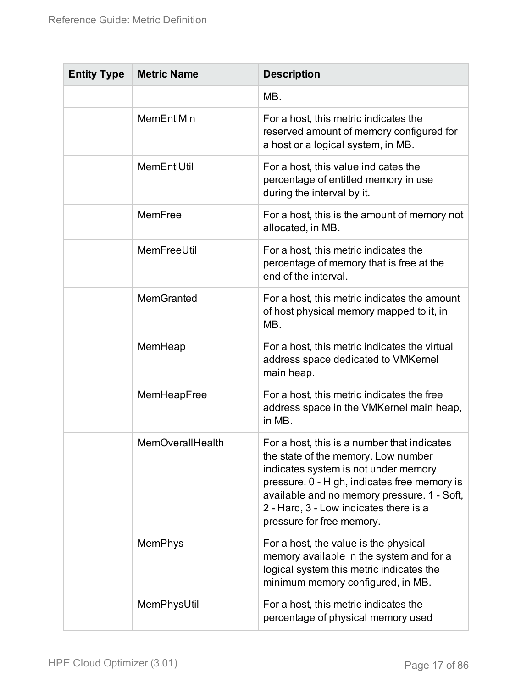| <b>Entity Type</b> | <b>Metric Name</b>      | <b>Description</b>                                                                                                                                                                                                                                                                               |
|--------------------|-------------------------|--------------------------------------------------------------------------------------------------------------------------------------------------------------------------------------------------------------------------------------------------------------------------------------------------|
|                    |                         | MB.                                                                                                                                                                                                                                                                                              |
|                    | MemEntlMin              | For a host, this metric indicates the<br>reserved amount of memory configured for<br>a host or a logical system, in MB.                                                                                                                                                                          |
|                    | MemEntIUtil             | For a host, this value indicates the<br>percentage of entitled memory in use<br>during the interval by it.                                                                                                                                                                                       |
|                    | MemFree                 | For a host, this is the amount of memory not<br>allocated, in MB.                                                                                                                                                                                                                                |
|                    | MemFreeUtil             | For a host, this metric indicates the<br>percentage of memory that is free at the<br>end of the interval.                                                                                                                                                                                        |
|                    | <b>MemGranted</b>       | For a host, this metric indicates the amount<br>of host physical memory mapped to it, in<br>MB.                                                                                                                                                                                                  |
|                    | MemHeap                 | For a host, this metric indicates the virtual<br>address space dedicated to VMKernel<br>main heap.                                                                                                                                                                                               |
|                    | MemHeapFree             | For a host, this metric indicates the free<br>address space in the VMKernel main heap,<br>in MB.                                                                                                                                                                                                 |
|                    | <b>MemOverallHealth</b> | For a host, this is a number that indicates<br>the state of the memory. Low number<br>indicates system is not under memory<br>pressure. 0 - High, indicates free memory is<br>available and no memory pressure. 1 - Soft,<br>2 - Hard, 3 - Low indicates there is a<br>pressure for free memory. |
|                    | <b>MemPhys</b>          | For a host, the value is the physical<br>memory available in the system and for a<br>logical system this metric indicates the<br>minimum memory configured, in MB.                                                                                                                               |
|                    | MemPhysUtil             | For a host, this metric indicates the<br>percentage of physical memory used                                                                                                                                                                                                                      |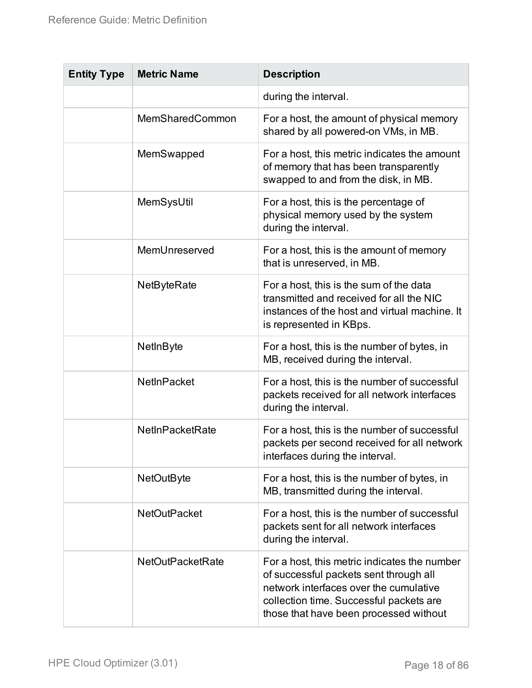| <b>Entity Type</b> | <b>Metric Name</b>      | <b>Description</b>                                                                                                                                                                                                    |
|--------------------|-------------------------|-----------------------------------------------------------------------------------------------------------------------------------------------------------------------------------------------------------------------|
|                    |                         | during the interval.                                                                                                                                                                                                  |
|                    | MemSharedCommon         | For a host, the amount of physical memory<br>shared by all powered-on VMs, in MB.                                                                                                                                     |
|                    | MemSwapped              | For a host, this metric indicates the amount<br>of memory that has been transparently<br>swapped to and from the disk, in MB.                                                                                         |
|                    | MemSysUtil              | For a host, this is the percentage of<br>physical memory used by the system<br>during the interval.                                                                                                                   |
|                    | MemUnreserved           | For a host, this is the amount of memory<br>that is unreserved, in MB.                                                                                                                                                |
|                    | NetByteRate             | For a host, this is the sum of the data<br>transmitted and received for all the NIC<br>instances of the host and virtual machine. It<br>is represented in KBps.                                                       |
|                    | NetInByte               | For a host, this is the number of bytes, in<br>MB, received during the interval.                                                                                                                                      |
|                    | <b>NetInPacket</b>      | For a host, this is the number of successful<br>packets received for all network interfaces<br>during the interval.                                                                                                   |
|                    | <b>NetInPacketRate</b>  | For a host, this is the number of successful<br>packets per second received for all network<br>interfaces during the interval.                                                                                        |
|                    | <b>NetOutByte</b>       | For a host, this is the number of bytes, in<br>MB, transmitted during the interval.                                                                                                                                   |
|                    | <b>NetOutPacket</b>     | For a host, this is the number of successful<br>packets sent for all network interfaces<br>during the interval.                                                                                                       |
|                    | <b>NetOutPacketRate</b> | For a host, this metric indicates the number<br>of successful packets sent through all<br>network interfaces over the cumulative<br>collection time. Successful packets are<br>those that have been processed without |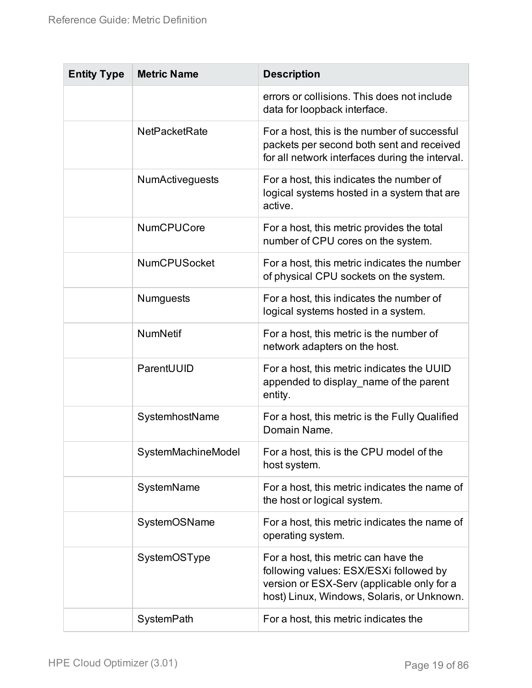| <b>Entity Type</b> | <b>Metric Name</b>     | <b>Description</b>                                                                                                                                                         |
|--------------------|------------------------|----------------------------------------------------------------------------------------------------------------------------------------------------------------------------|
|                    |                        | errors or collisions. This does not include<br>data for loopback interface.                                                                                                |
|                    | <b>NetPacketRate</b>   | For a host, this is the number of successful<br>packets per second both sent and received<br>for all network interfaces during the interval.                               |
|                    | <b>NumActiveguests</b> | For a host, this indicates the number of<br>logical systems hosted in a system that are<br>active.                                                                         |
|                    | <b>NumCPUCore</b>      | For a host, this metric provides the total<br>number of CPU cores on the system.                                                                                           |
|                    | <b>NumCPUSocket</b>    | For a host, this metric indicates the number<br>of physical CPU sockets on the system.                                                                                     |
|                    | <b>Numguests</b>       | For a host, this indicates the number of<br>logical systems hosted in a system.                                                                                            |
|                    | <b>NumNetif</b>        | For a host, this metric is the number of<br>network adapters on the host.                                                                                                  |
|                    | ParentUUID             | For a host, this metric indicates the UUID<br>appended to display name of the parent<br>entity.                                                                            |
|                    | SystemhostName         | For a host, this metric is the Fully Qualified<br>Domain Name.                                                                                                             |
|                    | SystemMachineModel     | For a host, this is the CPU model of the<br>host system.                                                                                                                   |
|                    | SystemName             | For a host, this metric indicates the name of<br>the host or logical system.                                                                                               |
|                    | SystemOSName           | For a host, this metric indicates the name of<br>operating system.                                                                                                         |
|                    | SystemOSType           | For a host, this metric can have the<br>following values: ESX/ESXi followed by<br>version or ESX-Serv (applicable only for a<br>host) Linux, Windows, Solaris, or Unknown. |
|                    | SystemPath             | For a host, this metric indicates the                                                                                                                                      |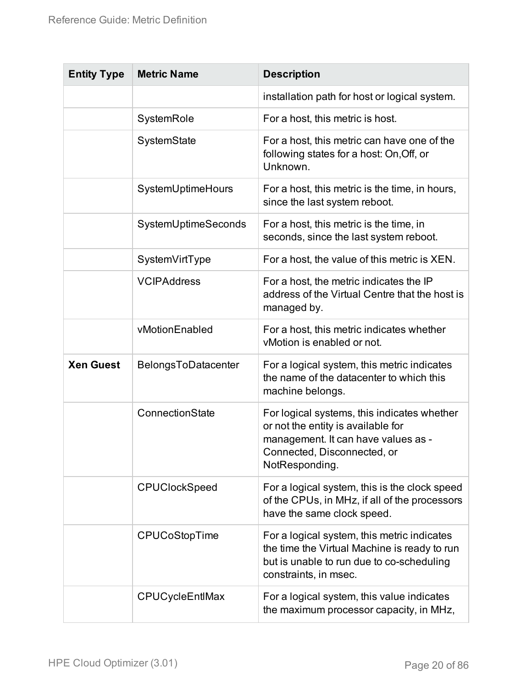<span id="page-19-0"></span>

| <b>Entity Type</b> | <b>Metric Name</b>     | <b>Description</b>                                                                                                                                                        |
|--------------------|------------------------|---------------------------------------------------------------------------------------------------------------------------------------------------------------------------|
|                    |                        | installation path for host or logical system.                                                                                                                             |
|                    | SystemRole             | For a host, this metric is host.                                                                                                                                          |
|                    | SystemState            | For a host, this metric can have one of the<br>following states for a host: On, Off, or<br>Unknown.                                                                       |
|                    | SystemUptimeHours      | For a host, this metric is the time, in hours,<br>since the last system reboot.                                                                                           |
|                    | SystemUptimeSeconds    | For a host, this metric is the time, in<br>seconds, since the last system reboot.                                                                                         |
|                    | SystemVirtType         | For a host, the value of this metric is XEN.                                                                                                                              |
|                    | <b>VCIPAddress</b>     | For a host, the metric indicates the IP<br>address of the Virtual Centre that the host is<br>managed by.                                                                  |
|                    | vMotionEnabled         | For a host, this metric indicates whether<br>vMotion is enabled or not.                                                                                                   |
| <b>Xen Guest</b>   | BelongsToDatacenter    | For a logical system, this metric indicates<br>the name of the datacenter to which this<br>machine belongs.                                                               |
|                    | ConnectionState        | For logical systems, this indicates whether<br>or not the entity is available for<br>management. It can have values as -<br>Connected, Disconnected, or<br>NotResponding. |
|                    | <b>CPUClockSpeed</b>   | For a logical system, this is the clock speed<br>of the CPUs, in MHz, if all of the processors<br>have the same clock speed.                                              |
|                    | <b>CPUCoStopTime</b>   | For a logical system, this metric indicates<br>the time the Virtual Machine is ready to run<br>but is unable to run due to co-scheduling<br>constraints, in msec.         |
|                    | <b>CPUCycleEntIMax</b> | For a logical system, this value indicates<br>the maximum processor capacity, in MHz,                                                                                     |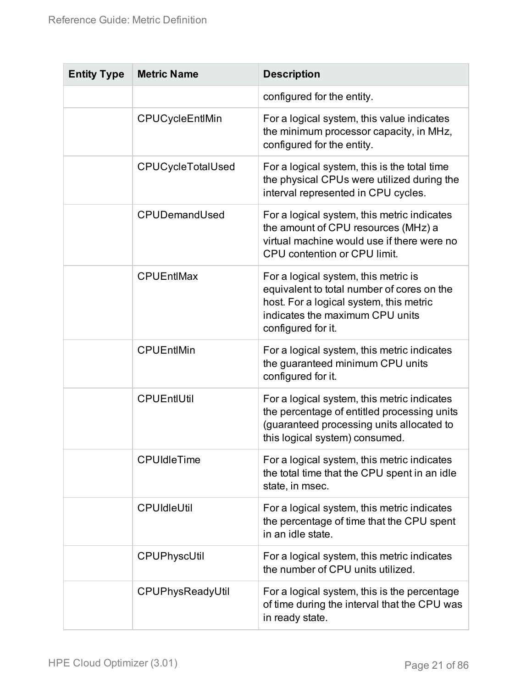| <b>Entity Type</b> | <b>Metric Name</b>       | <b>Description</b>                                                                                                                                                                     |
|--------------------|--------------------------|----------------------------------------------------------------------------------------------------------------------------------------------------------------------------------------|
|                    |                          | configured for the entity.                                                                                                                                                             |
|                    | CPUCycleEntlMin          | For a logical system, this value indicates<br>the minimum processor capacity, in MHz,<br>configured for the entity.                                                                    |
|                    | <b>CPUCycleTotalUsed</b> | For a logical system, this is the total time<br>the physical CPUs were utilized during the<br>interval represented in CPU cycles.                                                      |
|                    | CPUDemandUsed            | For a logical system, this metric indicates<br>the amount of CPU resources (MHz) a<br>virtual machine would use if there were no<br>CPU contention or CPU limit.                       |
|                    | <b>CPUEntIMax</b>        | For a logical system, this metric is<br>equivalent to total number of cores on the<br>host. For a logical system, this metric<br>indicates the maximum CPU units<br>configured for it. |
|                    | <b>CPUEntIMin</b>        | For a logical system, this metric indicates<br>the guaranteed minimum CPU units<br>configured for it.                                                                                  |
|                    | <b>CPUEntIUtil</b>       | For a logical system, this metric indicates<br>the percentage of entitled processing units<br>(guaranteed processing units allocated to<br>this logical system) consumed.              |
|                    | <b>CPUIdleTime</b>       | For a logical system, this metric indicates<br>the total time that the CPU spent in an idle<br>state, in msec.                                                                         |
|                    | <b>CPUIdleUtil</b>       | For a logical system, this metric indicates<br>the percentage of time that the CPU spent<br>in an idle state.                                                                          |
|                    | CPUPhyscUtil             | For a logical system, this metric indicates<br>the number of CPU units utilized.                                                                                                       |
|                    | CPUPhysReadyUtil         | For a logical system, this is the percentage<br>of time during the interval that the CPU was<br>in ready state.                                                                        |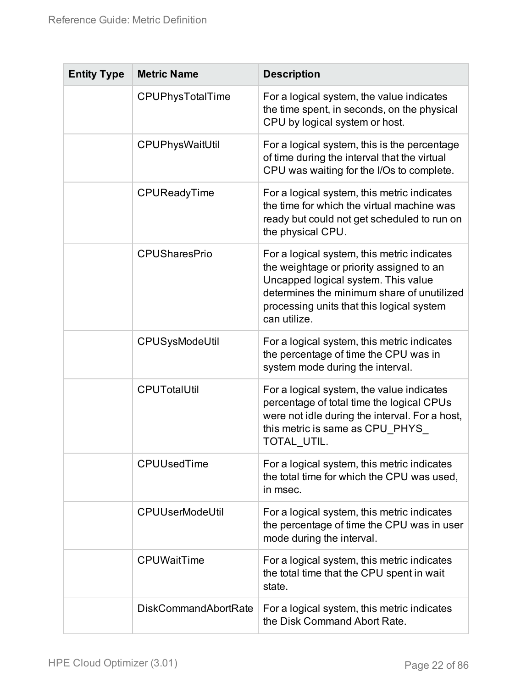| <b>Entity Type</b> | <b>Metric Name</b>          | <b>Description</b>                                                                                                                                                                                                                        |
|--------------------|-----------------------------|-------------------------------------------------------------------------------------------------------------------------------------------------------------------------------------------------------------------------------------------|
|                    | CPUPhysTotalTime            | For a logical system, the value indicates<br>the time spent, in seconds, on the physical<br>CPU by logical system or host.                                                                                                                |
|                    | CPUPhysWaitUtil             | For a logical system, this is the percentage<br>of time during the interval that the virtual<br>CPU was waiting for the I/Os to complete.                                                                                                 |
|                    | CPUReadyTime                | For a logical system, this metric indicates<br>the time for which the virtual machine was<br>ready but could not get scheduled to run on<br>the physical CPU.                                                                             |
|                    | <b>CPUSharesPrio</b>        | For a logical system, this metric indicates<br>the weightage or priority assigned to an<br>Uncapped logical system. This value<br>determines the minimum share of unutilized<br>processing units that this logical system<br>can utilize. |
|                    | CPUSysModeUtil              | For a logical system, this metric indicates<br>the percentage of time the CPU was in<br>system mode during the interval.                                                                                                                  |
|                    | <b>CPUTotalUtil</b>         | For a logical system, the value indicates<br>percentage of total time the logical CPUs<br>were not idle during the interval. For a host,<br>this metric is same as CPU_PHYS_<br>TOTAL UTIL.                                               |
|                    | <b>CPUUsedTime</b>          | For a logical system, this metric indicates<br>the total time for which the CPU was used,<br>in msec.                                                                                                                                     |
|                    | <b>CPUUserModeUtil</b>      | For a logical system, this metric indicates<br>the percentage of time the CPU was in user<br>mode during the interval.                                                                                                                    |
|                    | <b>CPUWaitTime</b>          | For a logical system, this metric indicates<br>the total time that the CPU spent in wait<br>state.                                                                                                                                        |
|                    | <b>DiskCommandAbortRate</b> | For a logical system, this metric indicates<br>the Disk Command Abort Rate.                                                                                                                                                               |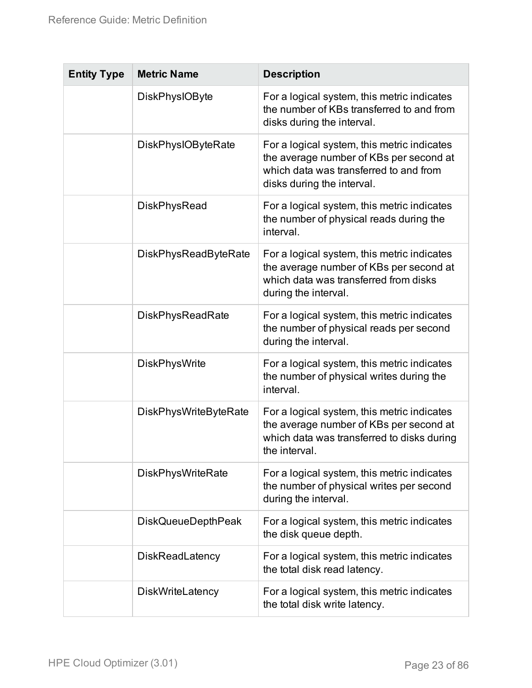| <b>Entity Type</b> | <b>Metric Name</b>           | <b>Description</b>                                                                                                                                             |
|--------------------|------------------------------|----------------------------------------------------------------------------------------------------------------------------------------------------------------|
|                    | <b>DiskPhysIOByte</b>        | For a logical system, this metric indicates<br>the number of KBs transferred to and from<br>disks during the interval.                                         |
|                    | <b>DiskPhysIOByteRate</b>    | For a logical system, this metric indicates<br>the average number of KBs per second at<br>which data was transferred to and from<br>disks during the interval. |
|                    | <b>DiskPhysRead</b>          | For a logical system, this metric indicates<br>the number of physical reads during the<br>interval.                                                            |
|                    | <b>DiskPhysReadByteRate</b>  | For a logical system, this metric indicates<br>the average number of KBs per second at<br>which data was transferred from disks<br>during the interval.        |
|                    | <b>DiskPhysReadRate</b>      | For a logical system, this metric indicates<br>the number of physical reads per second<br>during the interval.                                                 |
|                    | <b>DiskPhysWrite</b>         | For a logical system, this metric indicates<br>the number of physical writes during the<br>interval.                                                           |
|                    | <b>DiskPhysWriteByteRate</b> | For a logical system, this metric indicates<br>the average number of KBs per second at<br>which data was transferred to disks during<br>the interval.          |
|                    | <b>DiskPhysWriteRate</b>     | For a logical system, this metric indicates<br>the number of physical writes per second<br>during the interval.                                                |
|                    | <b>DiskQueueDepthPeak</b>    | For a logical system, this metric indicates<br>the disk queue depth.                                                                                           |
|                    | <b>DiskReadLatency</b>       | For a logical system, this metric indicates<br>the total disk read latency.                                                                                    |
|                    | <b>DiskWriteLatency</b>      | For a logical system, this metric indicates<br>the total disk write latency.                                                                                   |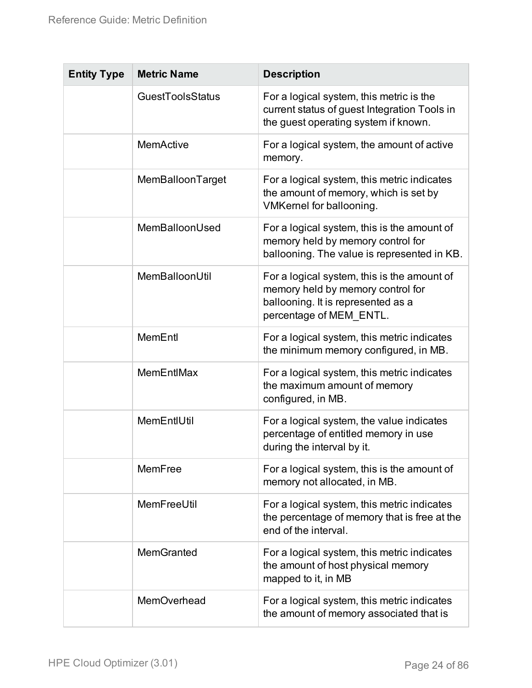| <b>Entity Type</b> | <b>Metric Name</b>      | <b>Description</b>                                                                                                                                |
|--------------------|-------------------------|---------------------------------------------------------------------------------------------------------------------------------------------------|
|                    | <b>GuestToolsStatus</b> | For a logical system, this metric is the<br>current status of guest Integration Tools in<br>the guest operating system if known.                  |
|                    | <b>MemActive</b>        | For a logical system, the amount of active<br>memory.                                                                                             |
|                    | MemBalloonTarget        | For a logical system, this metric indicates<br>the amount of memory, which is set by<br>VMKernel for ballooning.                                  |
|                    | MemBalloonUsed          | For a logical system, this is the amount of<br>memory held by memory control for<br>ballooning. The value is represented in KB.                   |
|                    | MemBalloonUtil          | For a logical system, this is the amount of<br>memory held by memory control for<br>ballooning. It is represented as a<br>percentage of MEM_ENTL. |
|                    | MemEntl                 | For a logical system, this metric indicates<br>the minimum memory configured, in MB.                                                              |
|                    | MemEntIMax              | For a logical system, this metric indicates<br>the maximum amount of memory<br>configured, in MB.                                                 |
|                    | MemEntIUtil             | For a logical system, the value indicates<br>percentage of entitled memory in use<br>during the interval by it.                                   |
|                    | MemFree                 | For a logical system, this is the amount of<br>memory not allocated, in MB.                                                                       |
|                    | MemFreeUtil             | For a logical system, this metric indicates<br>the percentage of memory that is free at the<br>end of the interval.                               |
|                    | MemGranted              | For a logical system, this metric indicates<br>the amount of host physical memory<br>mapped to it, in MB                                          |
|                    | MemOverhead             | For a logical system, this metric indicates<br>the amount of memory associated that is                                                            |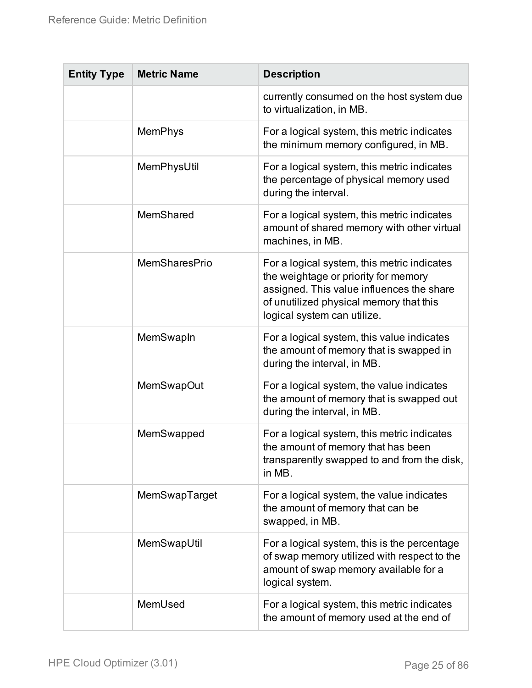| <b>Entity Type</b> | <b>Metric Name</b>   | <b>Description</b>                                                                                                                                                                                         |
|--------------------|----------------------|------------------------------------------------------------------------------------------------------------------------------------------------------------------------------------------------------------|
|                    |                      | currently consumed on the host system due<br>to virtualization, in MB.                                                                                                                                     |
|                    | <b>MemPhys</b>       | For a logical system, this metric indicates<br>the minimum memory configured, in MB.                                                                                                                       |
|                    | MemPhysUtil          | For a logical system, this metric indicates<br>the percentage of physical memory used<br>during the interval.                                                                                              |
|                    | MemShared            | For a logical system, this metric indicates<br>amount of shared memory with other virtual<br>machines, in MB.                                                                                              |
|                    | <b>MemSharesPrio</b> | For a logical system, this metric indicates<br>the weightage or priority for memory<br>assigned. This value influences the share<br>of unutilized physical memory that this<br>logical system can utilize. |
|                    | MemSwapIn            | For a logical system, this value indicates<br>the amount of memory that is swapped in<br>during the interval, in MB.                                                                                       |
|                    | <b>MemSwapOut</b>    | For a logical system, the value indicates<br>the amount of memory that is swapped out<br>during the interval, in MB.                                                                                       |
|                    | MemSwapped           | For a logical system, this metric indicates<br>the amount of memory that has been<br>transparently swapped to and from the disk,<br>in MB.                                                                 |
|                    | MemSwapTarget        | For a logical system, the value indicates<br>the amount of memory that can be<br>swapped, in MB.                                                                                                           |
|                    | MemSwapUtil          | For a logical system, this is the percentage<br>of swap memory utilized with respect to the<br>amount of swap memory available for a<br>logical system.                                                    |
|                    | MemUsed              | For a logical system, this metric indicates<br>the amount of memory used at the end of                                                                                                                     |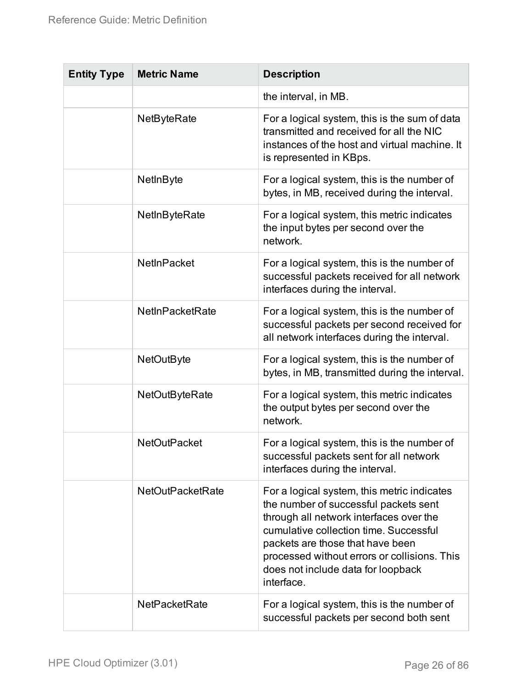| <b>Entity Type</b> | <b>Metric Name</b>      | <b>Description</b>                                                                                                                                                                                                                                                                                                |
|--------------------|-------------------------|-------------------------------------------------------------------------------------------------------------------------------------------------------------------------------------------------------------------------------------------------------------------------------------------------------------------|
|                    |                         | the interval, in MB.                                                                                                                                                                                                                                                                                              |
|                    | NetByteRate             | For a logical system, this is the sum of data<br>transmitted and received for all the NIC<br>instances of the host and virtual machine. It<br>is represented in KBps.                                                                                                                                             |
|                    | NetInByte               | For a logical system, this is the number of<br>bytes, in MB, received during the interval.                                                                                                                                                                                                                        |
|                    | NetInByteRate           | For a logical system, this metric indicates<br>the input bytes per second over the<br>network.                                                                                                                                                                                                                    |
|                    | <b>NetInPacket</b>      | For a logical system, this is the number of<br>successful packets received for all network<br>interfaces during the interval.                                                                                                                                                                                     |
|                    | NetInPacketRate         | For a logical system, this is the number of<br>successful packets per second received for<br>all network interfaces during the interval.                                                                                                                                                                          |
|                    | <b>NetOutByte</b>       | For a logical system, this is the number of<br>bytes, in MB, transmitted during the interval.                                                                                                                                                                                                                     |
|                    | <b>NetOutByteRate</b>   | For a logical system, this metric indicates<br>the output bytes per second over the<br>network.                                                                                                                                                                                                                   |
|                    | <b>NetOutPacket</b>     | For a logical system, this is the number of<br>successful packets sent for all network<br>interfaces during the interval.                                                                                                                                                                                         |
|                    | <b>NetOutPacketRate</b> | For a logical system, this metric indicates<br>the number of successful packets sent<br>through all network interfaces over the<br>cumulative collection time. Successful<br>packets are those that have been<br>processed without errors or collisions. This<br>does not include data for loopback<br>interface. |
|                    | <b>NetPacketRate</b>    | For a logical system, this is the number of<br>successful packets per second both sent                                                                                                                                                                                                                            |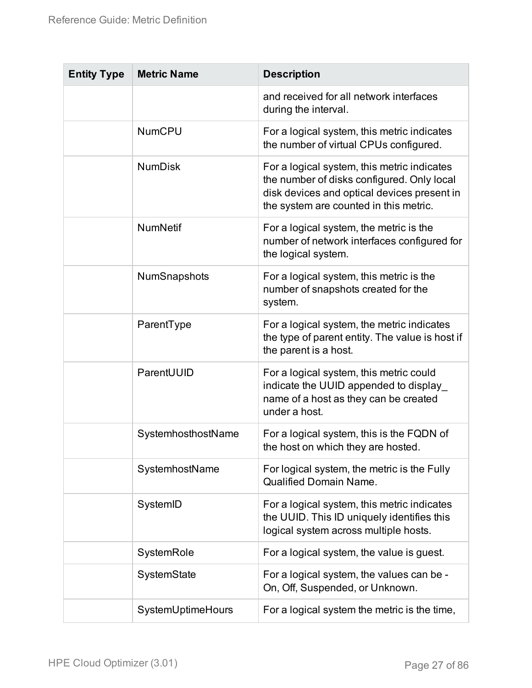| <b>Entity Type</b> | <b>Metric Name</b> | <b>Description</b>                                                                                                                                                                 |
|--------------------|--------------------|------------------------------------------------------------------------------------------------------------------------------------------------------------------------------------|
|                    |                    | and received for all network interfaces<br>during the interval.                                                                                                                    |
|                    | <b>NumCPU</b>      | For a logical system, this metric indicates<br>the number of virtual CPUs configured.                                                                                              |
|                    | <b>NumDisk</b>     | For a logical system, this metric indicates<br>the number of disks configured. Only local<br>disk devices and optical devices present in<br>the system are counted in this metric. |
|                    | <b>NumNetif</b>    | For a logical system, the metric is the<br>number of network interfaces configured for<br>the logical system.                                                                      |
|                    | NumSnapshots       | For a logical system, this metric is the<br>number of snapshots created for the<br>system.                                                                                         |
|                    | ParentType         | For a logical system, the metric indicates<br>the type of parent entity. The value is host if<br>the parent is a host.                                                             |
|                    | ParentUUID         | For a logical system, this metric could<br>indicate the UUID appended to display_<br>name of a host as they can be created<br>under a host.                                        |
|                    | SystemhosthostName | For a logical system, this is the FQDN of<br>the host on which they are hosted.                                                                                                    |
|                    | SystemhostName     | For logical system, the metric is the Fully<br><b>Qualified Domain Name.</b>                                                                                                       |
|                    | SystemID           | For a logical system, this metric indicates<br>the UUID. This ID uniquely identifies this<br>logical system across multiple hosts.                                                 |
|                    | SystemRole         | For a logical system, the value is guest.                                                                                                                                          |
|                    | SystemState        | For a logical system, the values can be -<br>On, Off, Suspended, or Unknown.                                                                                                       |
|                    | SystemUptimeHours  | For a logical system the metric is the time,                                                                                                                                       |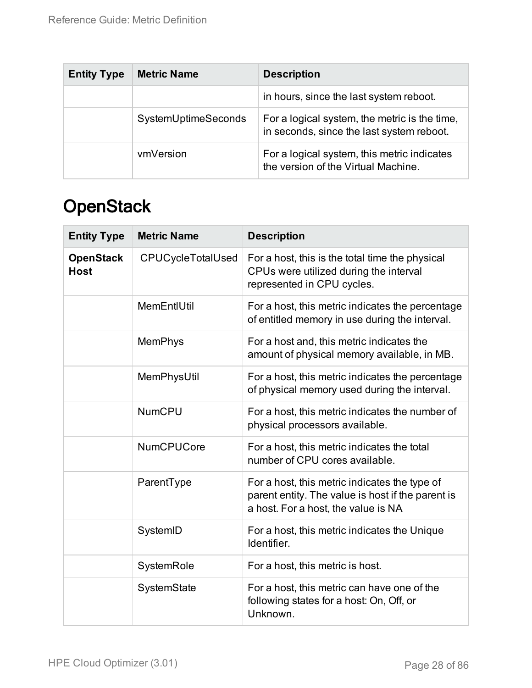| <b>Entity Type</b> | <b>Metric Name</b>  | <b>Description</b>                                                                         |
|--------------------|---------------------|--------------------------------------------------------------------------------------------|
|                    |                     | in hours, since the last system reboot.                                                    |
|                    | SystemUptimeSeconds | For a logical system, the metric is the time,<br>in seconds, since the last system reboot. |
|                    | vmVersion           | For a logical system, this metric indicates<br>the version of the Virtual Machine.         |

### <span id="page-27-0"></span>**OpenStack**

<span id="page-27-1"></span>

| <b>Entity Type</b>              | <b>Metric Name</b> | <b>Description</b>                                                                                                                        |
|---------------------------------|--------------------|-------------------------------------------------------------------------------------------------------------------------------------------|
| <b>OpenStack</b><br><b>Host</b> | CPUCycleTotalUsed  | For a host, this is the total time the physical<br>CPUs were utilized during the interval<br>represented in CPU cycles.                   |
|                                 | MemEntIUtil        | For a host, this metric indicates the percentage<br>of entitled memory in use during the interval.                                        |
|                                 | <b>MemPhys</b>     | For a host and, this metric indicates the<br>amount of physical memory available, in MB.                                                  |
|                                 | MemPhysUtil        | For a host, this metric indicates the percentage<br>of physical memory used during the interval.                                          |
|                                 | <b>NumCPU</b>      | For a host, this metric indicates the number of<br>physical processors available.                                                         |
|                                 | <b>NumCPUCore</b>  | For a host, this metric indicates the total<br>number of CPU cores available.                                                             |
|                                 | ParentType         | For a host, this metric indicates the type of<br>parent entity. The value is host if the parent is<br>a host. For a host, the value is NA |
|                                 | SystemID           | For a host, this metric indicates the Unique<br>Identifier.                                                                               |
|                                 | SystemRole         | For a host, this metric is host.                                                                                                          |
|                                 | SystemState        | For a host, this metric can have one of the<br>following states for a host: On, Off, or<br>Unknown.                                       |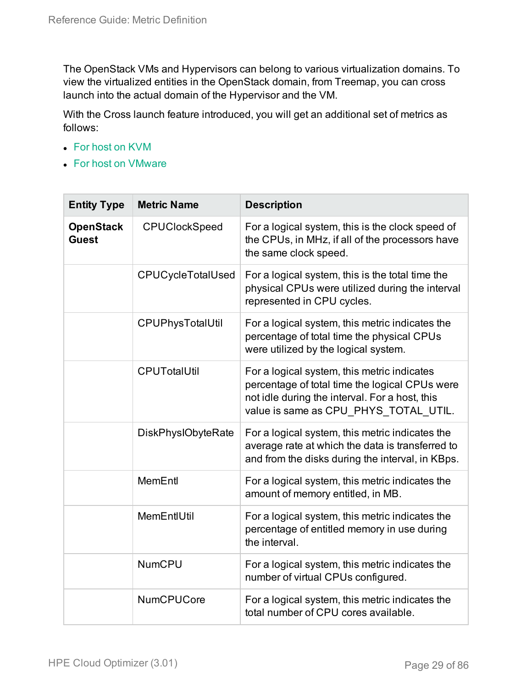The OpenStack VMs and Hypervisors can belong to various virtualization domains. To view the virtualized entities in the OpenStack domain, from Treemap, you can cross launch into the actual domain of the Hypervisor and the VM.

With the Cross launch feature introduced, you will get an additional set of metrics as follows:

- For host on [KVM](#page-5-2)
- For host on [VMware](#page-61-0)

<span id="page-28-0"></span>

| <b>Entity Type</b>               | <b>Metric Name</b>        | <b>Description</b>                                                                                                                                                                       |
|----------------------------------|---------------------------|------------------------------------------------------------------------------------------------------------------------------------------------------------------------------------------|
| <b>OpenStack</b><br><b>Guest</b> | <b>CPUClockSpeed</b>      | For a logical system, this is the clock speed of<br>the CPUs, in MHz, if all of the processors have<br>the same clock speed.                                                             |
|                                  | <b>CPUCycleTotalUsed</b>  | For a logical system, this is the total time the<br>physical CPUs were utilized during the interval<br>represented in CPU cycles.                                                        |
|                                  | CPUPhysTotalUtil          | For a logical system, this metric indicates the<br>percentage of total time the physical CPUs<br>were utilized by the logical system.                                                    |
|                                  | <b>CPUTotalUtil</b>       | For a logical system, this metric indicates<br>percentage of total time the logical CPUs were<br>not idle during the interval. For a host, this<br>value is same as CPU_PHYS_TOTAL UTIL. |
|                                  | <b>DiskPhysIObyteRate</b> | For a logical system, this metric indicates the<br>average rate at which the data is transferred to<br>and from the disks during the interval, in KBps.                                  |
|                                  | <b>MemEntl</b>            | For a logical system, this metric indicates the<br>amount of memory entitled, in MB.                                                                                                     |
|                                  | MemEntIUtil               | For a logical system, this metric indicates the<br>percentage of entitled memory in use during<br>the interval.                                                                          |
|                                  | <b>NumCPU</b>             | For a logical system, this metric indicates the<br>number of virtual CPUs configured.                                                                                                    |
|                                  | <b>NumCPUCore</b>         | For a logical system, this metric indicates the<br>total number of CPU cores available.                                                                                                  |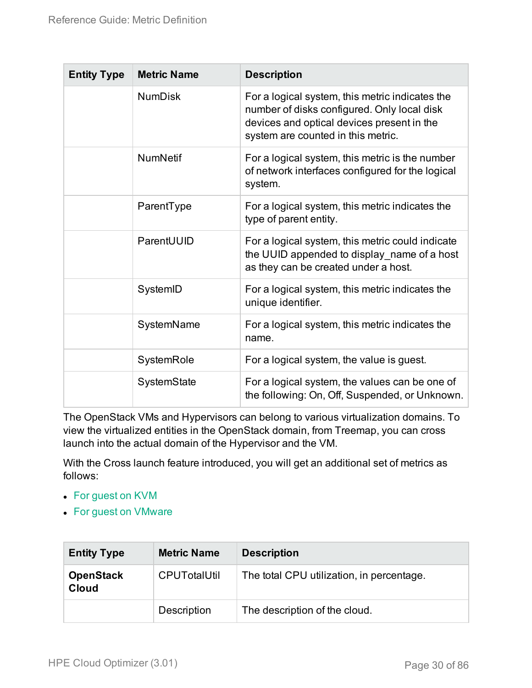| <b>Entity Type</b> | <b>Metric Name</b> | <b>Description</b>                                                                                                                                                                 |
|--------------------|--------------------|------------------------------------------------------------------------------------------------------------------------------------------------------------------------------------|
|                    | <b>NumDisk</b>     | For a logical system, this metric indicates the<br>number of disks configured. Only local disk<br>devices and optical devices present in the<br>system are counted in this metric. |
|                    | <b>NumNetif</b>    | For a logical system, this metric is the number<br>of network interfaces configured for the logical<br>system.                                                                     |
|                    | ParentType         | For a logical system, this metric indicates the<br>type of parent entity.                                                                                                          |
|                    | ParentUUID         | For a logical system, this metric could indicate<br>the UUID appended to display_name of a host<br>as they can be created under a host.                                            |
|                    | SystemID           | For a logical system, this metric indicates the<br>unique identifier.                                                                                                              |
|                    | SystemName         | For a logical system, this metric indicates the<br>name.                                                                                                                           |
|                    | SystemRole         | For a logical system, the value is guest.                                                                                                                                          |
|                    | SystemState        | For a logical system, the values can be one of<br>the following: On, Off, Suspended, or Unknown.                                                                                   |

The OpenStack VMs and Hypervisors can belong to various virtualization domains. To view the virtualized entities in the OpenStack domain, from Treemap, you can cross launch into the actual domain of the Hypervisor and the VM.

With the Cross launch feature introduced, you will get an additional set of metrics as follows:

- For [guest](#page-9-0) on KVM
- For guest on [VMware](#page-41-0)

<span id="page-29-0"></span>

| <b>Entity Type</b>               | <b>Metric Name</b>  | <b>Description</b>                        |
|----------------------------------|---------------------|-------------------------------------------|
| <b>OpenStack</b><br><b>Cloud</b> | <b>CPUTotalUtil</b> | The total CPU utilization, in percentage. |
|                                  | Description         | The description of the cloud.             |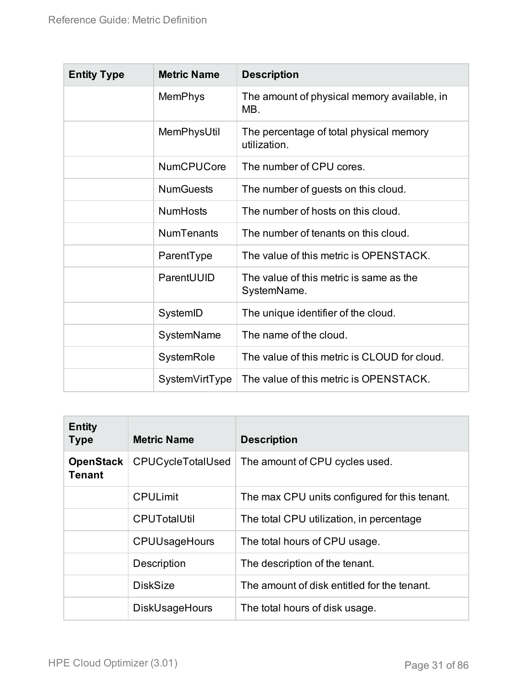| <b>Entity Type</b> | <b>Metric Name</b> | <b>Description</b>                                      |
|--------------------|--------------------|---------------------------------------------------------|
|                    | <b>MemPhys</b>     | The amount of physical memory available, in<br>MB.      |
|                    | MemPhysUtil        | The percentage of total physical memory<br>utilization. |
|                    | <b>NumCPUCore</b>  | The number of CPU cores.                                |
|                    | <b>NumGuests</b>   | The number of guests on this cloud.                     |
|                    | <b>NumHosts</b>    | The number of hosts on this cloud.                      |
|                    | <b>NumTenants</b>  | The number of tenants on this cloud.                    |
|                    | ParentType         | The value of this metric is OPENSTACK.                  |
|                    | ParentUUID         | The value of this metric is same as the<br>SystemName.  |
|                    | SystemID           | The unique identifier of the cloud.                     |
|                    | SystemName         | The name of the cloud.                                  |
|                    | SystemRole         | The value of this metric is CLOUD for cloud.            |
|                    | SystemVirtType     | The value of this metric is OPENSTACK.                  |

<span id="page-30-0"></span>

| <b>Entity</b><br><b>Type</b>      | <b>Metric Name</b>    | <b>Description</b>                            |
|-----------------------------------|-----------------------|-----------------------------------------------|
| <b>OpenStack</b><br><b>Tenant</b> | CPUCycleTotalUsed     | The amount of CPU cycles used.                |
|                                   | <b>CPULimit</b>       | The max CPU units configured for this tenant. |
|                                   | <b>CPUTotalUtil</b>   | The total CPU utilization, in percentage      |
|                                   | <b>CPUUsageHours</b>  | The total hours of CPU usage.                 |
|                                   | Description           | The description of the tenant.                |
|                                   | <b>DiskSize</b>       | The amount of disk entitled for the tenant.   |
|                                   | <b>DiskUsageHours</b> | The total hours of disk usage.                |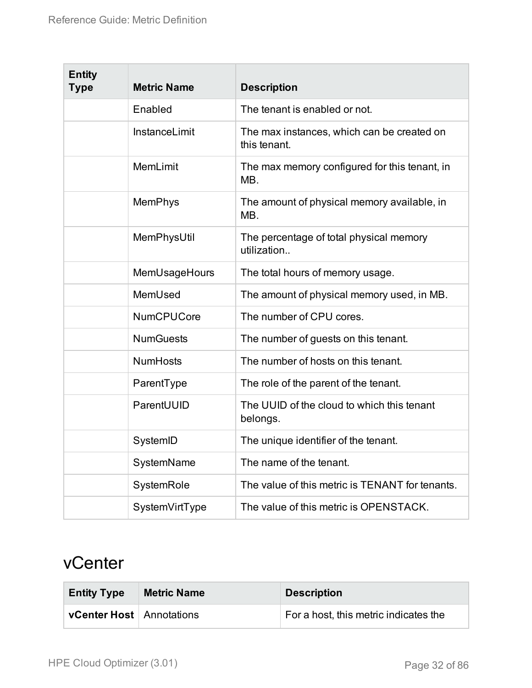| <b>Entity</b><br><b>Type</b> | <b>Metric Name</b> | <b>Description</b>                                         |
|------------------------------|--------------------|------------------------------------------------------------|
|                              | Enabled            | The tenant is enabled or not.                              |
|                              | InstanceLimit      | The max instances, which can be created on<br>this tenant. |
|                              | <b>MemLimit</b>    | The max memory configured for this tenant, in<br>MB.       |
|                              | <b>MemPhys</b>     | The amount of physical memory available, in<br>MB.         |
|                              | MemPhysUtil        | The percentage of total physical memory<br>utilization     |
|                              | MemUsageHours      | The total hours of memory usage.                           |
|                              | MemUsed            | The amount of physical memory used, in MB.                 |
|                              | <b>NumCPUCore</b>  | The number of CPU cores.                                   |
|                              | <b>NumGuests</b>   | The number of guests on this tenant.                       |
|                              | <b>NumHosts</b>    | The number of hosts on this tenant.                        |
|                              | ParentType         | The role of the parent of the tenant.                      |
|                              | ParentUUID         | The UUID of the cloud to which this tenant<br>belongs.     |
|                              | SystemID           | The unique identifier of the tenant.                       |
|                              | SystemName         | The name of the tenant.                                    |
|                              | SystemRole         | The value of this metric is TENANT for tenants.            |
|                              | SystemVirtType     | The value of this metric is OPENSTACK.                     |

### <span id="page-31-0"></span>vCenter

| <b>Entity Type</b>              | <b>Metric Name</b> | <b>Description</b>                    |
|---------------------------------|--------------------|---------------------------------------|
| <b>vCenter Host</b> Annotations |                    | For a host, this metric indicates the |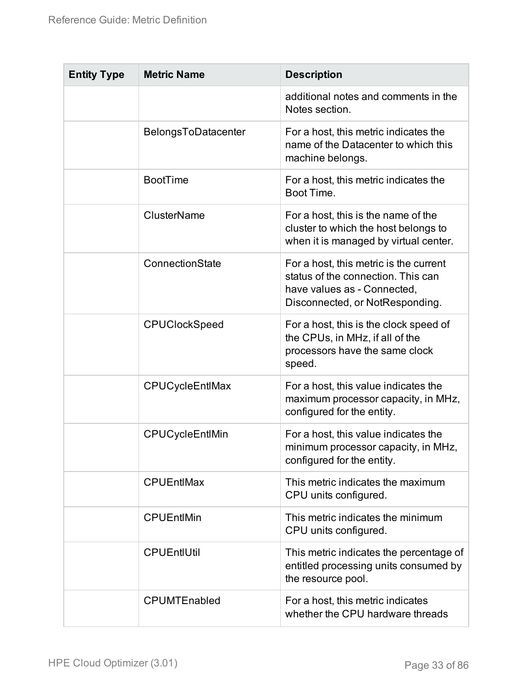| <b>Entity Type</b> | <b>Metric Name</b>   | <b>Description</b>                                                                                                                             |
|--------------------|----------------------|------------------------------------------------------------------------------------------------------------------------------------------------|
|                    |                      | additional notes and comments in the<br>Notes section.                                                                                         |
|                    | BelongsToDatacenter  | For a host, this metric indicates the<br>name of the Datacenter to which this<br>machine belongs.                                              |
|                    | <b>BootTime</b>      | For a host, this metric indicates the<br>Boot Time.                                                                                            |
|                    | <b>ClusterName</b>   | For a host, this is the name of the<br>cluster to which the host belongs to<br>when it is managed by virtual center.                           |
|                    | ConnectionState      | For a host, this metric is the current<br>status of the connection. This can<br>have values as - Connected,<br>Disconnected, or NotResponding. |
|                    | <b>CPUClockSpeed</b> | For a host, this is the clock speed of<br>the CPUs, in MHz, if all of the<br>processors have the same clock<br>speed.                          |
|                    | CPUCycleEntlMax      | For a host, this value indicates the<br>maximum processor capacity, in MHz,<br>configured for the entity.                                      |
|                    | CPUCycleEntlMin      | For a host, this value indicates the<br>minimum processor capacity, in MHz,<br>configured for the entity.                                      |
|                    | <b>CPUEntIMax</b>    | This metric indicates the maximum<br>CPU units configured.                                                                                     |
|                    | <b>CPUEntIMin</b>    | This metric indicates the minimum<br>CPU units configured.                                                                                     |
|                    | <b>CPUEntIUtil</b>   | This metric indicates the percentage of<br>entitled processing units consumed by<br>the resource pool.                                         |
|                    | <b>CPUMTEnabled</b>  | For a host, this metric indicates<br>whether the CPU hardware threads                                                                          |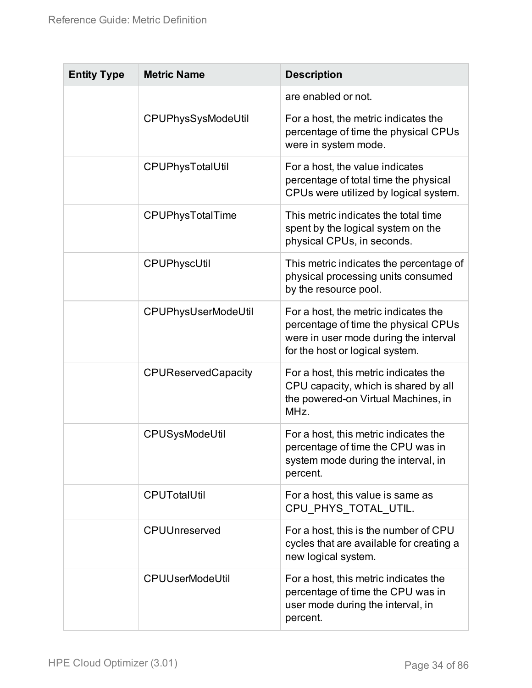| <b>Entity Type</b> | <b>Metric Name</b>         | <b>Description</b>                                                                                                                                       |
|--------------------|----------------------------|----------------------------------------------------------------------------------------------------------------------------------------------------------|
|                    |                            | are enabled or not.                                                                                                                                      |
|                    | CPUPhysSysModeUtil         | For a host, the metric indicates the<br>percentage of time the physical CPUs<br>were in system mode.                                                     |
|                    | CPUPhysTotalUtil           | For a host, the value indicates<br>percentage of total time the physical<br>CPUs were utilized by logical system.                                        |
|                    | CPUPhysTotalTime           | This metric indicates the total time<br>spent by the logical system on the<br>physical CPUs, in seconds.                                                 |
|                    | CPUPhyscUtil               | This metric indicates the percentage of<br>physical processing units consumed<br>by the resource pool.                                                   |
|                    | CPUPhysUserModeUtil        | For a host, the metric indicates the<br>percentage of time the physical CPUs<br>were in user mode during the interval<br>for the host or logical system. |
|                    | <b>CPUReservedCapacity</b> | For a host, this metric indicates the<br>CPU capacity, which is shared by all<br>the powered-on Virtual Machines, in<br>MHz.                             |
|                    | CPUSysModeUtil             | For a host, this metric indicates the<br>percentage of time the CPU was in<br>system mode during the interval, in<br>percent.                            |
|                    | <b>CPUTotalUtil</b>        | For a host, this value is same as<br>CPU PHYS TOTAL UTIL.                                                                                                |
|                    | <b>CPUUnreserved</b>       | For a host, this is the number of CPU<br>cycles that are available for creating a<br>new logical system.                                                 |
|                    | <b>CPUUserModeUtil</b>     | For a host, this metric indicates the<br>percentage of time the CPU was in<br>user mode during the interval, in<br>percent.                              |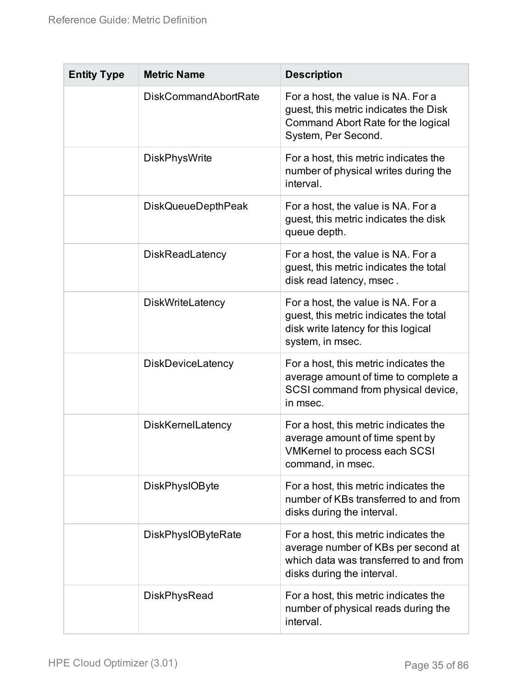| <b>Entity Type</b> | <b>Metric Name</b>          | <b>Description</b>                                                                                                                                   |
|--------------------|-----------------------------|------------------------------------------------------------------------------------------------------------------------------------------------------|
|                    | <b>DiskCommandAbortRate</b> | For a host, the value is NA. For a<br>guest, this metric indicates the Disk<br>Command Abort Rate for the logical<br>System, Per Second.             |
|                    | <b>DiskPhysWrite</b>        | For a host, this metric indicates the<br>number of physical writes during the<br>interval.                                                           |
|                    | <b>DiskQueueDepthPeak</b>   | For a host, the value is NA. For a<br>guest, this metric indicates the disk<br>queue depth.                                                          |
|                    | <b>DiskReadLatency</b>      | For a host, the value is NA. For a<br>guest, this metric indicates the total<br>disk read latency, msec.                                             |
|                    | <b>DiskWriteLatency</b>     | For a host, the value is NA. For a<br>guest, this metric indicates the total<br>disk write latency for this logical<br>system, in msec.              |
|                    | DiskDeviceLatency           | For a host, this metric indicates the<br>average amount of time to complete a<br>SCSI command from physical device,<br>in msec.                      |
|                    | <b>DiskKernelLatency</b>    | For a host, this metric indicates the<br>average amount of time spent by<br>VMKernel to process each SCSI<br>command, in msec.                       |
|                    | <b>DiskPhysIOByte</b>       | For a host, this metric indicates the<br>number of KBs transferred to and from<br>disks during the interval.                                         |
|                    | <b>DiskPhysIOByteRate</b>   | For a host, this metric indicates the<br>average number of KBs per second at<br>which data was transferred to and from<br>disks during the interval. |
|                    | <b>DiskPhysRead</b>         | For a host, this metric indicates the<br>number of physical reads during the<br>interval.                                                            |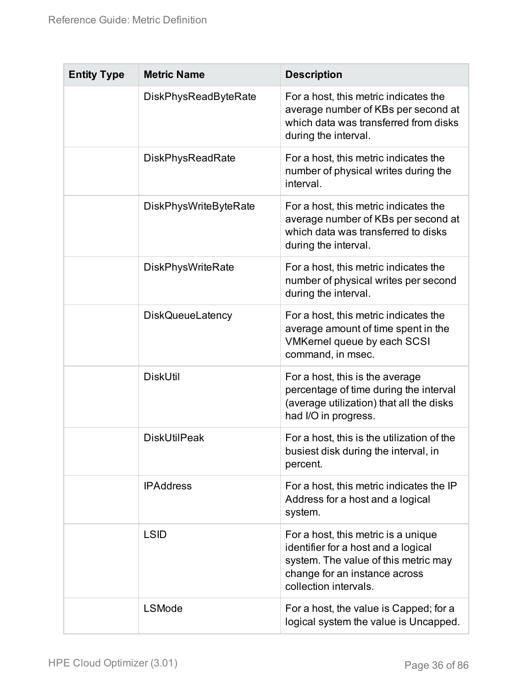| <b>Entity Type</b> | <b>Metric Name</b>          | <b>Description</b>                                                                                                                                                           |
|--------------------|-----------------------------|------------------------------------------------------------------------------------------------------------------------------------------------------------------------------|
|                    | <b>DiskPhysReadByteRate</b> | For a host, this metric indicates the<br>average number of KBs per second at<br>which data was transferred from disks<br>during the interval.                                |
|                    | <b>DiskPhysReadRate</b>     | For a host, this metric indicates the<br>number of physical writes during the<br>interval.                                                                                   |
|                    | DiskPhysWriteByteRate       | For a host, this metric indicates the<br>average number of KBs per second at<br>which data was transferred to disks<br>during the interval.                                  |
|                    | <b>DiskPhysWriteRate</b>    | For a host, this metric indicates the<br>number of physical writes per second<br>during the interval.                                                                        |
|                    | <b>DiskQueueLatency</b>     | For a host, this metric indicates the<br>average amount of time spent in the<br><b>VMKernel queue by each SCSI</b><br>command, in msec.                                      |
|                    | <b>DiskUtil</b>             | For a host, this is the average<br>percentage of time during the interval<br>(average utilization) that all the disks<br>had I/O in progress.                                |
|                    | <b>DiskUtilPeak</b>         | For a host, this is the utilization of the<br>busiest disk during the interval, in<br>percent.                                                                               |
|                    | <b>IPAddress</b>            | For a host, this metric indicates the IP<br>Address for a host and a logical<br>system.                                                                                      |
|                    | <b>LSID</b>                 | For a host, this metric is a unique<br>identifier for a host and a logical<br>system. The value of this metric may<br>change for an instance across<br>collection intervals. |
|                    | <b>LSMode</b>               | For a host, the value is Capped; for a<br>logical system the value is Uncapped.                                                                                              |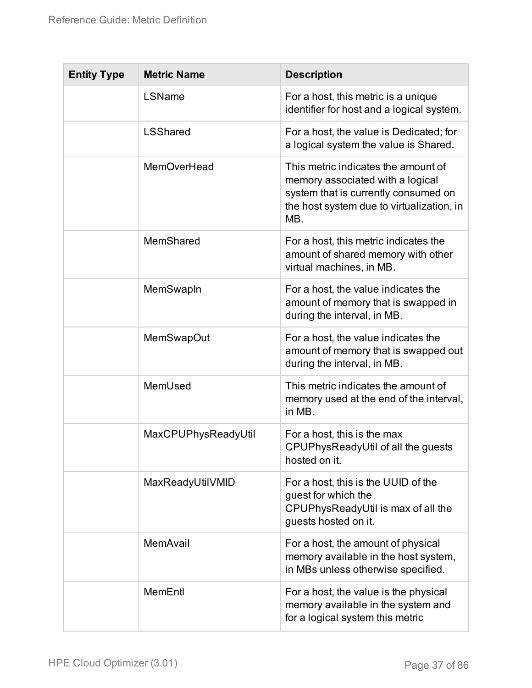| <b>Entity Type</b> | <b>Metric Name</b>  | <b>Description</b>                                                                                                                                                  |
|--------------------|---------------------|---------------------------------------------------------------------------------------------------------------------------------------------------------------------|
|                    | LSName              | For a host, this metric is a unique<br>identifier for host and a logical system.                                                                                    |
|                    | <b>LSShared</b>     | For a host, the value is Dedicated; for<br>a logical system the value is Shared.                                                                                    |
|                    | <b>MemOverHead</b>  | This metric indicates the amount of<br>memory associated with a logical<br>system that is currently consumed on<br>the host system due to virtualization, in<br>MB. |
|                    | MemShared           | For a host, this metric indicates the<br>amount of shared memory with other<br>virtual machines, in MB.                                                             |
|                    | MemSwapIn           | For a host, the value indicates the<br>amount of memory that is swapped in<br>during the interval, in MB.                                                           |
|                    | <b>MemSwapOut</b>   | For a host, the value indicates the<br>amount of memory that is swapped out<br>during the interval, in MB.                                                          |
|                    | MemUsed             | This metric indicates the amount of<br>memory used at the end of the interval,<br>in MB.                                                                            |
|                    | MaxCPUPhysReadyUtil | For a host, this is the max<br>CPUPhysReadyUtil of all the guests<br>hosted on it.                                                                                  |
|                    | MaxReadyUtilVMID    | For a host, this is the UUID of the<br>guest for which the<br>CPUPhysReadyUtil is max of all the<br>guests hosted on it.                                            |
|                    | MemAvail            | For a host, the amount of physical<br>memory available in the host system,<br>in MBs unless otherwise specified.                                                    |
|                    | MemEntl             | For a host, the value is the physical<br>memory available in the system and<br>for a logical system this metric                                                     |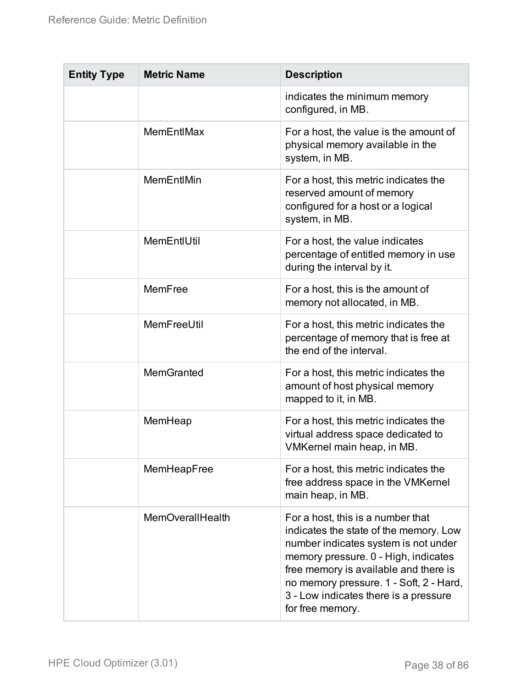| <b>Entity Type</b> | <b>Metric Name</b>      | <b>Description</b>                                                                                                                                                                                                                                                                                           |
|--------------------|-------------------------|--------------------------------------------------------------------------------------------------------------------------------------------------------------------------------------------------------------------------------------------------------------------------------------------------------------|
|                    |                         | indicates the minimum memory<br>configured, in MB.                                                                                                                                                                                                                                                           |
|                    | MemEntIMax              | For a host, the value is the amount of<br>physical memory available in the<br>system, in MB.                                                                                                                                                                                                                 |
|                    | MemEntIMin              | For a host, this metric indicates the<br>reserved amount of memory<br>configured for a host or a logical<br>system, in MB.                                                                                                                                                                                   |
|                    | MemEntIUtil             | For a host, the value indicates<br>percentage of entitled memory in use<br>during the interval by it.                                                                                                                                                                                                        |
|                    | MemFree                 | For a host, this is the amount of<br>memory not allocated, in MB.                                                                                                                                                                                                                                            |
|                    | MemFreeUtil             | For a host, this metric indicates the<br>percentage of memory that is free at<br>the end of the interval.                                                                                                                                                                                                    |
|                    | <b>MemGranted</b>       | For a host, this metric indicates the<br>amount of host physical memory<br>mapped to it, in MB.                                                                                                                                                                                                              |
|                    | MemHeap                 | For a host, this metric indicates the<br>virtual address space dedicated to<br>VMKernel main heap, in MB.                                                                                                                                                                                                    |
|                    | MemHeapFree             | For a host, this metric indicates the<br>free address space in the VMKernel<br>main heap, in MB.                                                                                                                                                                                                             |
|                    | <b>MemOverallHealth</b> | For a host, this is a number that<br>indicates the state of the memory. Low<br>number indicates system is not under<br>memory pressure. 0 - High, indicates<br>free memory is available and there is<br>no memory pressure. 1 - Soft, 2 - Hard,<br>3 - Low indicates there is a pressure<br>for free memory. |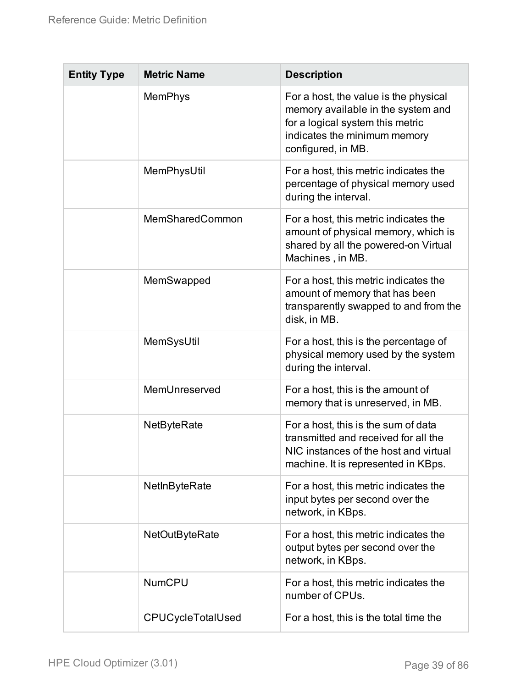| <b>Entity Type</b> | <b>Metric Name</b>       | <b>Description</b>                                                                                                                                                    |
|--------------------|--------------------------|-----------------------------------------------------------------------------------------------------------------------------------------------------------------------|
|                    | <b>MemPhys</b>           | For a host, the value is the physical<br>memory available in the system and<br>for a logical system this metric<br>indicates the minimum memory<br>configured, in MB. |
|                    | MemPhysUtil              | For a host, this metric indicates the<br>percentage of physical memory used<br>during the interval.                                                                   |
|                    | MemSharedCommon          | For a host, this metric indicates the<br>amount of physical memory, which is<br>shared by all the powered-on Virtual<br>Machines, in MB.                              |
|                    | MemSwapped               | For a host, this metric indicates the<br>amount of memory that has been<br>transparently swapped to and from the<br>disk, in MB.                                      |
|                    | MemSysUtil               | For a host, this is the percentage of<br>physical memory used by the system<br>during the interval.                                                                   |
|                    | MemUnreserved            | For a host, this is the amount of<br>memory that is unreserved, in MB.                                                                                                |
|                    | <b>NetByteRate</b>       | For a host, this is the sum of data<br>transmitted and received for all the<br>NIC instances of the host and virtual<br>machine. It is represented in KBps.           |
|                    | NetInByteRate            | For a host, this metric indicates the<br>input bytes per second over the<br>network, in KBps.                                                                         |
|                    | <b>NetOutByteRate</b>    | For a host, this metric indicates the<br>output bytes per second over the<br>network, in KBps.                                                                        |
|                    | <b>NumCPU</b>            | For a host, this metric indicates the<br>number of CPUs.                                                                                                              |
|                    | <b>CPUCycleTotalUsed</b> | For a host, this is the total time the                                                                                                                                |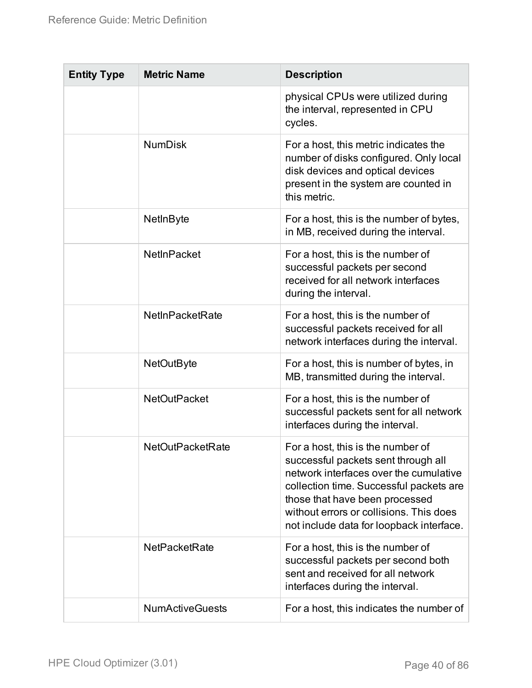| <b>Entity Type</b> | <b>Metric Name</b>      | <b>Description</b>                                                                                                                                                                                                                                                                     |
|--------------------|-------------------------|----------------------------------------------------------------------------------------------------------------------------------------------------------------------------------------------------------------------------------------------------------------------------------------|
|                    |                         | physical CPUs were utilized during<br>the interval, represented in CPU<br>cycles.                                                                                                                                                                                                      |
|                    | <b>NumDisk</b>          | For a host, this metric indicates the<br>number of disks configured. Only local<br>disk devices and optical devices<br>present in the system are counted in<br>this metric.                                                                                                            |
|                    | NetInByte               | For a host, this is the number of bytes,<br>in MB, received during the interval.                                                                                                                                                                                                       |
|                    | <b>NetInPacket</b>      | For a host, this is the number of<br>successful packets per second<br>received for all network interfaces<br>during the interval.                                                                                                                                                      |
|                    | <b>NetInPacketRate</b>  | For a host, this is the number of<br>successful packets received for all<br>network interfaces during the interval.                                                                                                                                                                    |
|                    | <b>NetOutByte</b>       | For a host, this is number of bytes, in<br>MB, transmitted during the interval.                                                                                                                                                                                                        |
|                    | <b>NetOutPacket</b>     | For a host, this is the number of<br>successful packets sent for all network<br>interfaces during the interval.                                                                                                                                                                        |
|                    | <b>NetOutPacketRate</b> | For a host, this is the number of<br>successful packets sent through all<br>network interfaces over the cumulative<br>collection time. Successful packets are<br>those that have been processed<br>without errors or collisions. This does<br>not include data for loopback interface. |
|                    | <b>NetPacketRate</b>    | For a host, this is the number of<br>successful packets per second both<br>sent and received for all network<br>interfaces during the interval.                                                                                                                                        |
|                    | <b>NumActiveGuests</b>  | For a host, this indicates the number of                                                                                                                                                                                                                                               |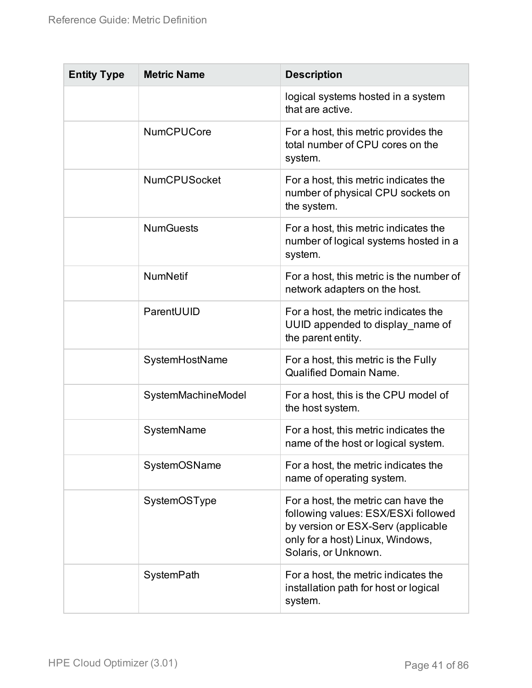| <b>Entity Type</b> | <b>Metric Name</b>  | <b>Description</b>                                                                                                                                                           |
|--------------------|---------------------|------------------------------------------------------------------------------------------------------------------------------------------------------------------------------|
|                    |                     | logical systems hosted in a system<br>that are active.                                                                                                                       |
|                    | <b>NumCPUCore</b>   | For a host, this metric provides the<br>total number of CPU cores on the<br>system.                                                                                          |
|                    | <b>NumCPUSocket</b> | For a host, this metric indicates the<br>number of physical CPU sockets on<br>the system.                                                                                    |
|                    | <b>NumGuests</b>    | For a host, this metric indicates the<br>number of logical systems hosted in a<br>system.                                                                                    |
|                    | <b>NumNetif</b>     | For a host, this metric is the number of<br>network adapters on the host.                                                                                                    |
|                    | ParentUUID          | For a host, the metric indicates the<br>UUID appended to display_name of<br>the parent entity.                                                                               |
|                    | SystemHostName      | For a host, this metric is the Fully<br><b>Qualified Domain Name.</b>                                                                                                        |
|                    | SystemMachineModel  | For a host, this is the CPU model of<br>the host system.                                                                                                                     |
|                    | SystemName          | For a host, this metric indicates the<br>name of the host or logical system.                                                                                                 |
|                    | SystemOSName        | For a host, the metric indicates the<br>name of operating system.                                                                                                            |
|                    | SystemOSType        | For a host, the metric can have the<br>following values: ESX/ESXi followed<br>by version or ESX-Serv (applicable<br>only for a host) Linux, Windows,<br>Solaris, or Unknown. |
|                    | SystemPath          | For a host, the metric indicates the<br>installation path for host or logical<br>system.                                                                                     |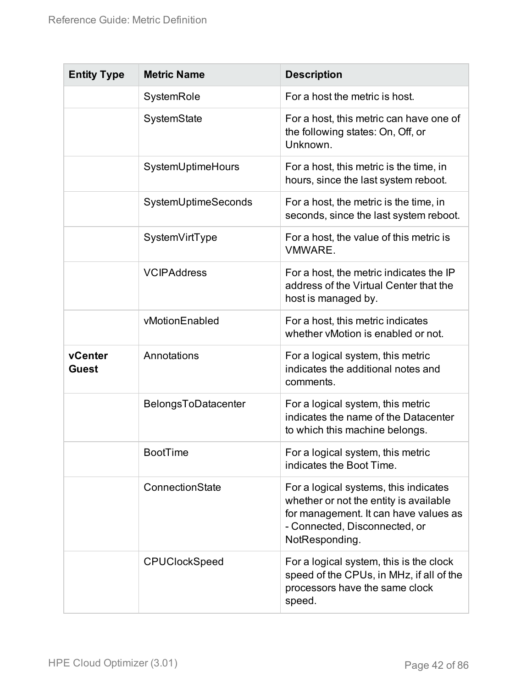| <b>Entity Type</b>      | <b>Metric Name</b>   | <b>Description</b>                                                                                                                                                          |
|-------------------------|----------------------|-----------------------------------------------------------------------------------------------------------------------------------------------------------------------------|
|                         | SystemRole           | For a host the metric is host.                                                                                                                                              |
|                         | SystemState          | For a host, this metric can have one of<br>the following states: On, Off, or<br>Unknown.                                                                                    |
|                         | SystemUptimeHours    | For a host, this metric is the time, in<br>hours, since the last system reboot.                                                                                             |
|                         | SystemUptimeSeconds  | For a host, the metric is the time, in<br>seconds, since the last system reboot.                                                                                            |
|                         | SystemVirtType       | For a host, the value of this metric is<br><b>VMWARE.</b>                                                                                                                   |
|                         | <b>VCIPAddress</b>   | For a host, the metric indicates the IP<br>address of the Virtual Center that the<br>host is managed by.                                                                    |
|                         | vMotionEnabled       | For a host, this metric indicates<br>whether vMotion is enabled or not.                                                                                                     |
| vCenter<br><b>Guest</b> | Annotations          | For a logical system, this metric<br>indicates the additional notes and<br>comments.                                                                                        |
|                         | BelongsToDatacenter  | For a logical system, this metric<br>indicates the name of the Datacenter<br>to which this machine belongs.                                                                 |
|                         | <b>BootTime</b>      | For a logical system, this metric<br>indicates the Boot Time.                                                                                                               |
|                         | ConnectionState      | For a logical systems, this indicates<br>whether or not the entity is available<br>for management. It can have values as<br>- Connected, Disconnected, or<br>NotResponding. |
|                         | <b>CPUClockSpeed</b> | For a logical system, this is the clock<br>speed of the CPUs, in MHz, if all of the<br>processors have the same clock<br>speed.                                             |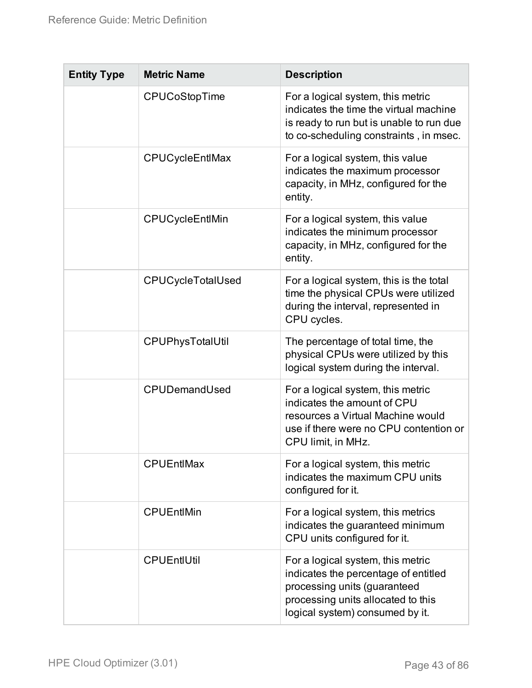| <b>Entity Type</b> | <b>Metric Name</b>     | <b>Description</b>                                                                                                                                                                 |
|--------------------|------------------------|------------------------------------------------------------------------------------------------------------------------------------------------------------------------------------|
|                    | CPUCoStopTime          | For a logical system, this metric<br>indicates the time the virtual machine<br>is ready to run but is unable to run due<br>to co-scheduling constraints, in msec.                  |
|                    | <b>CPUCycleEntIMax</b> | For a logical system, this value<br>indicates the maximum processor<br>capacity, in MHz, configured for the<br>entity.                                                             |
|                    | CPUCycleEntIMin        | For a logical system, this value<br>indicates the minimum processor<br>capacity, in MHz, configured for the<br>entity.                                                             |
|                    | CPUCycleTotalUsed      | For a logical system, this is the total<br>time the physical CPUs were utilized<br>during the interval, represented in<br>CPU cycles.                                              |
|                    | CPUPhysTotalUtil       | The percentage of total time, the<br>physical CPUs were utilized by this<br>logical system during the interval.                                                                    |
|                    | CPUDemandUsed          | For a logical system, this metric<br>indicates the amount of CPU<br>resources a Virtual Machine would<br>use if there were no CPU contention or<br>CPU limit, in MHz.              |
|                    | <b>CPUEntIMax</b>      | For a logical system, this metric<br>indicates the maximum CPU units<br>configured for it.                                                                                         |
|                    | <b>CPUEntIMin</b>      | For a logical system, this metrics<br>indicates the guaranteed minimum<br>CPU units configured for it.                                                                             |
|                    | <b>CPUEntIUtil</b>     | For a logical system, this metric<br>indicates the percentage of entitled<br>processing units (guaranteed<br>processing units allocated to this<br>logical system) consumed by it. |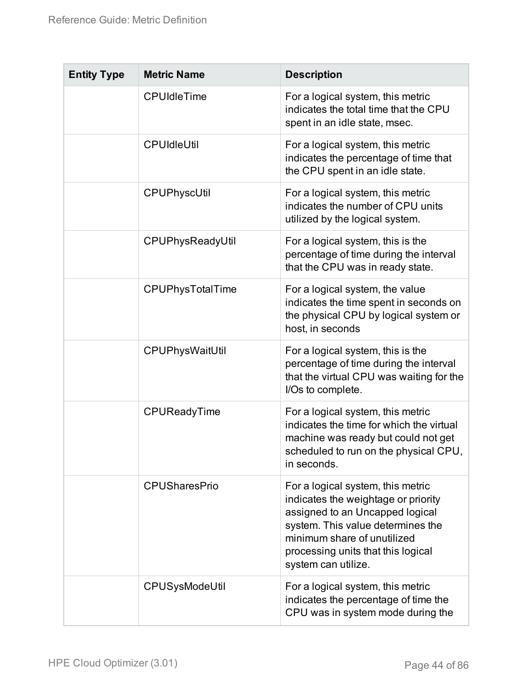| <b>Entity Type</b> | <b>Metric Name</b>   | <b>Description</b>                                                                                                                                                                                                                           |
|--------------------|----------------------|----------------------------------------------------------------------------------------------------------------------------------------------------------------------------------------------------------------------------------------------|
|                    | <b>CPUIdleTime</b>   | For a logical system, this metric<br>indicates the total time that the CPU<br>spent in an idle state, msec.                                                                                                                                  |
|                    | <b>CPUIdleUtil</b>   | For a logical system, this metric<br>indicates the percentage of time that<br>the CPU spent in an idle state.                                                                                                                                |
|                    | <b>CPUPhyscUtil</b>  | For a logical system, this metric<br>indicates the number of CPU units<br>utilized by the logical system.                                                                                                                                    |
|                    | CPUPhysReadyUtil     | For a logical system, this is the<br>percentage of time during the interval<br>that the CPU was in ready state.                                                                                                                              |
|                    | CPUPhysTotalTime     | For a logical system, the value<br>indicates the time spent in seconds on<br>the physical CPU by logical system or<br>host, in seconds                                                                                                       |
|                    | CPUPhysWaitUtil      | For a logical system, this is the<br>percentage of time during the interval<br>that the virtual CPU was waiting for the<br>I/Os to complete.                                                                                                 |
|                    | CPUReadyTime         | For a logical system, this metric<br>indicates the time for which the virtual<br>machine was ready but could not get<br>scheduled to run on the physical CPU,<br>in seconds.                                                                 |
|                    | <b>CPUSharesPrio</b> | For a logical system, this metric<br>indicates the weightage or priority<br>assigned to an Uncapped logical<br>system. This value determines the<br>minimum share of unutilized<br>processing units that this logical<br>system can utilize. |
|                    | CPUSysModeUtil       | For a logical system, this metric<br>indicates the percentage of time the<br>CPU was in system mode during the                                                                                                                               |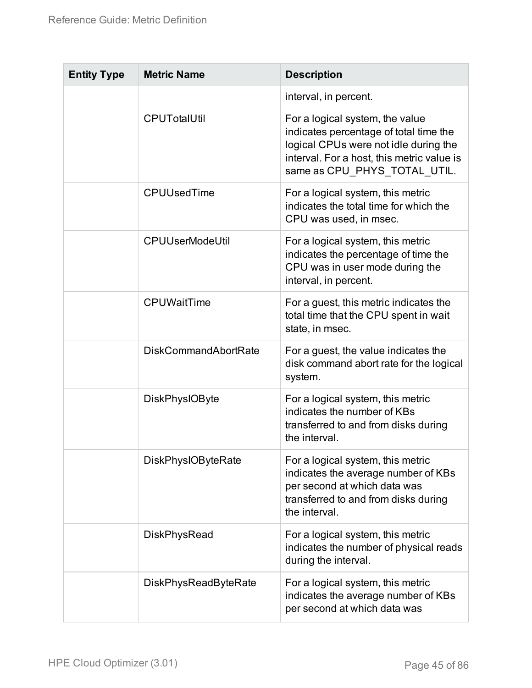| <b>Entity Type</b> | <b>Metric Name</b>          | <b>Description</b>                                                                                                                                                                               |
|--------------------|-----------------------------|--------------------------------------------------------------------------------------------------------------------------------------------------------------------------------------------------|
|                    |                             | interval, in percent.                                                                                                                                                                            |
|                    | <b>CPUTotalUtil</b>         | For a logical system, the value<br>indicates percentage of total time the<br>logical CPUs were not idle during the<br>interval. For a host, this metric value is<br>same as CPU PHYS TOTAL UTIL. |
|                    | <b>CPUUsedTime</b>          | For a logical system, this metric<br>indicates the total time for which the<br>CPU was used, in msec.                                                                                            |
|                    | <b>CPUUserModeUtil</b>      | For a logical system, this metric<br>indicates the percentage of time the<br>CPU was in user mode during the<br>interval, in percent.                                                            |
|                    | <b>CPUWaitTime</b>          | For a guest, this metric indicates the<br>total time that the CPU spent in wait<br>state, in msec.                                                                                               |
|                    | <b>DiskCommandAbortRate</b> | For a guest, the value indicates the<br>disk command abort rate for the logical<br>system.                                                                                                       |
|                    | <b>DiskPhysIOByte</b>       | For a logical system, this metric<br>indicates the number of KBs<br>transferred to and from disks during<br>the interval.                                                                        |
|                    | <b>DiskPhysIOByteRate</b>   | For a logical system, this metric<br>indicates the average number of KBs<br>per second at which data was<br>transferred to and from disks during<br>the interval.                                |
|                    | <b>DiskPhysRead</b>         | For a logical system, this metric<br>indicates the number of physical reads<br>during the interval.                                                                                              |
|                    | <b>DiskPhysReadByteRate</b> | For a logical system, this metric<br>indicates the average number of KBs<br>per second at which data was                                                                                         |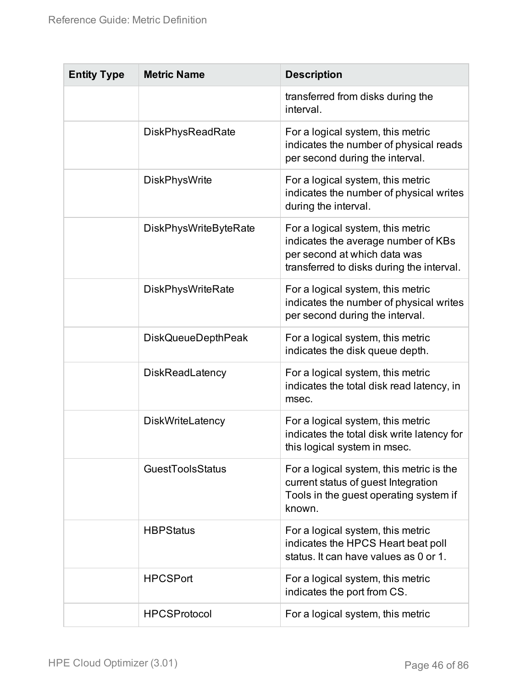| <b>Entity Type</b> | <b>Metric Name</b>           | <b>Description</b>                                                                                                                                    |
|--------------------|------------------------------|-------------------------------------------------------------------------------------------------------------------------------------------------------|
|                    |                              | transferred from disks during the<br>interval.                                                                                                        |
|                    | <b>DiskPhysReadRate</b>      | For a logical system, this metric<br>indicates the number of physical reads<br>per second during the interval.                                        |
|                    | <b>DiskPhysWrite</b>         | For a logical system, this metric<br>indicates the number of physical writes<br>during the interval.                                                  |
|                    | <b>DiskPhysWriteByteRate</b> | For a logical system, this metric<br>indicates the average number of KBs<br>per second at which data was<br>transferred to disks during the interval. |
|                    | <b>DiskPhysWriteRate</b>     | For a logical system, this metric<br>indicates the number of physical writes<br>per second during the interval.                                       |
|                    | <b>DiskQueueDepthPeak</b>    | For a logical system, this metric<br>indicates the disk queue depth.                                                                                  |
|                    | <b>DiskReadLatency</b>       | For a logical system, this metric<br>indicates the total disk read latency, in<br>msec.                                                               |
|                    | <b>DiskWriteLatency</b>      | For a logical system, this metric<br>indicates the total disk write latency for<br>this logical system in msec.                                       |
|                    | <b>GuestToolsStatus</b>      | For a logical system, this metric is the<br>current status of guest Integration<br>Tools in the guest operating system if<br>known.                   |
|                    | <b>HBPStatus</b>             | For a logical system, this metric<br>indicates the HPCS Heart beat poll<br>status. It can have values as 0 or 1.                                      |
|                    | <b>HPCSPort</b>              | For a logical system, this metric<br>indicates the port from CS.                                                                                      |
|                    | <b>HPCSProtocol</b>          | For a logical system, this metric                                                                                                                     |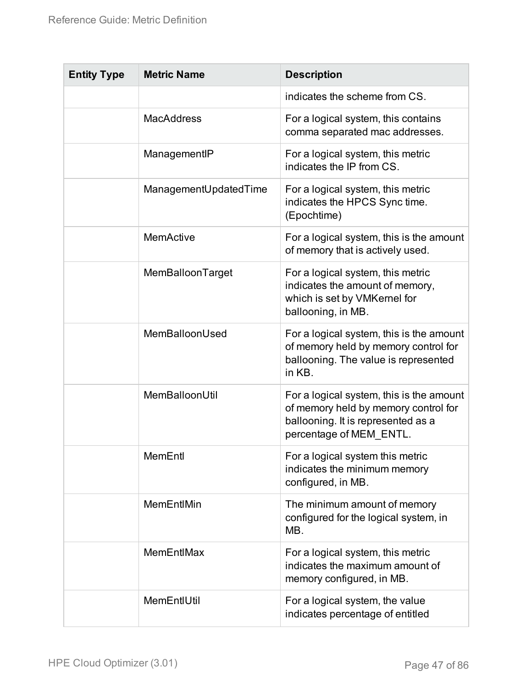| <b>Entity Type</b> | <b>Metric Name</b>    | <b>Description</b>                                                                                                                                |
|--------------------|-----------------------|---------------------------------------------------------------------------------------------------------------------------------------------------|
|                    |                       | indicates the scheme from CS.                                                                                                                     |
|                    | <b>MacAddress</b>     | For a logical system, this contains<br>comma separated mac addresses.                                                                             |
|                    | ManagementIP          | For a logical system, this metric<br>indicates the IP from CS.                                                                                    |
|                    | ManagementUpdatedTime | For a logical system, this metric<br>indicates the HPCS Sync time.<br>(Epochtime)                                                                 |
|                    | <b>MemActive</b>      | For a logical system, this is the amount<br>of memory that is actively used.                                                                      |
|                    | MemBalloonTarget      | For a logical system, this metric<br>indicates the amount of memory,<br>which is set by VMKernel for<br>ballooning, in MB.                        |
|                    | MemBalloonUsed        | For a logical system, this is the amount<br>of memory held by memory control for<br>ballooning. The value is represented<br>in KB.                |
|                    | MemBalloonUtil        | For a logical system, this is the amount<br>of memory held by memory control for<br>ballooning. It is represented as a<br>percentage of MEM ENTL. |
|                    | MemEntl               | For a logical system this metric<br>indicates the minimum memory<br>configured, in MB.                                                            |
|                    | <b>MemEntIMin</b>     | The minimum amount of memory<br>configured for the logical system, in<br>MB.                                                                      |
|                    | MemEntIMax            | For a logical system, this metric<br>indicates the maximum amount of<br>memory configured, in MB.                                                 |
|                    | MemEntIUtil           | For a logical system, the value<br>indicates percentage of entitled                                                                               |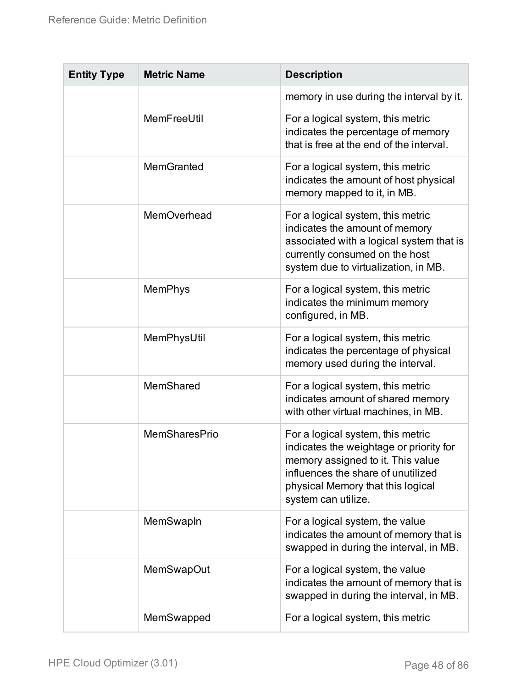| <b>Entity Type</b> | <b>Metric Name</b>   | <b>Description</b>                                                                                                                                                                                                  |
|--------------------|----------------------|---------------------------------------------------------------------------------------------------------------------------------------------------------------------------------------------------------------------|
|                    |                      | memory in use during the interval by it.                                                                                                                                                                            |
|                    | MemFreeUtil          | For a logical system, this metric<br>indicates the percentage of memory<br>that is free at the end of the interval.                                                                                                 |
|                    | <b>MemGranted</b>    | For a logical system, this metric<br>indicates the amount of host physical<br>memory mapped to it, in MB.                                                                                                           |
|                    | <b>MemOverhead</b>   | For a logical system, this metric<br>indicates the amount of memory<br>associated with a logical system that is<br>currently consumed on the host<br>system due to virtualization, in MB.                           |
|                    | <b>MemPhys</b>       | For a logical system, this metric<br>indicates the minimum memory<br>configured, in MB.                                                                                                                             |
|                    | MemPhysUtil          | For a logical system, this metric<br>indicates the percentage of physical<br>memory used during the interval.                                                                                                       |
|                    | MemShared            | For a logical system, this metric<br>indicates amount of shared memory<br>with other virtual machines, in MB.                                                                                                       |
|                    | <b>MemSharesPrio</b> | For a logical system, this metric<br>indicates the weightage or priority for<br>memory assigned to it. This value<br>influences the share of unutilized<br>physical Memory that this logical<br>system can utilize. |
|                    | MemSwapln            | For a logical system, the value<br>indicates the amount of memory that is<br>swapped in during the interval, in MB.                                                                                                 |
|                    | <b>MemSwapOut</b>    | For a logical system, the value<br>indicates the amount of memory that is<br>swapped in during the interval, in MB.                                                                                                 |
|                    | MemSwapped           | For a logical system, this metric                                                                                                                                                                                   |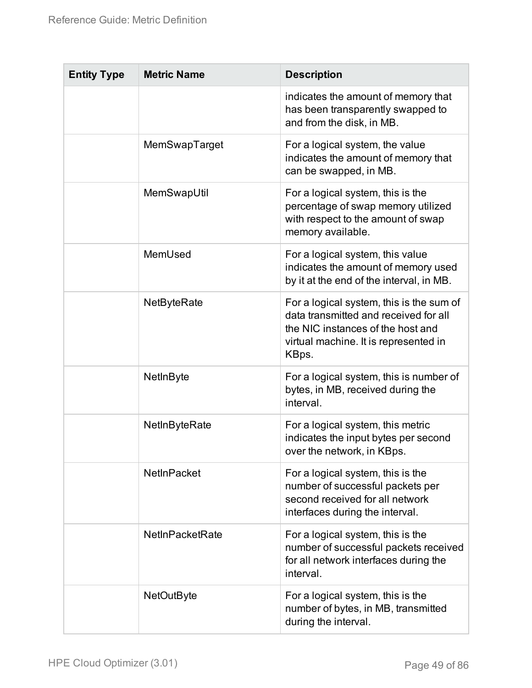| <b>Entity Type</b> | <b>Metric Name</b>     | <b>Description</b>                                                                                                                                                       |
|--------------------|------------------------|--------------------------------------------------------------------------------------------------------------------------------------------------------------------------|
|                    |                        | indicates the amount of memory that<br>has been transparently swapped to<br>and from the disk, in MB.                                                                    |
|                    | MemSwapTarget          | For a logical system, the value<br>indicates the amount of memory that<br>can be swapped, in MB.                                                                         |
|                    | MemSwapUtil            | For a logical system, this is the<br>percentage of swap memory utilized<br>with respect to the amount of swap<br>memory available.                                       |
|                    | MemUsed                | For a logical system, this value<br>indicates the amount of memory used<br>by it at the end of the interval, in MB.                                                      |
|                    | <b>NetByteRate</b>     | For a logical system, this is the sum of<br>data transmitted and received for all<br>the NIC instances of the host and<br>virtual machine. It is represented in<br>KBps. |
|                    | NetInByte              | For a logical system, this is number of<br>bytes, in MB, received during the<br>interval.                                                                                |
|                    | NetInByteRate          | For a logical system, this metric<br>indicates the input bytes per second<br>over the network, in KBps.                                                                  |
|                    | <b>NetInPacket</b>     | For a logical system, this is the<br>number of successful packets per<br>second received for all network<br>interfaces during the interval.                              |
|                    | <b>NetInPacketRate</b> | For a logical system, this is the<br>number of successful packets received<br>for all network interfaces during the<br>interval.                                         |
|                    | <b>NetOutByte</b>      | For a logical system, this is the<br>number of bytes, in MB, transmitted<br>during the interval.                                                                         |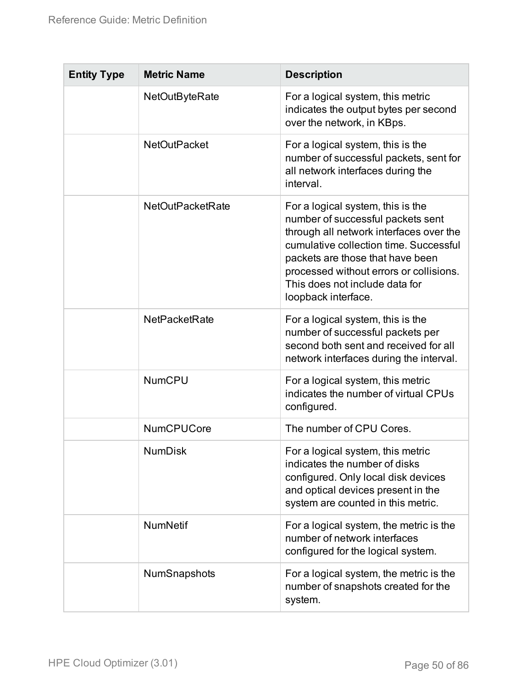| <b>Entity Type</b> | <b>Metric Name</b>      | <b>Description</b>                                                                                                                                                                                                                                                                                  |
|--------------------|-------------------------|-----------------------------------------------------------------------------------------------------------------------------------------------------------------------------------------------------------------------------------------------------------------------------------------------------|
|                    | <b>NetOutByteRate</b>   | For a logical system, this metric<br>indicates the output bytes per second<br>over the network, in KBps.                                                                                                                                                                                            |
|                    | <b>NetOutPacket</b>     | For a logical system, this is the<br>number of successful packets, sent for<br>all network interfaces during the<br>interval.                                                                                                                                                                       |
|                    | <b>NetOutPacketRate</b> | For a logical system, this is the<br>number of successful packets sent<br>through all network interfaces over the<br>cumulative collection time. Successful<br>packets are those that have been<br>processed without errors or collisions.<br>This does not include data for<br>loopback interface. |
|                    | <b>NetPacketRate</b>    | For a logical system, this is the<br>number of successful packets per<br>second both sent and received for all<br>network interfaces during the interval.                                                                                                                                           |
|                    | <b>NumCPU</b>           | For a logical system, this metric<br>indicates the number of virtual CPUs<br>configured.                                                                                                                                                                                                            |
|                    | <b>NumCPUCore</b>       | The number of CPU Cores.                                                                                                                                                                                                                                                                            |
|                    | <b>NumDisk</b>          | For a logical system, this metric<br>indicates the number of disks<br>configured. Only local disk devices<br>and optical devices present in the<br>system are counted in this metric.                                                                                                               |
|                    | <b>NumNetif</b>         | For a logical system, the metric is the<br>number of network interfaces<br>configured for the logical system.                                                                                                                                                                                       |
|                    | NumSnapshots            | For a logical system, the metric is the<br>number of snapshots created for the<br>system.                                                                                                                                                                                                           |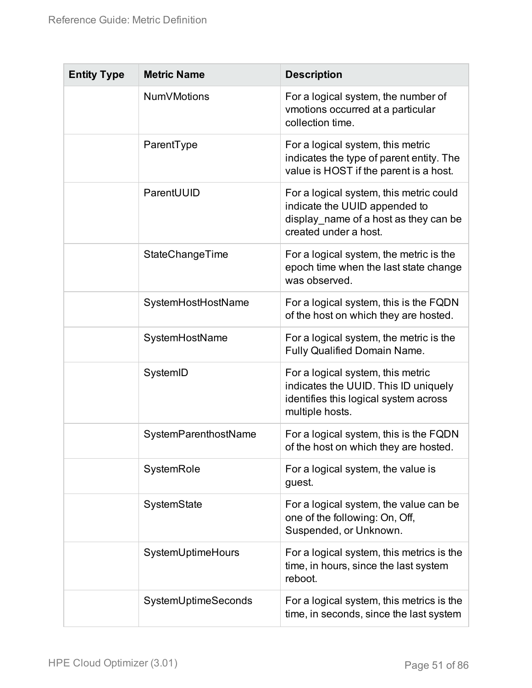| <b>Entity Type</b> | <b>Metric Name</b>   | <b>Description</b>                                                                                                                         |
|--------------------|----------------------|--------------------------------------------------------------------------------------------------------------------------------------------|
|                    | <b>NumVMotions</b>   | For a logical system, the number of<br>vmotions occurred at a particular<br>collection time.                                               |
|                    | ParentType           | For a logical system, this metric<br>indicates the type of parent entity. The<br>value is HOST if the parent is a host.                    |
|                    | ParentUUID           | For a logical system, this metric could<br>indicate the UUID appended to<br>display_name of a host as they can be<br>created under a host. |
|                    | StateChangeTime      | For a logical system, the metric is the<br>epoch time when the last state change<br>was observed.                                          |
|                    | SystemHostHostName   | For a logical system, this is the FQDN<br>of the host on which they are hosted.                                                            |
|                    | SystemHostName       | For a logical system, the metric is the<br><b>Fully Qualified Domain Name.</b>                                                             |
|                    | SystemID             | For a logical system, this metric<br>indicates the UUID. This ID uniquely<br>identifies this logical system across<br>multiple hosts.      |
|                    | SystemParenthostName | For a logical system, this is the FQDN<br>of the host on which they are hosted                                                             |
|                    | SystemRole           | For a logical system, the value is<br>guest.                                                                                               |
|                    | SystemState          | For a logical system, the value can be<br>one of the following: On, Off,<br>Suspended, or Unknown.                                         |
|                    | SystemUptimeHours    | For a logical system, this metrics is the<br>time, in hours, since the last system<br>reboot.                                              |
|                    | SystemUptimeSeconds  | For a logical system, this metrics is the<br>time, in seconds, since the last system                                                       |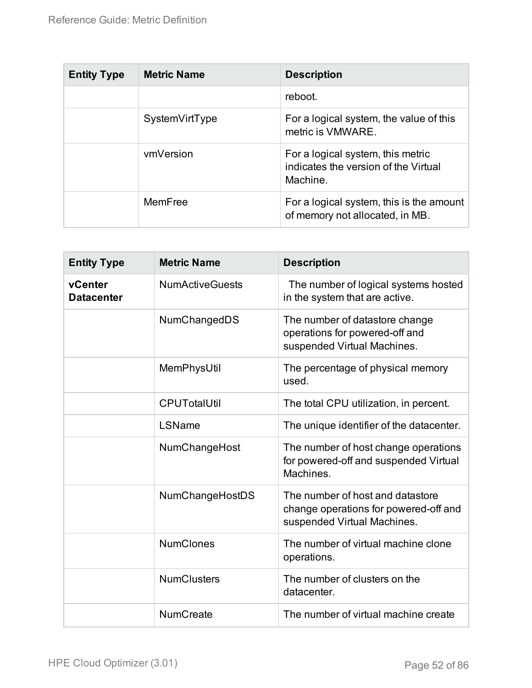| <b>Entity Type</b> | <b>Metric Name</b> | <b>Description</b>                                                                    |
|--------------------|--------------------|---------------------------------------------------------------------------------------|
|                    |                    | reboot.                                                                               |
|                    | SystemVirtType     | For a logical system, the value of this<br>metric is VMWARE.                          |
|                    | vmVersion          | For a logical system, this metric<br>indicates the version of the Virtual<br>Machine. |
|                    | MemFree            | For a logical system, this is the amount<br>of memory not allocated, in MB.           |

| <b>Entity Type</b>           | <b>Metric Name</b>     | <b>Description</b>                                                                                       |
|------------------------------|------------------------|----------------------------------------------------------------------------------------------------------|
| vCenter<br><b>Datacenter</b> | <b>NumActiveGuests</b> | The number of logical systems hosted<br>in the system that are active.                                   |
|                              | NumChangedDS           | The number of datastore change<br>operations for powered-off and<br>suspended Virtual Machines.          |
|                              | MemPhysUtil            | The percentage of physical memory<br>used.                                                               |
|                              | <b>CPUTotalUtil</b>    | The total CPU utilization, in percent.                                                                   |
|                              | LSName                 | The unique identifier of the datacenter.                                                                 |
|                              | NumChangeHost          | The number of host change operations<br>for powered-off and suspended Virtual<br>Machines.               |
|                              | NumChangeHostDS        | The number of host and datastore<br>change operations for powered-off and<br>suspended Virtual Machines. |
|                              | <b>NumClones</b>       | The number of virtual machine clone<br>operations.                                                       |
|                              | <b>NumClusters</b>     | The number of clusters on the<br>datacenter.                                                             |
|                              | <b>NumCreate</b>       | The number of virtual machine create                                                                     |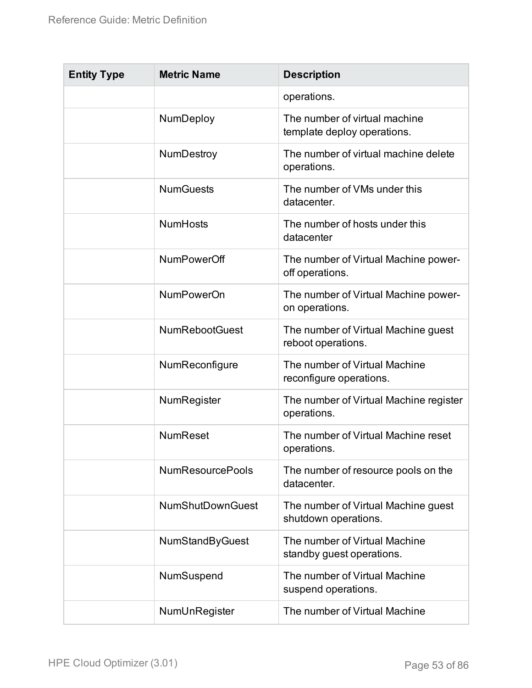| <b>Entity Type</b> | <b>Metric Name</b>      | <b>Description</b>                                           |
|--------------------|-------------------------|--------------------------------------------------------------|
|                    |                         | operations.                                                  |
|                    | NumDeploy               | The number of virtual machine<br>template deploy operations. |
|                    | <b>NumDestroy</b>       | The number of virtual machine delete<br>operations.          |
|                    | <b>NumGuests</b>        | The number of VMs under this<br>datacenter.                  |
|                    | <b>NumHosts</b>         | The number of hosts under this<br>datacenter                 |
|                    | <b>NumPowerOff</b>      | The number of Virtual Machine power-<br>off operations.      |
|                    | <b>NumPowerOn</b>       | The number of Virtual Machine power-<br>on operations.       |
|                    | <b>NumRebootGuest</b>   | The number of Virtual Machine guest<br>reboot operations.    |
|                    | NumReconfigure          | The number of Virtual Machine<br>reconfigure operations.     |
|                    | NumRegister             | The number of Virtual Machine register<br>operations.        |
|                    | <b>NumReset</b>         | The number of Virtual Machine reset<br>operations.           |
|                    | <b>NumResourcePools</b> | The number of resource pools on the<br>datacenter.           |
|                    | <b>NumShutDownGuest</b> | The number of Virtual Machine guest<br>shutdown operations.  |
|                    | <b>NumStandByGuest</b>  | The number of Virtual Machine<br>standby guest operations.   |
|                    | NumSuspend              | The number of Virtual Machine<br>suspend operations.         |
|                    | NumUnRegister           | The number of Virtual Machine                                |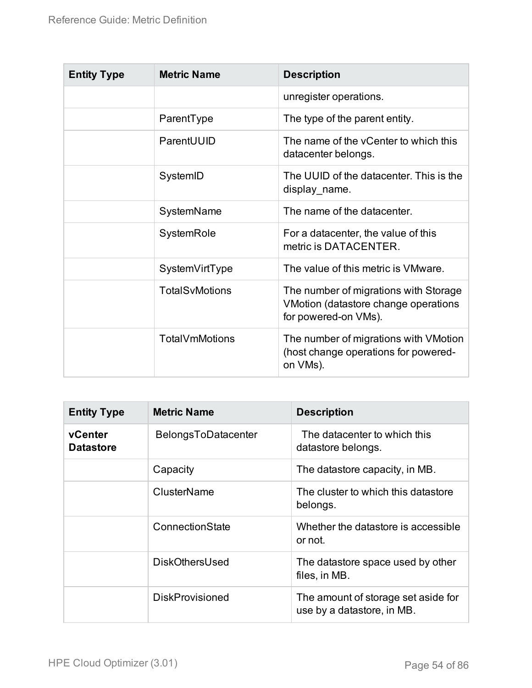| <b>Entity Type</b> | <b>Metric Name</b>    | <b>Description</b>                                                                                    |
|--------------------|-----------------------|-------------------------------------------------------------------------------------------------------|
|                    |                       | unregister operations.                                                                                |
|                    | ParentType            | The type of the parent entity.                                                                        |
|                    | ParentUUID            | The name of the yCenter to which this<br>datacenter belongs.                                          |
|                    | SystemID              | The UUID of the datacenter. This is the<br>display_name.                                              |
|                    | SystemName            | The name of the datacenter.                                                                           |
|                    | SystemRole            | For a datacenter, the value of this<br>metric is DATACENTER.                                          |
|                    | SystemVirtType        | The value of this metric is VMware.                                                                   |
|                    | <b>TotalSvMotions</b> | The number of migrations with Storage<br>VMotion (datastore change operations<br>for powered-on VMs). |
|                    | TotalVmMotions        | The number of migrations with VMotion<br>(host change operations for powered-<br>on VMs).             |

| <b>Entity Type</b>          | <b>Metric Name</b>     | <b>Description</b>                                                |
|-----------------------------|------------------------|-------------------------------------------------------------------|
| vCenter<br><b>Datastore</b> | BelongsToDatacenter    | The datacenter to which this<br>datastore belongs.                |
|                             | Capacity               | The datastore capacity, in MB.                                    |
|                             | ClusterName            | The cluster to which this datastore<br>belongs.                   |
|                             | ConnectionState        | Whether the datastore is accessible<br>or not.                    |
|                             | <b>DiskOthersUsed</b>  | The datastore space used by other<br>files, in MB.                |
|                             | <b>DiskProvisioned</b> | The amount of storage set aside for<br>use by a datastore, in MB. |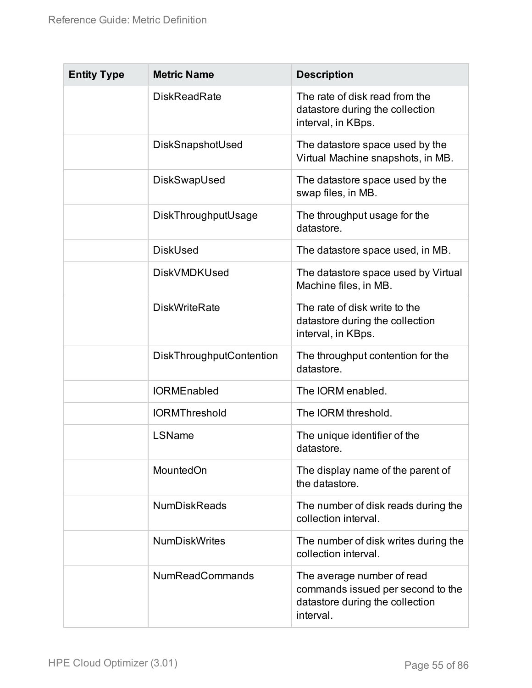| <b>Entity Type</b> | <b>Metric Name</b>              | <b>Description</b>                                                                                              |
|--------------------|---------------------------------|-----------------------------------------------------------------------------------------------------------------|
|                    | <b>DiskReadRate</b>             | The rate of disk read from the<br>datastore during the collection<br>interval, in KBps.                         |
|                    | DiskSnapshotUsed                | The datastore space used by the<br>Virtual Machine snapshots, in MB.                                            |
|                    | DiskSwapUsed                    | The datastore space used by the<br>swap files, in MB.                                                           |
|                    | DiskThroughputUsage             | The throughput usage for the<br>datastore.                                                                      |
|                    | <b>DiskUsed</b>                 | The datastore space used, in MB.                                                                                |
|                    | <b>DiskVMDKUsed</b>             | The datastore space used by Virtual<br>Machine files, in MB.                                                    |
|                    | <b>DiskWriteRate</b>            | The rate of disk write to the<br>datastore during the collection<br>interval, in KBps.                          |
|                    | <b>DiskThroughputContention</b> | The throughput contention for the<br>datastore.                                                                 |
|                    | <b>IORMEnabled</b>              | The IORM enabled.                                                                                               |
|                    | <b>IORMThreshold</b>            | The IORM threshold.                                                                                             |
|                    | LSName                          | The unique identifier of the<br>datastore.                                                                      |
|                    | <b>MountedOn</b>                | The display name of the parent of<br>the datastore.                                                             |
|                    | <b>NumDiskReads</b>             | The number of disk reads during the<br>collection interval.                                                     |
|                    | <b>NumDiskWrites</b>            | The number of disk writes during the<br>collection interval.                                                    |
|                    | <b>NumReadCommands</b>          | The average number of read<br>commands issued per second to the<br>datastore during the collection<br>interval. |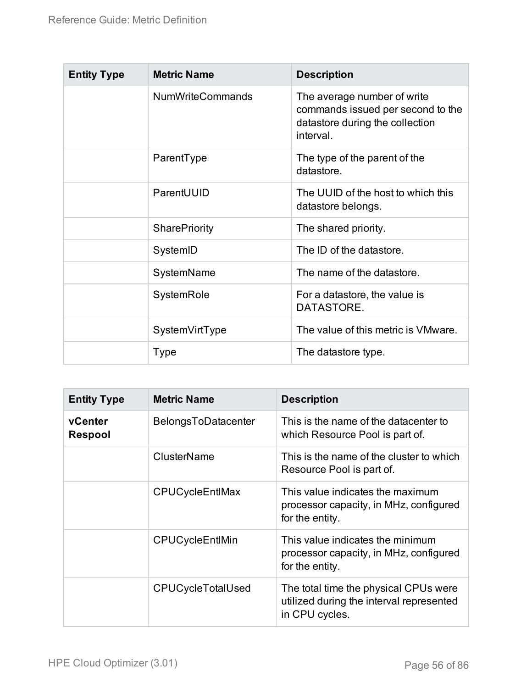| <b>Entity Type</b> | <b>Metric Name</b>      | <b>Description</b>                                                                                               |
|--------------------|-------------------------|------------------------------------------------------------------------------------------------------------------|
|                    | <b>NumWriteCommands</b> | The average number of write<br>commands issued per second to the<br>datastore during the collection<br>interval. |
|                    | ParentType              | The type of the parent of the<br>datastore.                                                                      |
|                    | ParentUUID              | The UUID of the host to which this<br>datastore belongs.                                                         |
|                    | <b>SharePriority</b>    | The shared priority.                                                                                             |
|                    | SystemID                | The ID of the datastore.                                                                                         |
|                    | SystemName              | The name of the datastore.                                                                                       |
|                    | SystemRole              | For a datastore, the value is<br>DATASTORE.                                                                      |
|                    | SystemVirtType          | The value of this metric is VMware.                                                                              |
|                    | <b>Type</b>             | The datastore type.                                                                                              |

| <b>Entity Type</b>        | <b>Metric Name</b>       | <b>Description</b>                                                                                  |
|---------------------------|--------------------------|-----------------------------------------------------------------------------------------------------|
| vCenter<br><b>Respool</b> | BelongsToDatacenter      | This is the name of the datacenter to<br>which Resource Pool is part of.                            |
|                           | ClusterName              | This is the name of the cluster to which<br>Resource Pool is part of.                               |
|                           | CPUCycleEntIMax          | This value indicates the maximum<br>processor capacity, in MHz, configured<br>for the entity.       |
|                           | CPUCycleEntIMin          | This value indicates the minimum<br>processor capacity, in MHz, configured<br>for the entity.       |
|                           | <b>CPUCycleTotalUsed</b> | The total time the physical CPUs were<br>utilized during the interval represented<br>in CPU cycles. |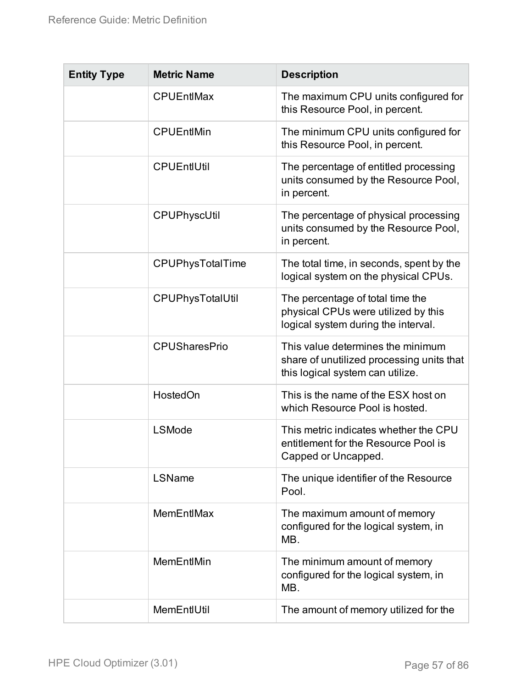| <b>Entity Type</b> | <b>Metric Name</b>      | <b>Description</b>                                                                                                 |
|--------------------|-------------------------|--------------------------------------------------------------------------------------------------------------------|
|                    | <b>CPUEntIMax</b>       | The maximum CPU units configured for<br>this Resource Pool, in percent.                                            |
|                    | <b>CPUEntIMin</b>       | The minimum CPU units configured for<br>this Resource Pool, in percent.                                            |
|                    | <b>CPUEntIUtil</b>      | The percentage of entitled processing<br>units consumed by the Resource Pool,<br>in percent.                       |
|                    | CPUPhyscUtil            | The percentage of physical processing<br>units consumed by the Resource Pool,<br>in percent.                       |
|                    | <b>CPUPhysTotalTime</b> | The total time, in seconds, spent by the<br>logical system on the physical CPUs.                                   |
|                    | CPUPhysTotalUtil        | The percentage of total time the<br>physical CPUs were utilized by this<br>logical system during the interval.     |
|                    | <b>CPUSharesPrio</b>    | This value determines the minimum<br>share of unutilized processing units that<br>this logical system can utilize. |
|                    | HostedOn                | This is the name of the ESX host on<br>which Resource Pool is hosted.                                              |
|                    | <b>LSMode</b>           | This metric indicates whether the CPU<br>entitlement for the Resource Pool is<br>Capped or Uncapped.               |
|                    | LSName                  | The unique identifier of the Resource<br>Pool.                                                                     |
|                    | <b>MemEntIMax</b>       | The maximum amount of memory<br>configured for the logical system, in<br>MB.                                       |
|                    | MemEntIMin              | The minimum amount of memory<br>configured for the logical system, in<br>MB.                                       |
|                    | MemEntIUtil             | The amount of memory utilized for the                                                                              |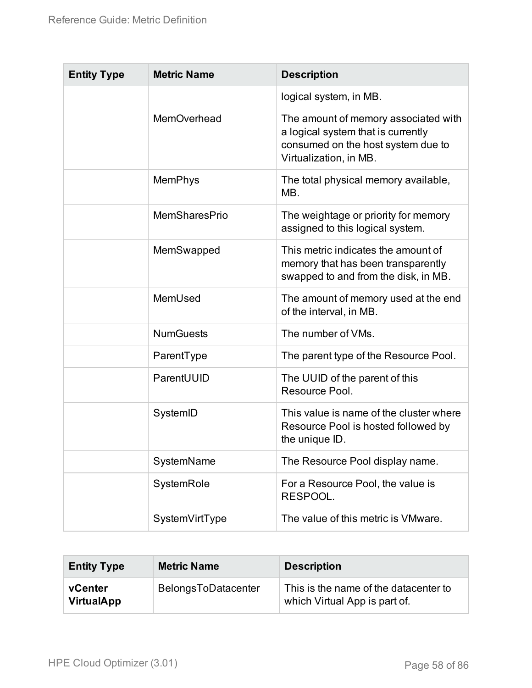| <b>Entity Type</b> | <b>Metric Name</b>   | <b>Description</b>                                                                                                                         |
|--------------------|----------------------|--------------------------------------------------------------------------------------------------------------------------------------------|
|                    |                      | logical system, in MB.                                                                                                                     |
|                    | MemOverhead          | The amount of memory associated with<br>a logical system that is currently<br>consumed on the host system due to<br>Virtualization, in MB. |
|                    | <b>MemPhys</b>       | The total physical memory available,<br>MB.                                                                                                |
|                    | <b>MemSharesPrio</b> | The weightage or priority for memory<br>assigned to this logical system.                                                                   |
|                    | MemSwapped           | This metric indicates the amount of<br>memory that has been transparently<br>swapped to and from the disk, in MB.                          |
|                    | MemUsed              | The amount of memory used at the end<br>of the interval, in MB.                                                                            |
|                    | <b>NumGuests</b>     | The number of VMs.                                                                                                                         |
|                    | ParentType           | The parent type of the Resource Pool.                                                                                                      |
|                    | ParentUUID           | The UUID of the parent of this<br>Resource Pool.                                                                                           |
|                    | SystemID             | This value is name of the cluster where<br>Resource Pool is hosted followed by<br>the unique ID.                                           |
|                    | SystemName           | The Resource Pool display name.                                                                                                            |
|                    | SystemRole           | For a Resource Pool, the value is<br>RESPOOL.                                                                                              |
|                    | SystemVirtType       | The value of this metric is VMware.                                                                                                        |

| <b>Entity Type</b>           | <b>Metric Name</b>  | <b>Description</b>                                                     |
|------------------------------|---------------------|------------------------------------------------------------------------|
| vCenter<br><b>VirtualApp</b> | BelongsToDatacenter | This is the name of the datacenter to<br>which Virtual App is part of. |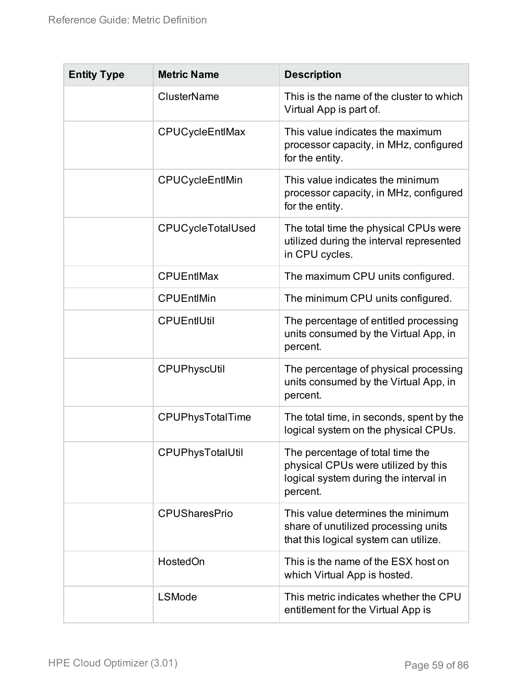| <b>Entity Type</b> | <b>Metric Name</b>     | <b>Description</b>                                                                                                           |
|--------------------|------------------------|------------------------------------------------------------------------------------------------------------------------------|
|                    | <b>ClusterName</b>     | This is the name of the cluster to which<br>Virtual App is part of.                                                          |
|                    | <b>CPUCycleEntIMax</b> | This value indicates the maximum<br>processor capacity, in MHz, configured<br>for the entity.                                |
|                    | CPUCycleEntlMin        | This value indicates the minimum<br>processor capacity, in MHz, configured<br>for the entity.                                |
|                    | CPUCycleTotalUsed      | The total time the physical CPUs were<br>utilized during the interval represented<br>in CPU cycles.                          |
|                    | <b>CPUEntIMax</b>      | The maximum CPU units configured.                                                                                            |
|                    | <b>CPUEntIMin</b>      | The minimum CPU units configured.                                                                                            |
|                    | <b>CPUEntIUtil</b>     | The percentage of entitled processing<br>units consumed by the Virtual App, in<br>percent.                                   |
|                    | CPUPhyscUtil           | The percentage of physical processing<br>units consumed by the Virtual App, in<br>percent.                                   |
|                    | CPUPhysTotalTime       | The total time, in seconds, spent by the<br>logical system on the physical CPUs.                                             |
|                    | CPUPhysTotalUtil       | The percentage of total time the<br>physical CPUs were utilized by this<br>logical system during the interval in<br>percent. |
|                    | <b>CPUSharesPrio</b>   | This value determines the minimum<br>share of unutilized processing units<br>that this logical system can utilize.           |
|                    | HostedOn               | This is the name of the ESX host on<br>which Virtual App is hosted.                                                          |
|                    | <b>LSMode</b>          | This metric indicates whether the CPU<br>entitlement for the Virtual App is                                                  |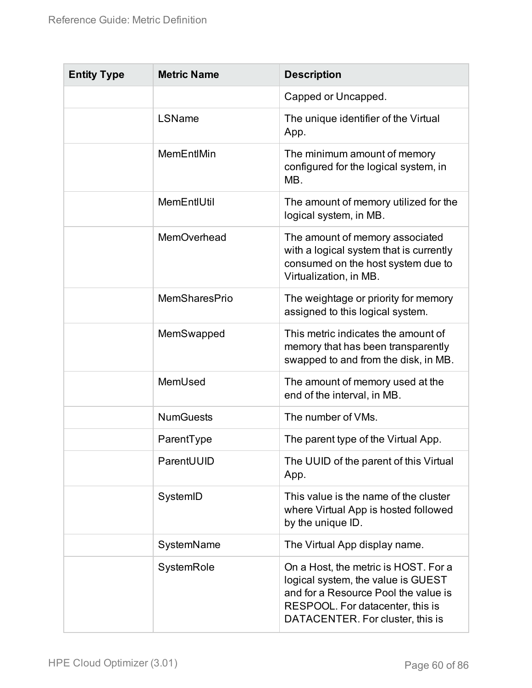| <b>Entity Type</b> | <b>Metric Name</b> | <b>Description</b>                                                                                                                                                                         |
|--------------------|--------------------|--------------------------------------------------------------------------------------------------------------------------------------------------------------------------------------------|
|                    |                    | Capped or Uncapped.                                                                                                                                                                        |
|                    | LSName             | The unique identifier of the Virtual<br>App.                                                                                                                                               |
|                    | MemEntIMin         | The minimum amount of memory<br>configured for the logical system, in<br>MB.                                                                                                               |
|                    | MemEntIUtil        | The amount of memory utilized for the<br>logical system, in MB.                                                                                                                            |
|                    | MemOverhead        | The amount of memory associated<br>with a logical system that is currently<br>consumed on the host system due to<br>Virtualization, in MB.                                                 |
|                    | MemSharesPrio      | The weightage or priority for memory<br>assigned to this logical system.                                                                                                                   |
|                    | MemSwapped         | This metric indicates the amount of<br>memory that has been transparently<br>swapped to and from the disk, in MB.                                                                          |
|                    | MemUsed            | The amount of memory used at the<br>end of the interval, in MB.                                                                                                                            |
|                    | <b>NumGuests</b>   | The number of VMs.                                                                                                                                                                         |
|                    | ParentType         | The parent type of the Virtual App.                                                                                                                                                        |
|                    | ParentUUID         | The UUID of the parent of this Virtual<br>App.                                                                                                                                             |
|                    | SystemID           | This value is the name of the cluster<br>where Virtual App is hosted followed<br>by the unique ID.                                                                                         |
|                    | SystemName         | The Virtual App display name.                                                                                                                                                              |
|                    | SystemRole         | On a Host, the metric is HOST. For a<br>logical system, the value is GUEST<br>and for a Resource Pool the value is<br>RESPOOL. For datacenter, this is<br>DATACENTER. For cluster, this is |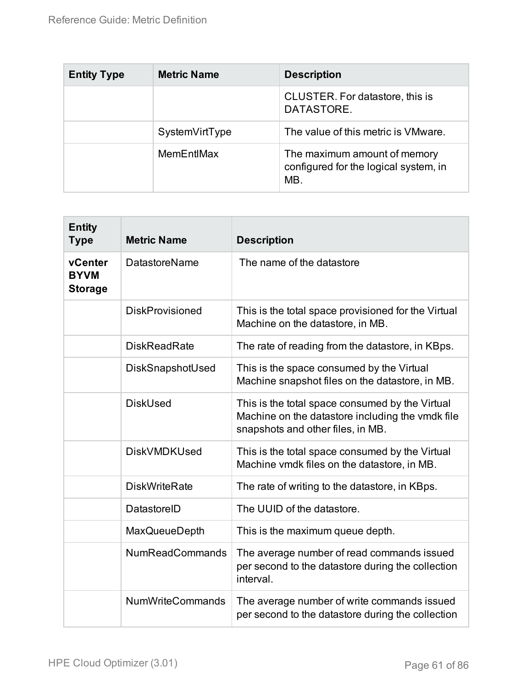| <b>Entity Type</b> | <b>Metric Name</b> | <b>Description</b>                                                           |
|--------------------|--------------------|------------------------------------------------------------------------------|
|                    |                    | CLUSTER. For datastore, this is<br>DATASTORE.                                |
|                    | SystemVirtType     | The value of this metric is VMware.                                          |
|                    | MemEntIMax         | The maximum amount of memory<br>configured for the logical system, in<br>MB. |

| <b>Entity</b><br><b>Type</b>             | <b>Metric Name</b>      | <b>Description</b>                                                                                                                       |
|------------------------------------------|-------------------------|------------------------------------------------------------------------------------------------------------------------------------------|
| vCenter<br><b>BYVM</b><br><b>Storage</b> | <b>DatastoreName</b>    | The name of the datastore                                                                                                                |
|                                          | <b>DiskProvisioned</b>  | This is the total space provisioned for the Virtual<br>Machine on the datastore, in MB.                                                  |
|                                          | <b>DiskReadRate</b>     | The rate of reading from the datastore, in KBps.                                                                                         |
|                                          | DiskSnapshotUsed        | This is the space consumed by the Virtual<br>Machine snapshot files on the datastore, in MB.                                             |
|                                          | <b>DiskUsed</b>         | This is the total space consumed by the Virtual<br>Machine on the datastore including the ymdk file<br>snapshots and other files, in MB. |
|                                          | <b>DiskVMDKUsed</b>     | This is the total space consumed by the Virtual<br>Machine vmdk files on the datastore, in MB.                                           |
|                                          | <b>DiskWriteRate</b>    | The rate of writing to the datastore, in KBps.                                                                                           |
|                                          | DatastoreID             | The UUID of the datastore.                                                                                                               |
|                                          | <b>MaxQueueDepth</b>    | This is the maximum queue depth.                                                                                                         |
|                                          | <b>NumReadCommands</b>  | The average number of read commands issued<br>per second to the datastore during the collection<br>interval.                             |
|                                          | <b>NumWriteCommands</b> | The average number of write commands issued<br>per second to the datastore during the collection                                         |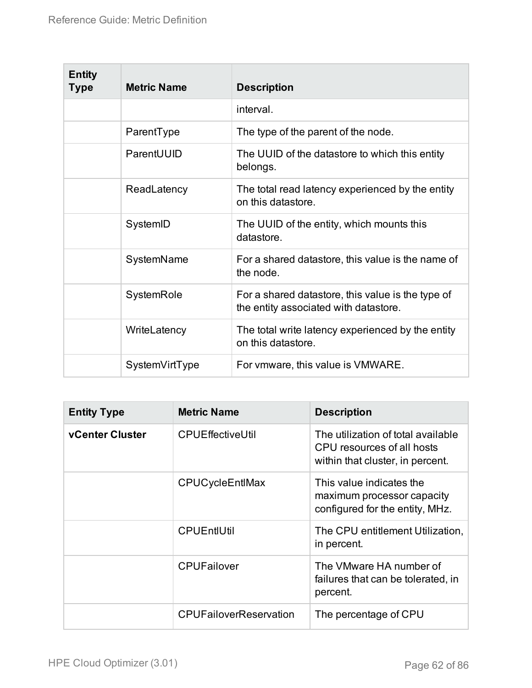| <b>Entity</b><br><b>Type</b> | <b>Metric Name</b> | <b>Description</b>                                                                         |
|------------------------------|--------------------|--------------------------------------------------------------------------------------------|
|                              |                    | interval.                                                                                  |
|                              | ParentType         | The type of the parent of the node.                                                        |
|                              | ParentUUID         | The UUID of the datastore to which this entity<br>belongs.                                 |
|                              | ReadLatency        | The total read latency experienced by the entity<br>on this datastore.                     |
|                              | SystemID           | The UUID of the entity, which mounts this<br>datastore.                                    |
|                              | SystemName         | For a shared datastore, this value is the name of<br>the node.                             |
|                              | SystemRole         | For a shared datastore, this value is the type of<br>the entity associated with datastore. |
|                              | WriteLatency       | The total write latency experienced by the entity<br>on this datastore.                    |
|                              | SystemVirtType     | For vmware, this value is VMWARE.                                                          |

| <b>Entity Type</b>     | <b>Metric Name</b>            | <b>Description</b>                                                                                   |
|------------------------|-------------------------------|------------------------------------------------------------------------------------------------------|
| <b>vCenter Cluster</b> | <b>CPUEffectiveUtil</b>       | The utilization of total available<br>CPU resources of all hosts<br>within that cluster, in percent. |
|                        | <b>CPUCycleEntIMax</b>        | This value indicates the<br>maximum processor capacity<br>configured for the entity, MHz.            |
|                        | <b>CPUEntIUtil</b>            | The CPU entitlement Utilization,<br>in percent.                                                      |
|                        | <b>CPUFailover</b>            | The VMware HA number of<br>failures that can be tolerated, in<br>percent.                            |
|                        | <b>CPUFailoverReservation</b> | The percentage of CPU                                                                                |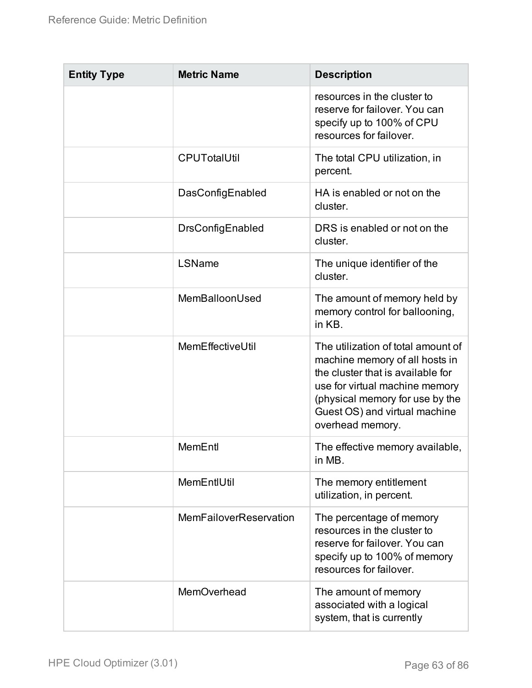| <b>Entity Type</b> | <b>Metric Name</b>     | <b>Description</b>                                                                                                                                                                                                                  |
|--------------------|------------------------|-------------------------------------------------------------------------------------------------------------------------------------------------------------------------------------------------------------------------------------|
|                    |                        | resources in the cluster to<br>reserve for failover. You can<br>specify up to 100% of CPU<br>resources for failover.                                                                                                                |
|                    | <b>CPUTotalUtil</b>    | The total CPU utilization, in<br>percent.                                                                                                                                                                                           |
|                    | DasConfigEnabled       | HA is enabled or not on the<br>cluster.                                                                                                                                                                                             |
|                    | DrsConfigEnabled       | DRS is enabled or not on the<br>cluster.                                                                                                                                                                                            |
|                    | LSName                 | The unique identifier of the<br>cluster.                                                                                                                                                                                            |
|                    | MemBalloonUsed         | The amount of memory held by<br>memory control for ballooning,<br>in KB.                                                                                                                                                            |
|                    | MemEffectiveUtil       | The utilization of total amount of<br>machine memory of all hosts in<br>the cluster that is available for<br>use for virtual machine memory<br>(physical memory for use by the<br>Guest OS) and virtual machine<br>overhead memory. |
|                    | MemEntl                | The effective memory available,<br>in MB.                                                                                                                                                                                           |
|                    | MemEntIUtil            | The memory entitlement<br>utilization, in percent.                                                                                                                                                                                  |
|                    | MemFailoverReservation | The percentage of memory<br>resources in the cluster to<br>reserve for failover. You can<br>specify up to 100% of memory<br>resources for failover.                                                                                 |
|                    | MemOverhead            | The amount of memory<br>associated with a logical<br>system, that is currently                                                                                                                                                      |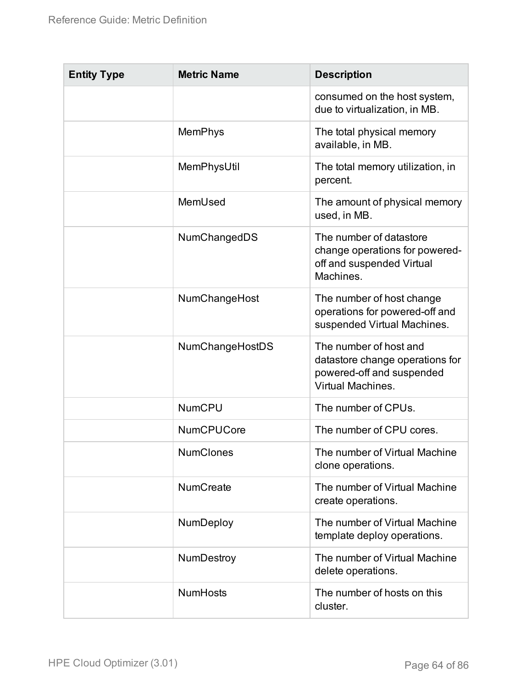| <b>Entity Type</b> | <b>Metric Name</b> | <b>Description</b>                                                                                                 |
|--------------------|--------------------|--------------------------------------------------------------------------------------------------------------------|
|                    |                    | consumed on the host system,<br>due to virtualization, in MB.                                                      |
|                    | <b>MemPhys</b>     | The total physical memory<br>available, in MB.                                                                     |
|                    | MemPhysUtil        | The total memory utilization, in<br>percent.                                                                       |
|                    | MemUsed            | The amount of physical memory<br>used, in MB.                                                                      |
|                    | NumChangedDS       | The number of datastore<br>change operations for powered-<br>off and suspended Virtual<br>Machines.                |
|                    | NumChangeHost      | The number of host change<br>operations for powered-off and<br>suspended Virtual Machines.                         |
|                    | NumChangeHostDS    | The number of host and<br>datastore change operations for<br>powered-off and suspended<br><b>Virtual Machines.</b> |
|                    | <b>NumCPU</b>      | The number of CPUs.                                                                                                |
|                    | <b>NumCPUCore</b>  | The number of CPU cores.                                                                                           |
|                    | <b>NumClones</b>   | The number of Virtual Machine<br>clone operations.                                                                 |
|                    | <b>NumCreate</b>   | The number of Virtual Machine<br>create operations.                                                                |
|                    | NumDeploy          | The number of Virtual Machine<br>template deploy operations.                                                       |
|                    | NumDestroy         | The number of Virtual Machine<br>delete operations.                                                                |
|                    | <b>NumHosts</b>    | The number of hosts on this<br>cluster.                                                                            |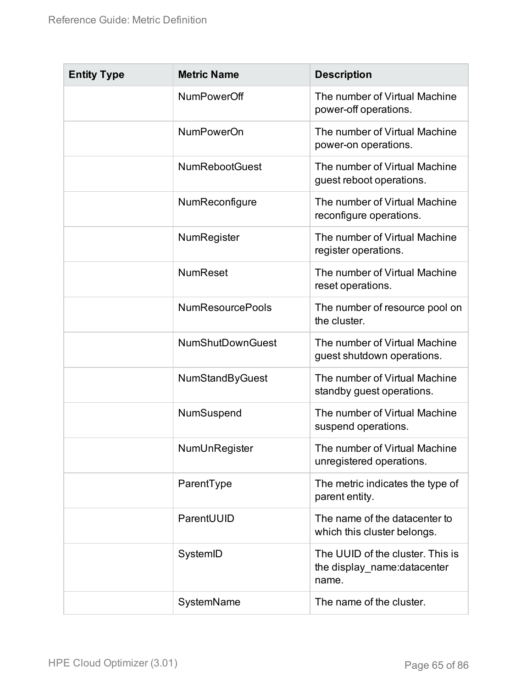| <b>Entity Type</b> | <b>Metric Name</b>      | <b>Description</b>                                                       |
|--------------------|-------------------------|--------------------------------------------------------------------------|
|                    | NumPowerOff             | The number of Virtual Machine<br>power-off operations.                   |
|                    | <b>NumPowerOn</b>       | The number of Virtual Machine<br>power-on operations.                    |
|                    | <b>NumRebootGuest</b>   | The number of Virtual Machine<br>guest reboot operations.                |
|                    | NumReconfigure          | The number of Virtual Machine<br>reconfigure operations.                 |
|                    | NumRegister             | The number of Virtual Machine<br>register operations.                    |
|                    | <b>NumReset</b>         | The number of Virtual Machine<br>reset operations.                       |
|                    | <b>NumResourcePools</b> | The number of resource pool on<br>the cluster.                           |
|                    | <b>NumShutDownGuest</b> | The number of Virtual Machine<br>guest shutdown operations.              |
|                    | <b>NumStandByGuest</b>  | The number of Virtual Machine<br>standby guest operations.               |
|                    | NumSuspend              | The number of Virtual Machine<br>suspend operations.                     |
|                    | NumUnRegister           | The number of Virtual Machine<br>unregistered operations.                |
|                    | ParentType              | The metric indicates the type of<br>parent entity.                       |
|                    | ParentUUID              | The name of the datacenter to<br>which this cluster belongs.             |
|                    | SystemID                | The UUID of the cluster. This is<br>the display_name:datacenter<br>name. |
|                    | SystemName              | The name of the cluster.                                                 |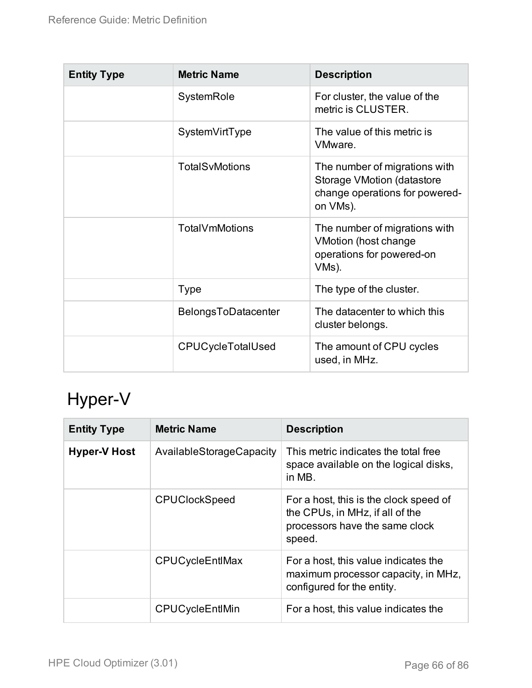| <b>Entity Type</b> | <b>Metric Name</b>       | <b>Description</b>                                                                                               |
|--------------------|--------------------------|------------------------------------------------------------------------------------------------------------------|
|                    | SystemRole               | For cluster, the value of the<br>metric is CLUSTER.                                                              |
|                    | SystemVirtType           | The value of this metric is<br>VMware.                                                                           |
|                    | TotalSvMotions           | The number of migrations with<br><b>Storage VMotion (datastore</b><br>change operations for powered-<br>on VMs). |
|                    | TotalVmMotions           | The number of migrations with<br><b>VMotion (host change)</b><br>operations for powered-on<br>VMs).              |
|                    | <b>Type</b>              | The type of the cluster.                                                                                         |
|                    | BelongsToDatacenter      | The datacenter to which this<br>cluster belongs.                                                                 |
|                    | <b>CPUCycleTotalUsed</b> | The amount of CPU cycles<br>used, in MHz.                                                                        |

## Hyper-V

| <b>Entity Type</b>  | <b>Metric Name</b>       | <b>Description</b>                                                                                                    |  |
|---------------------|--------------------------|-----------------------------------------------------------------------------------------------------------------------|--|
| <b>Hyper-V Host</b> | AvailableStorageCapacity | This metric indicates the total free<br>space available on the logical disks,<br>in MB.                               |  |
|                     | <b>CPUClockSpeed</b>     | For a host, this is the clock speed of<br>the CPUs, in MHz, if all of the<br>processors have the same clock<br>speed. |  |
|                     | CPUCycleEntIMax          | For a host, this value indicates the<br>maximum processor capacity, in MHz,<br>configured for the entity.             |  |
|                     | CPUCycleEntIMin          | For a host, this value indicates the                                                                                  |  |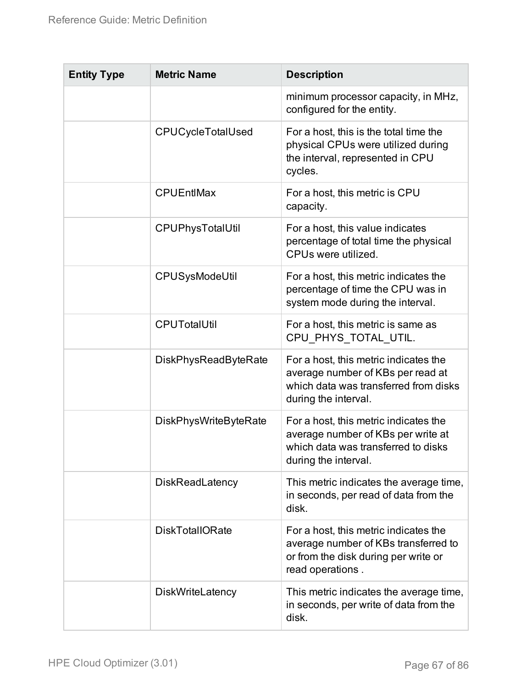| <b>Entity Type</b> | <b>Metric Name</b>           | <b>Description</b>                                                                                                                          |  |
|--------------------|------------------------------|---------------------------------------------------------------------------------------------------------------------------------------------|--|
|                    |                              | minimum processor capacity, in MHz,<br>configured for the entity.                                                                           |  |
|                    | <b>CPUCycleTotalUsed</b>     | For a host, this is the total time the<br>physical CPUs were utilized during<br>the interval, represented in CPU<br>cycles.                 |  |
|                    | <b>CPUEntIMax</b>            | For a host, this metric is CPU<br>capacity.                                                                                                 |  |
|                    | CPUPhysTotalUtil             | For a host, this value indicates<br>percentage of total time the physical<br>CPUs were utilized.                                            |  |
|                    | CPUSysModeUtil               | For a host, this metric indicates the<br>percentage of time the CPU was in<br>system mode during the interval.                              |  |
|                    | <b>CPUTotalUtil</b>          | For a host, this metric is same as<br>CPU PHYS TOTAL UTIL.                                                                                  |  |
|                    | <b>DiskPhysReadByteRate</b>  | For a host, this metric indicates the<br>average number of KBs per read at<br>which data was transferred from disks<br>during the interval. |  |
|                    | <b>DiskPhysWriteByteRate</b> | For a host, this metric indicates the<br>average number of KBs per write at<br>which data was transferred to disks<br>during the interval.  |  |
|                    | <b>DiskReadLatency</b>       | This metric indicates the average time,<br>in seconds, per read of data from the<br>disk.                                                   |  |
|                    | <b>DiskTotalIORate</b>       | For a host, this metric indicates the<br>average number of KBs transferred to<br>or from the disk during per write or<br>read operations.   |  |
|                    | <b>DiskWriteLatency</b>      | This metric indicates the average time,<br>in seconds, per write of data from the<br>disk.                                                  |  |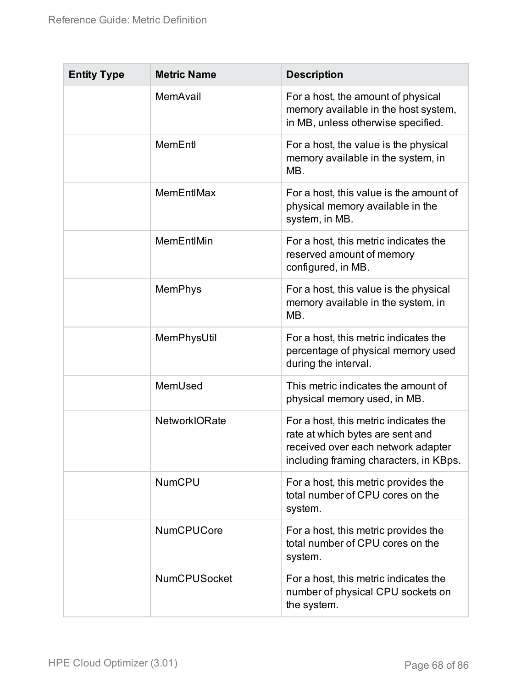| <b>Entity Type</b> | <b>Metric Name</b>   | <b>Description</b>                                                                                                                                        |
|--------------------|----------------------|-----------------------------------------------------------------------------------------------------------------------------------------------------------|
|                    | MemAvail             | For a host, the amount of physical<br>memory available in the host system,<br>in MB, unless otherwise specified.                                          |
|                    | MemEntl              | For a host, the value is the physical<br>memory available in the system, in<br>MB.                                                                        |
|                    | MemEntIMax           | For a host, this value is the amount of<br>physical memory available in the<br>system, in MB.                                                             |
|                    | MemEntIMin           | For a host, this metric indicates the<br>reserved amount of memory<br>configured, in MB.                                                                  |
|                    | <b>MemPhys</b>       | For a host, this value is the physical<br>memory available in the system, in<br>MB.                                                                       |
|                    | MemPhysUtil          | For a host, this metric indicates the<br>percentage of physical memory used<br>during the interval.                                                       |
|                    | MemUsed              | This metric indicates the amount of<br>physical memory used, in MB.                                                                                       |
|                    | <b>NetworkIORate</b> | For a host, this metric indicates the<br>rate at which bytes are sent and<br>received over each network adapter<br>including framing characters, in KBps. |
|                    | <b>NumCPU</b>        | For a host, this metric provides the<br>total number of CPU cores on the<br>system.                                                                       |
|                    | <b>NumCPUCore</b>    | For a host, this metric provides the<br>total number of CPU cores on the<br>system.                                                                       |
|                    | <b>NumCPUSocket</b>  | For a host, this metric indicates the<br>number of physical CPU sockets on<br>the system.                                                                 |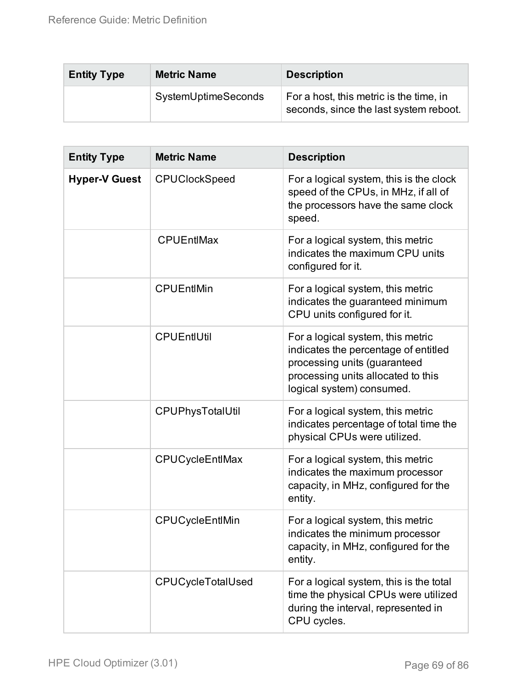| <b>Entity Type</b> | <b>Metric Name</b>  | <b>Description</b>                                                                |
|--------------------|---------------------|-----------------------------------------------------------------------------------|
|                    | SystemUptimeSeconds | For a host, this metric is the time, in<br>seconds, since the last system reboot. |

| <b>Entity Type</b>   | <b>Metric Name</b>   | <b>Description</b>                                                                                                                                                           |
|----------------------|----------------------|------------------------------------------------------------------------------------------------------------------------------------------------------------------------------|
| <b>Hyper-V Guest</b> | <b>CPUClockSpeed</b> | For a logical system, this is the clock<br>speed of the CPUs, in MHz, if all of<br>the processors have the same clock<br>speed.                                              |
|                      | <b>CPUEntIMax</b>    | For a logical system, this metric<br>indicates the maximum CPU units<br>configured for it.                                                                                   |
|                      | <b>CPUEntIMin</b>    | For a logical system, this metric<br>indicates the guaranteed minimum<br>CPU units configured for it.                                                                        |
|                      | <b>CPUEntIUtil</b>   | For a logical system, this metric<br>indicates the percentage of entitled<br>processing units (guaranteed<br>processing units allocated to this<br>logical system) consumed. |
|                      | CPUPhysTotalUtil     | For a logical system, this metric<br>indicates percentage of total time the<br>physical CPUs were utilized.                                                                  |
|                      | CPUCycleEntlMax      | For a logical system, this metric<br>indicates the maximum processor<br>capacity, in MHz, configured for the<br>entity.                                                      |
|                      | CPUCycleEntlMin      | For a logical system, this metric<br>indicates the minimum processor<br>capacity, in MHz, configured for the<br>entity.                                                      |
|                      | CPUCycleTotalUsed    | For a logical system, this is the total<br>time the physical CPUs were utilized<br>during the interval, represented in<br>CPU cycles.                                        |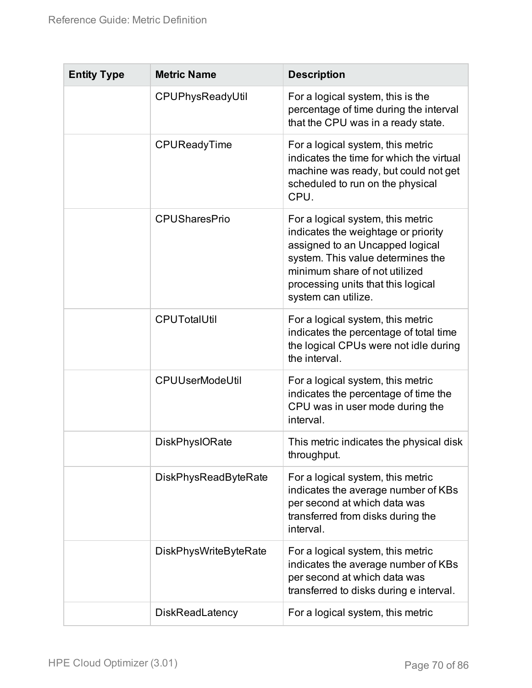| <b>Entity Type</b> | <b>Metric Name</b>           | <b>Description</b>                                                                                                                                                                                                                             |
|--------------------|------------------------------|------------------------------------------------------------------------------------------------------------------------------------------------------------------------------------------------------------------------------------------------|
|                    | CPUPhysReadyUtil             | For a logical system, this is the<br>percentage of time during the interval<br>that the CPU was in a ready state.                                                                                                                              |
|                    | CPUReadyTime                 | For a logical system, this metric<br>indicates the time for which the virtual<br>machine was ready, but could not get<br>scheduled to run on the physical<br>CPU.                                                                              |
|                    | <b>CPUSharesPrio</b>         | For a logical system, this metric<br>indicates the weightage or priority<br>assigned to an Uncapped logical<br>system. This value determines the<br>minimum share of not utilized<br>processing units that this logical<br>system can utilize. |
|                    | <b>CPUTotalUtil</b>          | For a logical system, this metric<br>indicates the percentage of total time<br>the logical CPUs were not idle during<br>the interval.                                                                                                          |
|                    | <b>CPUUserModeUtil</b>       | For a logical system, this metric<br>indicates the percentage of time the<br>CPU was in user mode during the<br>interval.                                                                                                                      |
|                    | <b>DiskPhysIORate</b>        | This metric indicates the physical disk<br>throughput.                                                                                                                                                                                         |
|                    | <b>DiskPhysReadByteRate</b>  | For a logical system, this metric<br>indicates the average number of KBs<br>per second at which data was<br>transferred from disks during the<br>interval.                                                                                     |
|                    | <b>DiskPhysWriteByteRate</b> | For a logical system, this metric<br>indicates the average number of KBs<br>per second at which data was<br>transferred to disks during e interval.                                                                                            |
|                    | <b>DiskReadLatency</b>       | For a logical system, this metric                                                                                                                                                                                                              |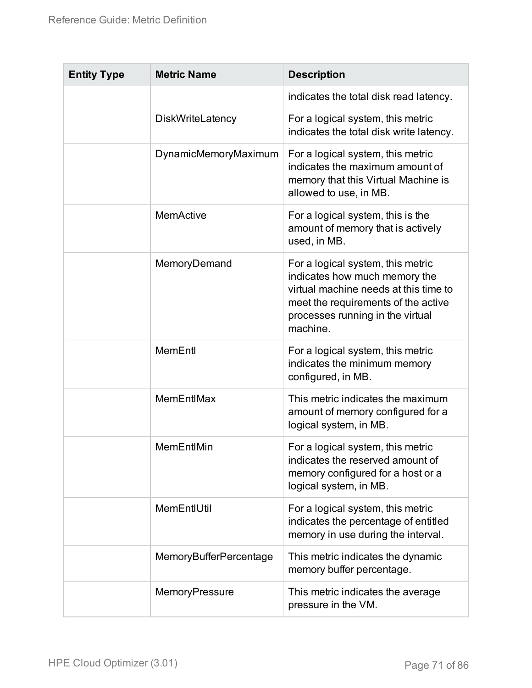| <b>Entity Type</b> | <b>Metric Name</b>     | <b>Description</b>                                                                                                                                                                                 |
|--------------------|------------------------|----------------------------------------------------------------------------------------------------------------------------------------------------------------------------------------------------|
|                    |                        | indicates the total disk read latency.                                                                                                                                                             |
|                    | DiskWriteLatency       | For a logical system, this metric<br>indicates the total disk write latency.                                                                                                                       |
|                    | DynamicMemoryMaximum   | For a logical system, this metric<br>indicates the maximum amount of<br>memory that this Virtual Machine is<br>allowed to use, in MB.                                                              |
|                    | MemActive              | For a logical system, this is the<br>amount of memory that is actively<br>used, in MB.                                                                                                             |
|                    | MemoryDemand           | For a logical system, this metric<br>indicates how much memory the<br>virtual machine needs at this time to<br>meet the requirements of the active<br>processes running in the virtual<br>machine. |
|                    | MemEntl                | For a logical system, this metric<br>indicates the minimum memory<br>configured, in MB.                                                                                                            |
|                    | <b>MemEntIMax</b>      | This metric indicates the maximum<br>amount of memory configured for a<br>logical system, in MB.                                                                                                   |
|                    | MemEntIMin             | For a logical system, this metric<br>indicates the reserved amount of<br>memory configured for a host or a<br>logical system, in MB.                                                               |
|                    | MemEntIUtil            | For a logical system, this metric<br>indicates the percentage of entitled<br>memory in use during the interval.                                                                                    |
|                    | MemoryBufferPercentage | This metric indicates the dynamic<br>memory buffer percentage.                                                                                                                                     |
|                    | MemoryPressure         | This metric indicates the average<br>pressure in the VM.                                                                                                                                           |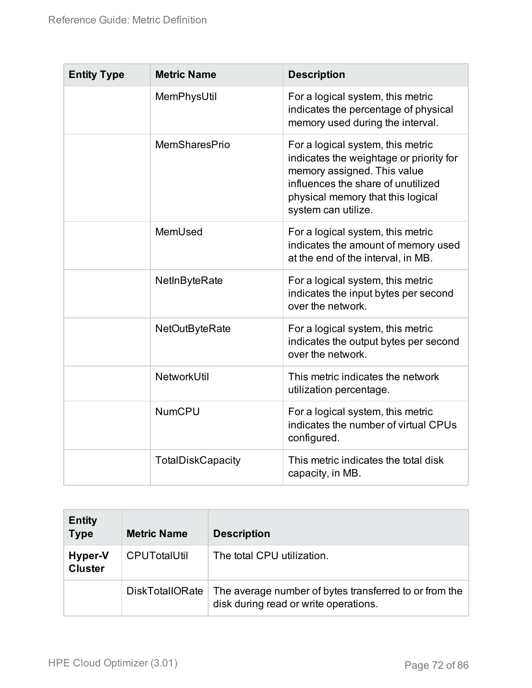| <b>Entity Type</b> | <b>Metric Name</b>       | <b>Description</b>                                                                                                                                                                                            |
|--------------------|--------------------------|---------------------------------------------------------------------------------------------------------------------------------------------------------------------------------------------------------------|
|                    | MemPhysUtil              | For a logical system, this metric<br>indicates the percentage of physical<br>memory used during the interval.                                                                                                 |
|                    | <b>MemSharesPrio</b>     | For a logical system, this metric<br>indicates the weightage or priority for<br>memory assigned. This value<br>influences the share of unutilized<br>physical memory that this logical<br>system can utilize. |
|                    | MemUsed                  | For a logical system, this metric<br>indicates the amount of memory used<br>at the end of the interval, in MB.                                                                                                |
|                    | NetInByteRate            | For a logical system, this metric<br>indicates the input bytes per second<br>over the network.                                                                                                                |
|                    | NetOutByteRate           | For a logical system, this metric<br>indicates the output bytes per second<br>over the network.                                                                                                               |
|                    | <b>NetworkUtil</b>       | This metric indicates the network<br>utilization percentage.                                                                                                                                                  |
|                    | <b>NumCPU</b>            | For a logical system, this metric<br>indicates the number of virtual CPUs<br>configured.                                                                                                                      |
|                    | <b>TotalDiskCapacity</b> | This metric indicates the total disk<br>capacity, in MB.                                                                                                                                                      |

| <b>Entity</b><br><b>Type</b> | <b>Metric Name</b>     | <b>Description</b>                                                                              |
|------------------------------|------------------------|-------------------------------------------------------------------------------------------------|
| Hyper-V<br><b>Cluster</b>    | <b>CPUTotalUtil</b>    | The total CPU utilization.                                                                      |
|                              | <b>DiskTotalIORate</b> | The average number of bytes transferred to or from the<br>disk during read or write operations. |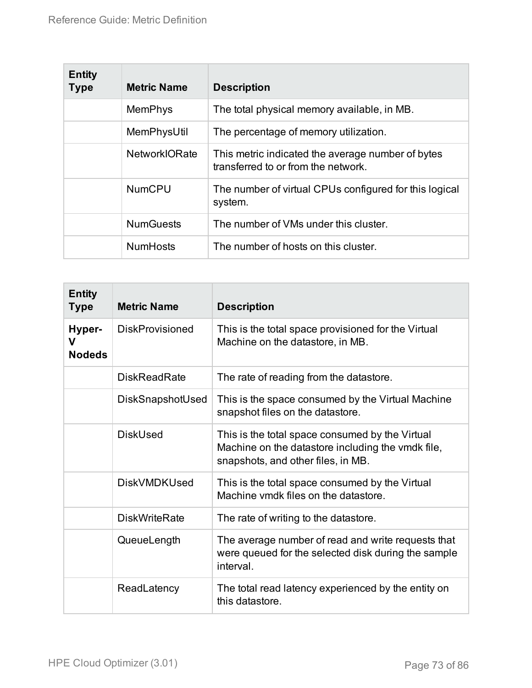| <b>Entity</b><br><b>Type</b> | <b>Metric Name</b>   | <b>Description</b>                                                                       |
|------------------------------|----------------------|------------------------------------------------------------------------------------------|
|                              | <b>MemPhys</b>       | The total physical memory available, in MB.                                              |
|                              | MemPhysUtil          | The percentage of memory utilization.                                                    |
|                              | <b>NetworkIORate</b> | This metric indicated the average number of bytes<br>transferred to or from the network. |
|                              | <b>NumCPU</b>        | The number of virtual CPUs configured for this logical<br>system.                        |
|                              | <b>NumGuests</b>     | The number of VMs under this cluster.                                                    |
|                              | <b>NumHosts</b>      | The number of hosts on this cluster.                                                     |

| <b>Entity</b><br><b>Type</b> | <b>Metric Name</b>     | <b>Description</b>                                                                                                                         |
|------------------------------|------------------------|--------------------------------------------------------------------------------------------------------------------------------------------|
| Hyper-<br>v<br><b>Nodeds</b> | <b>DiskProvisioned</b> | This is the total space provisioned for the Virtual<br>Machine on the datastore, in MB.                                                    |
|                              | <b>DiskReadRate</b>    | The rate of reading from the datastore.                                                                                                    |
|                              | DiskSnapshotUsed       | This is the space consumed by the Virtual Machine<br>snapshot files on the datastore.                                                      |
|                              | <b>DiskUsed</b>        | This is the total space consumed by the Virtual<br>Machine on the datastore including the vmdk file,<br>snapshots, and other files, in MB. |
|                              | <b>DiskVMDKUsed</b>    | This is the total space consumed by the Virtual<br>Machine ymdk files on the datastore.                                                    |
|                              | <b>DiskWriteRate</b>   | The rate of writing to the datastore.                                                                                                      |
|                              | QueueLength            | The average number of read and write requests that<br>were queued for the selected disk during the sample<br>interval.                     |
|                              | ReadLatency            | The total read latency experienced by the entity on<br>this datastore.                                                                     |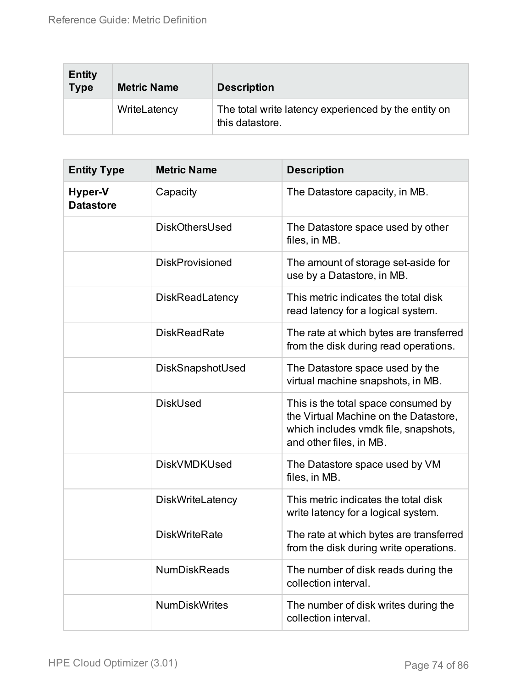| <b>Entity</b><br><b>Type</b> | <b>Metric Name</b> | <b>Description</b>                                                      |
|------------------------------|--------------------|-------------------------------------------------------------------------|
|                              | WriteLatency       | The total write latency experienced by the entity on<br>this datastore. |

| <b>Entity Type</b>          | <b>Metric Name</b>      | <b>Description</b>                                                                                                                              |
|-----------------------------|-------------------------|-------------------------------------------------------------------------------------------------------------------------------------------------|
| Hyper-V<br><b>Datastore</b> | Capacity                | The Datastore capacity, in MB.                                                                                                                  |
|                             | DiskOthersUsed          | The Datastore space used by other<br>files, in MB.                                                                                              |
|                             | <b>DiskProvisioned</b>  | The amount of storage set-aside for<br>use by a Datastore, in MB.                                                                               |
|                             | <b>DiskReadLatency</b>  | This metric indicates the total disk<br>read latency for a logical system.                                                                      |
|                             | <b>DiskReadRate</b>     | The rate at which bytes are transferred<br>from the disk during read operations.                                                                |
|                             | DiskSnapshotUsed        | The Datastore space used by the<br>virtual machine snapshots, in MB.                                                                            |
|                             | <b>DiskUsed</b>         | This is the total space consumed by<br>the Virtual Machine on the Datastore,<br>which includes vmdk file, snapshots,<br>and other files, in MB. |
|                             | <b>DiskVMDKUsed</b>     | The Datastore space used by VM<br>files, in MB.                                                                                                 |
|                             | <b>DiskWriteLatency</b> | This metric indicates the total disk<br>write latency for a logical system.                                                                     |
|                             | <b>DiskWriteRate</b>    | The rate at which bytes are transferred<br>from the disk during write operations.                                                               |
|                             | <b>NumDiskReads</b>     | The number of disk reads during the<br>collection interval.                                                                                     |
|                             | <b>NumDiskWrites</b>    | The number of disk writes during the<br>collection interval.                                                                                    |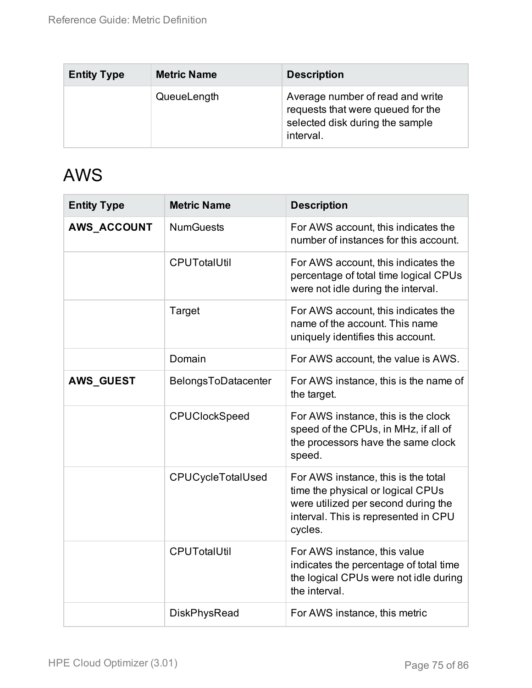| <b>Entity Type</b> | <b>Metric Name</b> | <b>Description</b>                                                                                                    |
|--------------------|--------------------|-----------------------------------------------------------------------------------------------------------------------|
|                    | QueueLength        | Average number of read and write<br>requests that were queued for the<br>selected disk during the sample<br>interval. |

#### AWS

| <b>Entity Type</b> | <b>Metric Name</b>   | <b>Description</b>                                                                                                                                                 |
|--------------------|----------------------|--------------------------------------------------------------------------------------------------------------------------------------------------------------------|
| AWS_ACCOUNT        | <b>NumGuests</b>     | For AWS account, this indicates the<br>number of instances for this account.                                                                                       |
|                    | <b>CPUTotalUtil</b>  | For AWS account, this indicates the<br>percentage of total time logical CPUs<br>were not idle during the interval.                                                 |
|                    | Target               | For AWS account, this indicates the<br>name of the account. This name<br>uniquely identifies this account.                                                         |
|                    | Domain               | For AWS account, the value is AWS.                                                                                                                                 |
| <b>AWS_GUEST</b>   | BelongsToDatacenter  | For AWS instance, this is the name of<br>the target.                                                                                                               |
|                    | <b>CPUClockSpeed</b> | For AWS instance, this is the clock<br>speed of the CPUs, in MHz, if all of<br>the processors have the same clock<br>speed.                                        |
|                    | CPUCycleTotalUsed    | For AWS instance, this is the total<br>time the physical or logical CPUs<br>were utilized per second during the<br>interval. This is represented in CPU<br>cycles. |
|                    | <b>CPUTotalUtil</b>  | For AWS instance, this value<br>indicates the percentage of total time<br>the logical CPUs were not idle during<br>the interval.                                   |
|                    | <b>DiskPhysRead</b>  | For AWS instance, this metric                                                                                                                                      |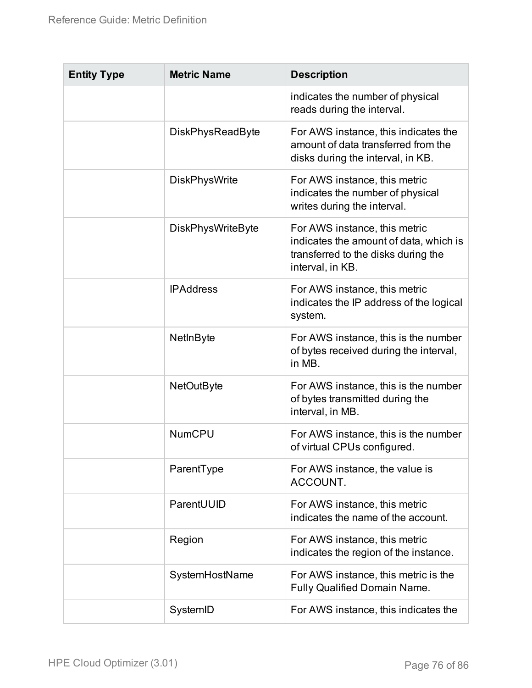| <b>Entity Type</b> | <b>Metric Name</b>       | <b>Description</b>                                                                                                                 |
|--------------------|--------------------------|------------------------------------------------------------------------------------------------------------------------------------|
|                    |                          | indicates the number of physical<br>reads during the interval.                                                                     |
|                    | <b>DiskPhysReadByte</b>  | For AWS instance, this indicates the<br>amount of data transferred from the<br>disks during the interval, in KB.                   |
|                    | <b>DiskPhysWrite</b>     | For AWS instance, this metric<br>indicates the number of physical<br>writes during the interval.                                   |
|                    | <b>DiskPhysWriteByte</b> | For AWS instance, this metric<br>indicates the amount of data, which is<br>transferred to the disks during the<br>interval, in KB. |
|                    | <b>IPAddress</b>         | For AWS instance, this metric<br>indicates the IP address of the logical<br>system.                                                |
|                    | NetInByte                | For AWS instance, this is the number<br>of bytes received during the interval,<br>in MB.                                           |
|                    | <b>NetOutByte</b>        | For AWS instance, this is the number<br>of bytes transmitted during the<br>interval, in MB.                                        |
|                    | <b>NumCPU</b>            | For AWS instance, this is the number<br>of virtual CPUs configured.                                                                |
|                    | ParentType               | For AWS instance, the value is<br>ACCOUNT.                                                                                         |
|                    | ParentUUID               | For AWS instance, this metric<br>indicates the name of the account.                                                                |
|                    | Region                   | For AWS instance, this metric<br>indicates the region of the instance.                                                             |
|                    | SystemHostName           | For AWS instance, this metric is the<br>Fully Qualified Domain Name.                                                               |
|                    | SystemID                 | For AWS instance, this indicates the                                                                                               |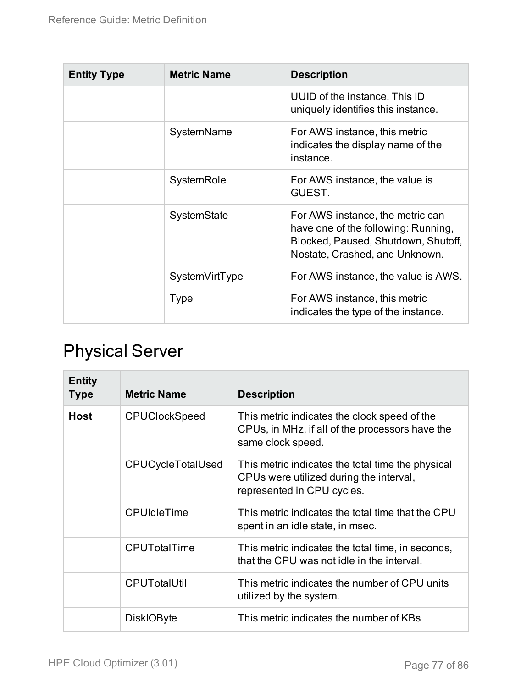| <b>Entity Type</b> | <b>Metric Name</b> | <b>Description</b>                                                                                                                               |
|--------------------|--------------------|--------------------------------------------------------------------------------------------------------------------------------------------------|
|                    |                    | UUID of the instance. This ID<br>uniquely identifies this instance.                                                                              |
|                    | SystemName         | For AWS instance, this metric<br>indicates the display name of the<br>instance.                                                                  |
|                    | SystemRole         | For AWS instance, the value is<br>GUEST.                                                                                                         |
|                    | SystemState        | For AWS instance, the metric can<br>have one of the following: Running,<br>Blocked, Paused, Shutdown, Shutoff,<br>Nostate, Crashed, and Unknown. |
|                    | SystemVirtType     | For AWS instance, the value is AWS.                                                                                                              |
|                    | Type               | For AWS instance, this metric<br>indicates the type of the instance.                                                                             |

## Physical Server

| <b>Entity</b><br><b>Type</b> | <b>Metric Name</b>       | <b>Description</b>                                                                                                         |
|------------------------------|--------------------------|----------------------------------------------------------------------------------------------------------------------------|
| <b>Host</b>                  | <b>CPUClockSpeed</b>     | This metric indicates the clock speed of the<br>CPUs, in MHz, if all of the processors have the<br>same clock speed.       |
|                              | <b>CPUCycleTotalUsed</b> | This metric indicates the total time the physical<br>CPUs were utilized during the interval,<br>represented in CPU cycles. |
|                              | <b>CPUIdleTime</b>       | This metric indicates the total time that the CPU<br>spent in an idle state, in msec.                                      |
|                              | <b>CPUTotalTime</b>      | This metric indicates the total time, in seconds,<br>that the CPU was not idle in the interval.                            |
|                              | <b>CPUTotalUtil</b>      | This metric indicates the number of CPU units<br>utilized by the system.                                                   |
|                              | <b>DiskIOByte</b>        | This metric indicates the number of KBs                                                                                    |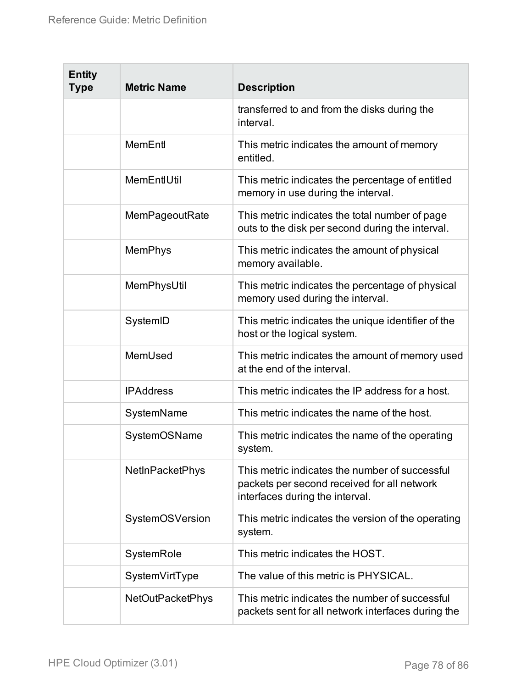| <b>Entity</b><br><b>Type</b> | <b>Metric Name</b>      | <b>Description</b>                                                                                                               |
|------------------------------|-------------------------|----------------------------------------------------------------------------------------------------------------------------------|
|                              |                         | transferred to and from the disks during the<br>interval.                                                                        |
|                              | MemEntl                 | This metric indicates the amount of memory<br>entitled.                                                                          |
|                              | MemEntIUtil             | This metric indicates the percentage of entitled<br>memory in use during the interval.                                           |
|                              | MemPageoutRate          | This metric indicates the total number of page<br>outs to the disk per second during the interval.                               |
|                              | MemPhys                 | This metric indicates the amount of physical<br>memory available.                                                                |
|                              | MemPhysUtil             | This metric indicates the percentage of physical<br>memory used during the interval.                                             |
|                              | SystemID                | This metric indicates the unique identifier of the<br>host or the logical system.                                                |
|                              | MemUsed                 | This metric indicates the amount of memory used<br>at the end of the interval.                                                   |
|                              | <b>IPAddress</b>        | This metric indicates the IP address for a host.                                                                                 |
|                              | SystemName              | This metric indicates the name of the host.                                                                                      |
|                              | SystemOSName            | This metric indicates the name of the operating<br>system.                                                                       |
|                              | <b>NetInPacketPhys</b>  | This metric indicates the number of successful<br>packets per second received for all network<br>interfaces during the interval. |
|                              | SystemOSVersion         | This metric indicates the version of the operating<br>system.                                                                    |
|                              | SystemRole              | This metric indicates the HOST.                                                                                                  |
|                              | SystemVirtType          | The value of this metric is PHYSICAL.                                                                                            |
|                              | <b>NetOutPacketPhys</b> | This metric indicates the number of successful<br>packets sent for all network interfaces during the                             |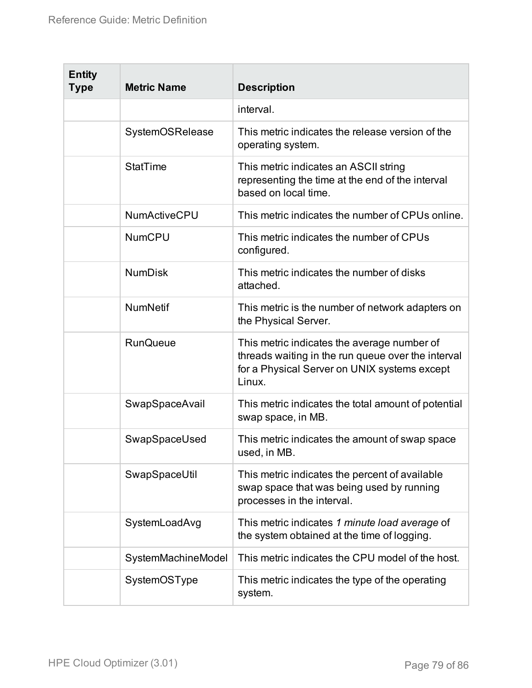| <b>Entity</b><br><b>Type</b> | <b>Metric Name</b>  | <b>Description</b>                                                                                                                                          |
|------------------------------|---------------------|-------------------------------------------------------------------------------------------------------------------------------------------------------------|
|                              |                     | interval.                                                                                                                                                   |
|                              | SystemOSRelease     | This metric indicates the release version of the<br>operating system.                                                                                       |
|                              | <b>StatTime</b>     | This metric indicates an ASCII string<br>representing the time at the end of the interval<br>based on local time.                                           |
|                              | <b>NumActiveCPU</b> | This metric indicates the number of CPUs online.                                                                                                            |
|                              | <b>NumCPU</b>       | This metric indicates the number of CPUs<br>configured.                                                                                                     |
|                              | <b>NumDisk</b>      | This metric indicates the number of disks<br>attached.                                                                                                      |
|                              | <b>NumNetif</b>     | This metric is the number of network adapters on<br>the Physical Server.                                                                                    |
|                              | <b>RunQueue</b>     | This metric indicates the average number of<br>threads waiting in the run queue over the interval<br>for a Physical Server on UNIX systems except<br>Linux. |
|                              | SwapSpaceAvail      | This metric indicates the total amount of potential<br>swap space, in MB.                                                                                   |
|                              | SwapSpaceUsed       | This metric indicates the amount of swap space<br>used, in MB.                                                                                              |
|                              | SwapSpaceUtil       | This metric indicates the percent of available<br>swap space that was being used by running<br>processes in the interval.                                   |
|                              | SystemLoadAvg       | This metric indicates 1 minute load average of<br>the system obtained at the time of logging.                                                               |
|                              | SystemMachineModel  | This metric indicates the CPU model of the host.                                                                                                            |
|                              | SystemOSType        | This metric indicates the type of the operating<br>system.                                                                                                  |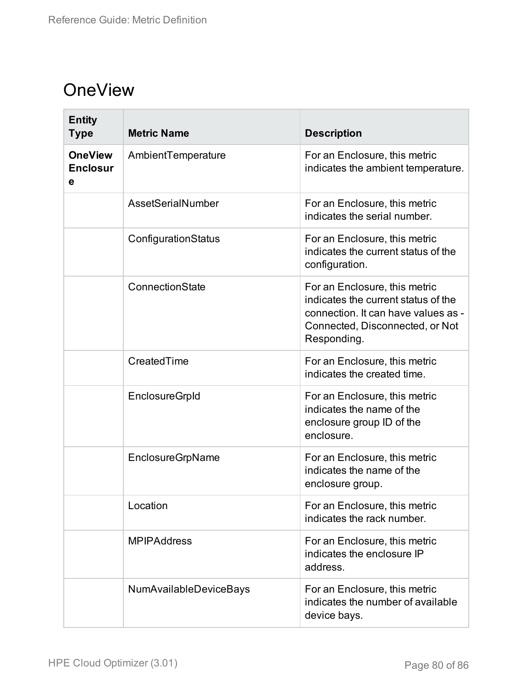### **OneView**

| <b>Entity</b><br><b>Type</b>           | <b>Metric Name</b>     | <b>Description</b>                                                                                                                                            |
|----------------------------------------|------------------------|---------------------------------------------------------------------------------------------------------------------------------------------------------------|
| <b>OneView</b><br><b>Enclosur</b><br>е | AmbientTemperature     | For an Enclosure, this metric<br>indicates the ambient temperature.                                                                                           |
|                                        | AssetSerialNumber      | For an Enclosure, this metric<br>indicates the serial number.                                                                                                 |
|                                        | ConfigurationStatus    | For an Enclosure, this metric<br>indicates the current status of the<br>configuration.                                                                        |
|                                        | ConnectionState        | For an Enclosure, this metric<br>indicates the current status of the<br>connection. It can have values as -<br>Connected, Disconnected, or Not<br>Responding. |
|                                        | CreatedTime            | For an Enclosure, this metric<br>indicates the created time.                                                                                                  |
|                                        | <b>EnclosureGrpId</b>  | For an Enclosure, this metric<br>indicates the name of the<br>enclosure group ID of the<br>enclosure.                                                         |
|                                        | EnclosureGrpName       | For an Enclosure, this metric<br>indicates the name of the<br>enclosure group.                                                                                |
|                                        | Location               | For an Enclosure, this metric<br>indicates the rack number.                                                                                                   |
|                                        | <b>MPIPAddress</b>     | For an Enclosure, this metric<br>indicates the enclosure IP<br>address.                                                                                       |
|                                        | NumAvailableDeviceBays | For an Enclosure, this metric<br>indicates the number of available<br>device bays.                                                                            |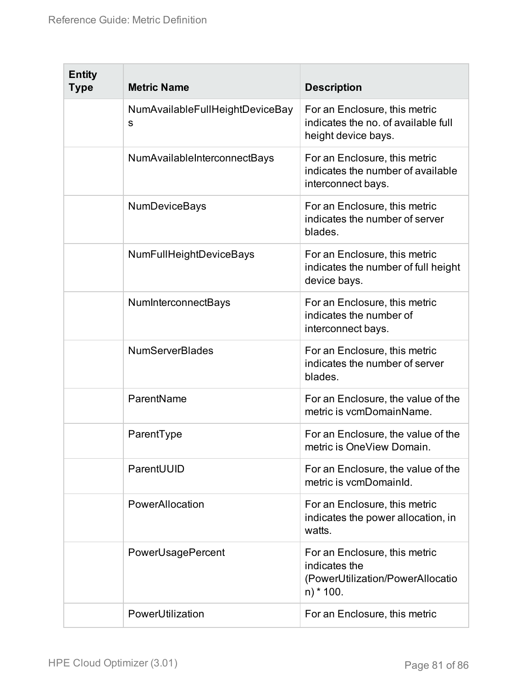| <b>Entity</b><br><b>Type</b> | <b>Metric Name</b>                   | <b>Description</b>                                                                               |
|------------------------------|--------------------------------------|--------------------------------------------------------------------------------------------------|
|                              | NumAvailableFullHeightDeviceBay<br>S | For an Enclosure, this metric<br>indicates the no. of available full<br>height device bays.      |
|                              | NumAvailableInterconnectBays         | For an Enclosure, this metric<br>indicates the number of available<br>interconnect bays.         |
|                              | <b>NumDeviceBays</b>                 | For an Enclosure, this metric<br>indicates the number of server<br>blades.                       |
|                              | <b>NumFullHeightDeviceBays</b>       | For an Enclosure, this metric<br>indicates the number of full height<br>device bays.             |
|                              | <b>NumInterconnectBays</b>           | For an Enclosure, this metric<br>indicates the number of<br>interconnect bays.                   |
|                              | <b>NumServerBlades</b>               | For an Enclosure, this metric<br>indicates the number of server<br>blades.                       |
|                              | ParentName                           | For an Enclosure, the value of the<br>metric is vcmDomainName.                                   |
|                              | ParentType                           | For an Enclosure, the value of the<br>metric is OneView Domain.                                  |
|                              | ParentUUID                           | For an Enclosure, the value of the<br>metric is vcmDomainId.                                     |
|                              | PowerAllocation                      | For an Enclosure, this metric<br>indicates the power allocation, in<br>watts.                    |
|                              | PowerUsagePercent                    | For an Enclosure, this metric<br>indicates the<br>(PowerUtilization/PowerAllocatio<br>$n$ * 100. |
|                              | PowerUtilization                     | For an Enclosure, this metric                                                                    |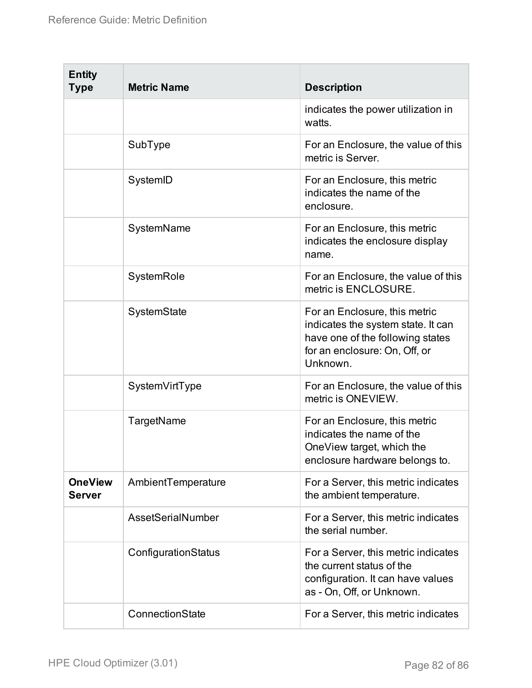| <b>Entity</b><br><b>Type</b>    | <b>Metric Name</b>  | <b>Description</b>                                                                                                                                   |
|---------------------------------|---------------------|------------------------------------------------------------------------------------------------------------------------------------------------------|
|                                 |                     | indicates the power utilization in<br>watts.                                                                                                         |
|                                 | SubType             | For an Enclosure, the value of this<br>metric is Server.                                                                                             |
|                                 | SystemID            | For an Enclosure, this metric<br>indicates the name of the<br>enclosure.                                                                             |
|                                 | SystemName          | For an Enclosure, this metric<br>indicates the enclosure display<br>name.                                                                            |
|                                 | SystemRole          | For an Enclosure, the value of this<br>metric is ENCLOSURE.                                                                                          |
|                                 | SystemState         | For an Enclosure, this metric<br>indicates the system state. It can<br>have one of the following states<br>for an enclosure: On, Off, or<br>Unknown. |
|                                 | SystemVirtType      | For an Enclosure, the value of this<br>metric is ONEVIEW.                                                                                            |
|                                 | TargetName          | For an Enclosure, this metric<br>indicates the name of the<br>OneView target, which the<br>enclosure hardware belongs to.                            |
| <b>OneView</b><br><b>Server</b> | AmbientTemperature  | For a Server, this metric indicates<br>the ambient temperature.                                                                                      |
|                                 | AssetSerialNumber   | For a Server, this metric indicates<br>the serial number.                                                                                            |
|                                 | ConfigurationStatus | For a Server, this metric indicates<br>the current status of the<br>configuration. It can have values<br>as - On, Off, or Unknown.                   |
|                                 | ConnectionState     | For a Server, this metric indicates                                                                                                                  |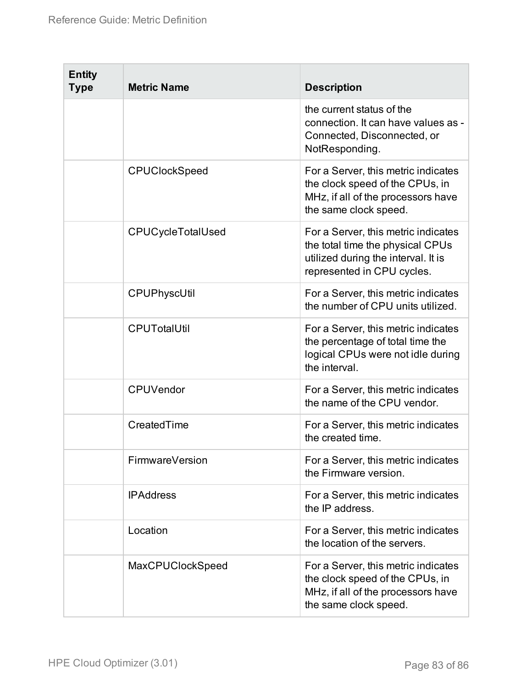| <b>Entity</b><br><b>Type</b> | <b>Metric Name</b>       | <b>Description</b>                                                                                                                           |
|------------------------------|--------------------------|----------------------------------------------------------------------------------------------------------------------------------------------|
|                              |                          | the current status of the<br>connection. It can have values as -<br>Connected, Disconnected, or<br>NotResponding.                            |
|                              | <b>CPUClockSpeed</b>     | For a Server, this metric indicates<br>the clock speed of the CPUs, in<br>MHz, if all of the processors have<br>the same clock speed.        |
|                              | <b>CPUCycleTotalUsed</b> | For a Server, this metric indicates<br>the total time the physical CPUs<br>utilized during the interval. It is<br>represented in CPU cycles. |
|                              | CPUPhyscUtil             | For a Server, this metric indicates<br>the number of CPU units utilized.                                                                     |
|                              | <b>CPUTotalUtil</b>      | For a Server, this metric indicates<br>the percentage of total time the<br>logical CPUs were not idle during<br>the interval.                |
|                              | <b>CPUVendor</b>         | For a Server, this metric indicates<br>the name of the CPU vendor.                                                                           |
|                              | CreatedTime              | For a Server, this metric indicates<br>the created time.                                                                                     |
|                              | FirmwareVersion          | For a Server, this metric indicates<br>the Firmware version.                                                                                 |
|                              | <b>IPAddress</b>         | For a Server, this metric indicates<br>the IP address.                                                                                       |
|                              | Location                 | For a Server, this metric indicates<br>the location of the servers.                                                                          |
|                              | MaxCPUClockSpeed         | For a Server, this metric indicates<br>the clock speed of the CPUs, in<br>MHz, if all of the processors have<br>the same clock speed.        |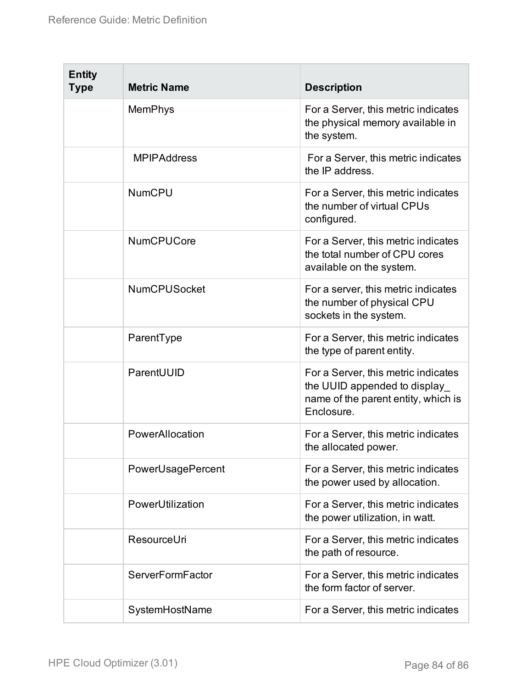| <b>Entity</b><br><b>Type</b> | <b>Metric Name</b>  | <b>Description</b>                                                                                                        |
|------------------------------|---------------------|---------------------------------------------------------------------------------------------------------------------------|
|                              | <b>MemPhys</b>      | For a Server, this metric indicates<br>the physical memory available in<br>the system.                                    |
|                              | <b>MPIPAddress</b>  | For a Server, this metric indicates<br>the IP address.                                                                    |
|                              | <b>NumCPU</b>       | For a Server, this metric indicates<br>the number of virtual CPUs<br>configured.                                          |
|                              | <b>NumCPUCore</b>   | For a Server, this metric indicates<br>the total number of CPU cores<br>available on the system.                          |
|                              | <b>NumCPUSocket</b> | For a server, this metric indicates<br>the number of physical CPU<br>sockets in the system.                               |
|                              | ParentType          | For a Server, this metric indicates<br>the type of parent entity.                                                         |
|                              | ParentUUID          | For a Server, this metric indicates<br>the UUID appended to display_<br>name of the parent entity, which is<br>Enclosure. |
|                              | PowerAllocation     | For a Server, this metric indicates<br>the allocated power.                                                               |
|                              | PowerUsagePercent   | For a Server, this metric indicates<br>the power used by allocation.                                                      |
|                              | PowerUtilization    | For a Server, this metric indicates<br>the power utilization, in watt.                                                    |
|                              | ResourceUri         | For a Server, this metric indicates<br>the path of resource.                                                              |
|                              | ServerFormFactor    | For a Server, this metric indicates<br>the form factor of server.                                                         |
|                              | SystemHostName      | For a Server, this metric indicates                                                                                       |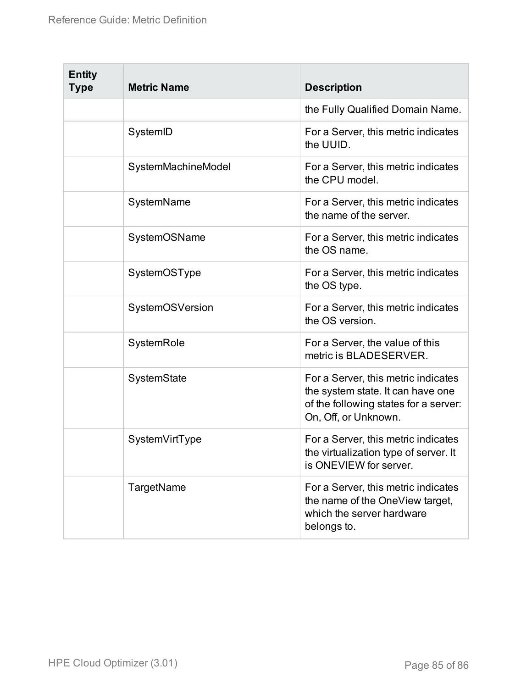| <b>Entity</b><br><b>Type</b> | <b>Metric Name</b> | <b>Description</b>                                                                                                                        |
|------------------------------|--------------------|-------------------------------------------------------------------------------------------------------------------------------------------|
|                              |                    | the Fully Qualified Domain Name.                                                                                                          |
|                              | SystemID           | For a Server, this metric indicates<br>the UUID.                                                                                          |
|                              | SystemMachineModel | For a Server, this metric indicates<br>the CPU model.                                                                                     |
|                              | SystemName         | For a Server, this metric indicates<br>the name of the server.                                                                            |
|                              | SystemOSName       | For a Server, this metric indicates<br>the OS name.                                                                                       |
|                              | SystemOSType       | For a Server, this metric indicates<br>the OS type.                                                                                       |
|                              | SystemOSVersion    | For a Server, this metric indicates<br>the OS version.                                                                                    |
|                              | SystemRole         | For a Server, the value of this<br>metric is BLADESERVER.                                                                                 |
|                              | SystemState        | For a Server, this metric indicates<br>the system state. It can have one<br>of the following states for a server:<br>On, Off, or Unknown. |
|                              | SystemVirtType     | For a Server, this metric indicates<br>the virtualization type of server. It<br>is ONEVIEW for server.                                    |
|                              | TargetName         | For a Server, this metric indicates<br>the name of the OneView target,<br>which the server hardware<br>belongs to.                        |